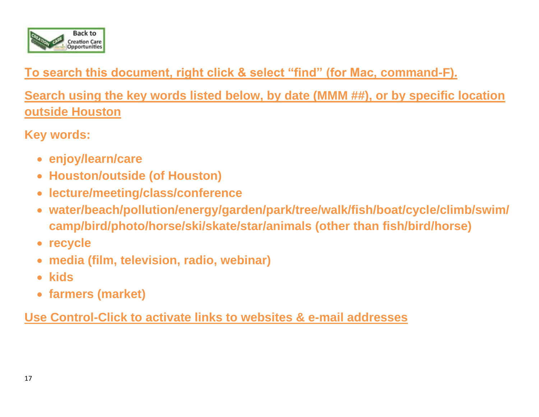

## **To search this document, right click & select "find" (for Mac, command-F).**

**Search using the key words listed below, by date (MMM ##), or by specific location outside Houston** 

**Key words:**

- **enjoy/learn/care**
- **Houston/outside (of Houston)**
- **lecture/meeting/class/conference**
- **water/beach/pollution/energy/garden/park/tree/walk/fish/boat/cycle/climb/swim/ camp/bird/photo/horse/ski/skate/star/animals (other than fish/bird/horse)**
- **recycle**
- **media (film, television, radio, webinar)**
- **kids**
- **farmers (market)**

**Use Control-Click to activate links to websites & e-mail addresses**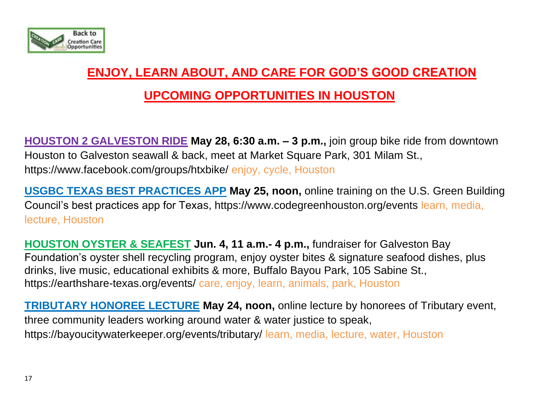

# **ENJOY, LEARN ABOUT, AND CARE FOR GOD'S GOOD CREATION**

## **UPCOMING OPPORTUNITIES IN HOUSTON**

**HOUSTON 2 GALVESTON RIDE May 28, 6:30 a.m. – 3 p.m.,** join group bike ride from downtown Houston to Galveston seawall & back, meet at Market Square Park, 301 Milam St., <https://www.facebook.com/groups/htxbike/> enjoy, cycle, Houston

**USGBC TEXAS BEST PRACTICES APP May 25, noon,** online training on the U.S. Green Building Council's best practices app for Texas, https://www.codegreenhouston.org/events learn, media, lecture, Houston

**HOUSTON OYSTER & SEAFEST Jun. 4, 11 a.m.- 4 p.m.,** fundraiser for Galveston Bay Foundation's oyster shell recycling program, enjoy oyster bites & signature seafood dishes, plus drinks, live music, educational exhibits & more, Buffalo Bayou Park, 105 Sabine St., https://earthshare-texas.org/events/ care, enjoy, learn, animals, park, Houston

**TRIBUTARY HONOREE LECTURE May 24, noon,** online lecture by honorees of Tributary event, three community leaders working around water & water justice to speak, https://bayoucitywaterkeeper.org/events/tributary/ learn, media, lecture, water, Houston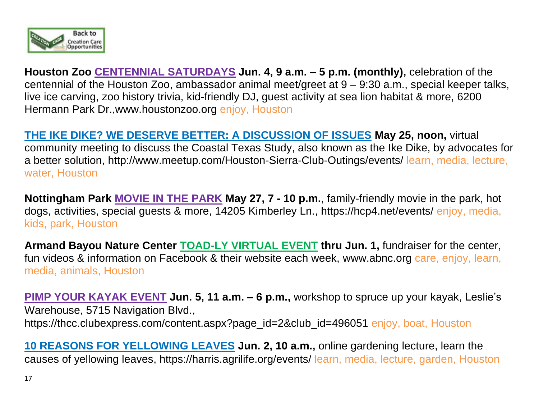

**Houston Zoo CENTENNIAL SATURDAYS Jun. 4, 9 a.m. – 5 p.m. (monthly),** celebration of the centennial of the Houston Zoo, ambassador animal meet/greet at 9 – 9:30 a.m., special keeper talks, live ice carving, zoo history trivia, kid-friendly DJ, guest activity at sea lion habitat & more, 6200 Hermann Park Dr.[,www.houstonzoo.org](http://www.houstonzoo.org/) enjoy, Houston

**THE IKE DIKE? WE DESERVE BETTER: A DISCUSSION OF ISSUES May 25, noon,** virtual community meeting to discuss the Coastal Texas Study, also known as the Ike Dike, by advocates for a better solution, <http://www.meetup.com/Houston-Sierra-Club-Outings/events/> learn, media, lecture, water, Houston

**Nottingham Park MOVIE IN THE PARK May 27, 7 - 10 p.m.**, family-friendly movie in the park, hot dogs, activities, special guests & more, 14205 Kimberley Ln., https://hcp4.net/events/ enjoy, media, kids, park, Houston

**Armand Bayou Nature Center TOAD-LY VIRTUAL EVENT thru Jun. 1,** fundraiser for the center, fun videos & information on Facebook & their website each week, [www.abnc.org](http://www.abnc.org/) care, enjoy, learn, media, animals, Houston

**PIMP YOUR KAYAK EVENT Jun. 5, 11 a.m. – 6 p.m.,** workshop to spruce up your kayak, Leslie's Warehouse, 5715 Navigation Blvd., https://thcc.clubexpress.com/content.aspx?page\_id=2&club\_id=496051 enjoy, boat, Houston

**10 REASONS FOR YELLOWING LEAVES Jun. 2, 10 a.m.,** online gardening lecture, learn the causes of yellowing leaves, https://harris.agrilife.org/events/ learn, media, lecture, garden, Houston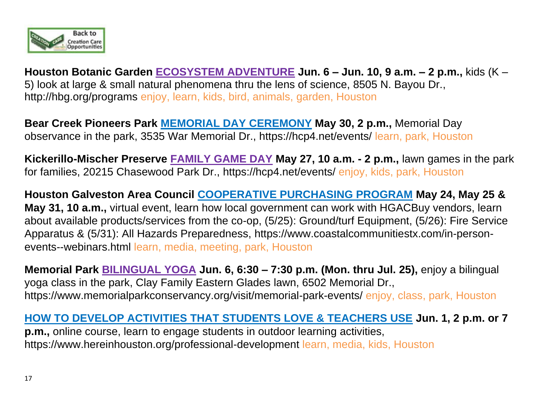

**Houston Botanic Garden ECOSYSTEM ADVENTURE Jun. 6 – Jun. 10, 9 a.m. – 2 p.m.,** kids (K – 5) look at large & small natural phenomena thru the lens of science, 8505 N. Bayou Dr., <http://hbg.org/programs> enjoy, learn, kids, bird, animals, garden, Houston

**Bear Creek Pioneers Park MEMORIAL DAY CEREMONY May 30, 2 p.m.,** Memorial Day observance in the park, 3535 War Memorial Dr., https://hcp4.net/events/ learn, park, Houston

**Kickerillo-Mischer Preserve FAMILY GAME DAY May 27, 10 a.m. - 2 p.m.,** lawn games in the park for families, 20215 Chasewood Park Dr., https://hcp4.net/events/ enjoy, kids, park, Houston

**Houston Galveston Area Council COOPERATIVE PURCHASING PROGRAM May 24, May 25 & May 31, 10 a.m.,** virtual event, learn how local government can work with HGACBuy vendors, learn about available products/services from the co-op, (5/25): Ground/turf Equipment, (5/26): Fire Service Apparatus & (5/31): All Hazards Preparedness, https://www.coastalcommunitiestx.com/in-personevents--webinars.html learn, media, meeting, park, Houston

**Memorial Park BILINGUAL YOGA Jun. 6, 6:30 – 7:30 p.m. (Mon. thru Jul. 25),** enjoy a bilingual yoga class in the park, Clay Family Eastern Glades lawn, 6502 Memorial Dr., https://www.memorialparkconservancy.org/visit/memorial-park-events/ enjoy, class, park, Houston

**HOW TO DEVELOP ACTIVITIES THAT STUDENTS LOVE & TEACHERS USE Jun. 1, 2 p.m. or 7 p.m.,** online course, learn to engage students in outdoor learning activities, <https://www.hereinhouston.org/professional-development> learn, media, kids, Houston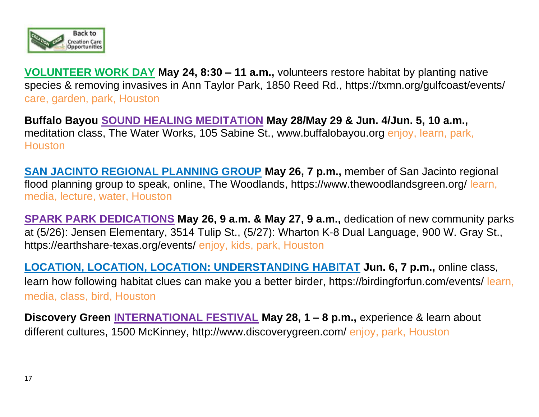

**VOLUNTEER WORK DAY May 24, 8:30 – 11 a.m.,** volunteers restore habitat by planting native species & removing invasives in Ann Taylor Park, 1850 Reed Rd., https://txmn.org/gulfcoast/events/ care, garden, park, Houston

**Buffalo Bayou SOUND HEALING MEDITATION May 28/May 29 & Jun. 4/Jun. 5, 10 a.m.,**  meditation class, The Water Works, 105 Sabine St., [www.buffalobayou.org](http://www.buffalobayou.org/) enjoy, learn, park, **Houston** 

**SAN JACINTO REGIONAL PLANNING GROUP May 26, 7 p.m.,** member of San Jacinto regional flood planning group to speak, online, The Woodlands,<https://www.thewoodlandsgreen.org/> learn, media, lecture, water, Houston

**SPARK PARK DEDICATIONS May 26, 9 a.m. & May 27, 9 a.m.,** dedication of new community parks at (5/26): Jensen Elementary, 3514 Tulip St., (5/27): Wharton K-8 Dual Language, 900 W. Gray St., https://earthshare-texas.org/events/ enjoy, kids, park, Houston

**LOCATION, LOCATION, LOCATION: UNDERSTANDING HABITAT Jun. 6, 7 p.m.,** online class, learn how following habitat clues can make you a better birder, https://birdingforfun.com/events/ learn, media, class, bird, Houston

**Discovery Green INTERNATIONAL FESTIVAL May 28, 1 – 8 p.m.,** experience & learn about different cultures, 1500 McKinney, http://www.discoverygreen.com/ enjoy, park, Houston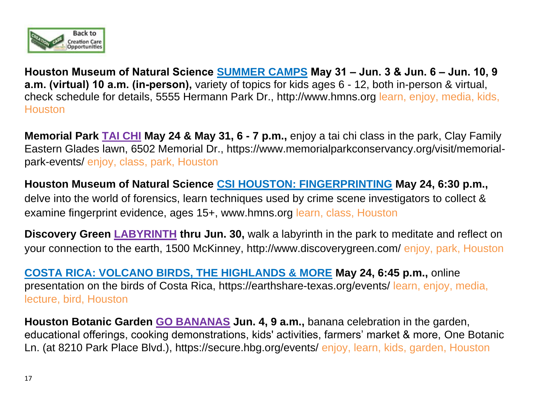

**Houston Museum of Natural Science SUMMER CAMPS May 31 – Jun. 3 & Jun. 6 – Jun. 10, 9 a.m. (virtual) 10 a.m. (in-person),** variety of topics for kids ages 6 - 12, both in-person & virtual, check schedule for details, 5555 Hermann Park Dr., http://www.hmns.org learn, enjoy, media, kids, **Houston** 

**Memorial Park TAI CHI May 24 & May 31, 6 - 7 p.m.,** enjoy a tai chi class in the park, Clay Family Eastern Glades lawn, 6502 Memorial Dr., https://www.memorialparkconservancy.org/visit/memorialpark-events/ enjoy, class, park, Houston

**Houston Museum of Natural Science CSI HOUSTON: FINGERPRINTING May 24, 6:30 p.m.,**  delve into the world of forensics, learn techniques used by crime scene investigators to collect & examine fingerprint evidence, ages 15+, www.hmns.org learn, class, Houston

**Discovery Green LABYRINTH thru Jun. 30,** walk a labyrinth in the park to meditate and reflect on your connection to the earth, 1500 McKinney, http://www.discoverygreen.com/ enjoy, park, Houston

**COSTA RICA: VOLCANO BIRDS, THE HIGHLANDS & MORE May 24, 6:45 p.m.,** online presentation on the birds of Costa Rica, https://earthshare-texas.org/events/ learn, enjoy, media, lecture, bird, Houston

**Houston Botanic Garden GO BANANAS Jun. 4, 9 a.m.,** banana celebration in the garden, educational offerings, cooking demonstrations, kids' activities, farmers' market & more, One Botanic Ln. (at 8210 Park Place Blvd.), https://secure.hbg.org/events/ enjoy, learn, kids, garden, Houston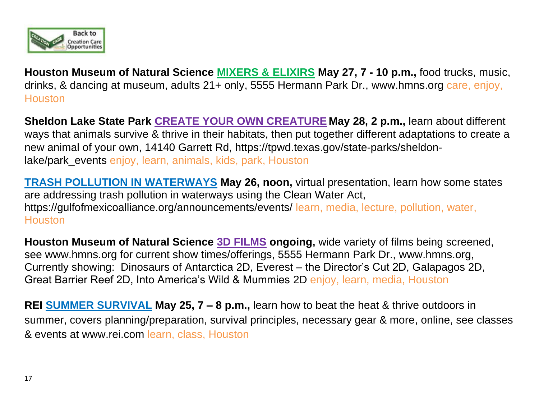

**Houston Museum of Natural Science MIXERS & ELIXIRS May 27, 7 - 10 p.m.,** food trucks, music, drinks, & dancing at museum, adults 21+ only, 5555 Hermann Park Dr., [www.hmns.org](http://www.hmns.org/) care, enjoy, **Houston** 

**Sheldon Lake State Park CREATE YOUR OWN CREATURE May 28, 2 p.m.,** learn about different ways that animals survive & thrive in their habitats, then put together different adaptations to create a new animal of your own, 14140 Garrett Rd, [https://tpwd.texas.gov/state-parks/sheldon](https://tpwd.texas.gov/state-parks/sheldon-lake/park_eve)lake/park events enjoy, learn, animals, kids, park, Houston

**TRASH POLLUTION IN WATERWAYS May 26, noon,** virtual presentation, learn how some states are addressing trash pollution in waterways using the Clean Water Act, <https://gulfofmexicoalliance.org/announcements/events/> learn, media, lecture, pollution, water, **Houston** 

**Houston Museum of Natural Science 3D FILMS ongoing,** wide variety of films being screened, see [www.hmns.org](http://www.hmns.org/) for current show times/offerings, 5555 Hermann Park Dr., [www.hmns.org,](http://www.hmns.org/) Currently showing: Dinosaurs of Antarctica 2D, Everest – the Director's Cut 2D, Galapagos 2D, Great Barrier Reef 2D, Into America's Wild & Mummies 2D enjoy, learn, media, Houston

**REI SUMMER SURVIVAL May 25, 7 – 8 p.m.,** learn how to beat the heat & thrive outdoors in summer, covers planning/preparation, survival principles, necessary gear & more, online, see classes & events at [www.rei.com](http://www.rei.com/) learn, class, Houston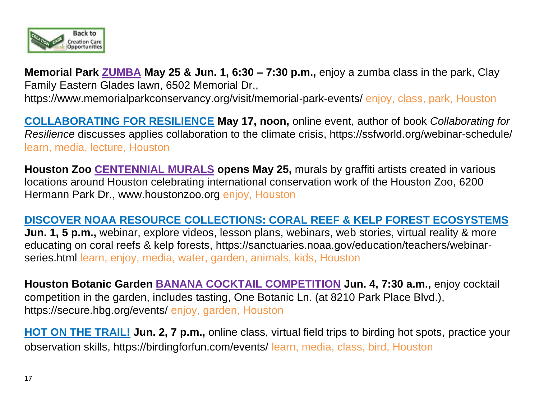

**Memorial Park ZUMBA May 25 & Jun. 1, 6:30 – 7:30 p.m.,** enjoy a zumba class in the park, Clay Family Eastern Glades lawn, 6502 Memorial Dr.,

https://www.memorialparkconservancy.org/visit/memorial-park-events/ enjoy, class, park, Houston

**COLLABORATING FOR RESILIENCE May 17, noon,** online event, author of book *Collaborating for Resilience* discusses applies collaboration to the climate crisis, <https://ssfworld.org/webinar-schedule/> learn, media, lecture, Houston

**Houston Zoo CENTENNIAL MURALS opens May 25,** murals by graffiti artists created in various locations around Houston celebrating international conservation work of the Houston Zoo, 6200 Hermann Park Dr., [www.houstonzoo.org](http://www.houstonzoo.org/) enjoy, Houston

#### **DISCOVER NOAA RESOURCE COLLECTIONS: CORAL REEF & KELP FOREST ECOSYSTEMS**

**Jun. 1, 5 p.m.,** webinar, explore videos, lesson plans, webinars, web stories, virtual reality & more educating on coral reefs & kelp forests, [https://sanctuaries.noaa.gov/education/teachers/webinar](https://sanctuaries.noaa.gov/education/teachers/webinar-series.html)[series.html](https://sanctuaries.noaa.gov/education/teachers/webinar-series.html) learn, enjoy, media, water, garden, animals, kids, Houston

**Houston Botanic Garden BANANA COCKTAIL COMPETITION Jun. 4, 7:30 a.m.,** enjoy cocktail competition in the garden, includes tasting, One Botanic Ln. (at 8210 Park Place Blvd.), https://secure.hbg.org/events/ enjoy, garden, Houston

**HOT ON THE TRAIL! Jun. 2, 7 p.m.,** online class, virtual field trips to birding hot spots, practice your observation skills, https://birdingforfun.com/events/ learn, media, class, bird, Houston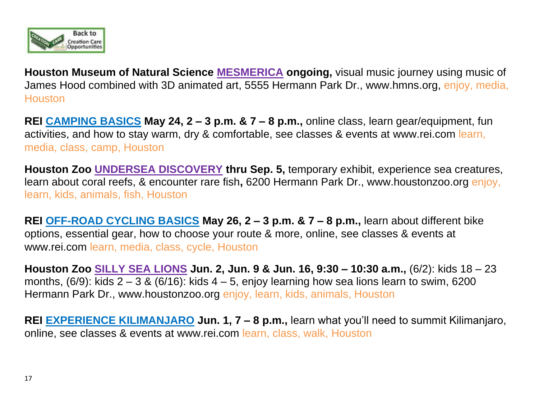

**Houston Museum of Natural Science MESMERICA ongoing,** visual music journey using music of James Hood combined with 3D animated art, 5555 Hermann Park Dr., [www.hmns.org,](http://www.hmns.org/) enjoy, media, **Houston** 

**REI CAMPING BASICS May 24, 2 – 3 p.m. & 7 – 8 p.m.,** online class, learn gear/equipment, fun activities, and how to stay warm, dry & comfortable, see classes & events at [www.rei.com](http://www.rei.com/) learn, media, class, camp, Houston

**Houston Zoo UNDERSEA DISCOVERY thru Sep. 5,** temporary exhibit, experience sea creatures, learn about coral reefs, & encounter rare fish**,** 6200 Hermann Park Dr., [www.houstonzoo.org](http://www.houstonzoo.org/) enjoy, learn, kids, animals, fish, Houston

**REI OFF-ROAD CYCLING BASICS May 26, 2 – 3 p.m. & 7 – 8 p.m.,** learn about different bike options, essential gear, how to choose your route & more, online, see classes & events at [www.rei.com](http://www.rei.com/) learn, media, class, cycle, Houston

**Houston Zoo SILLY SEA LIONS Jun. 2, Jun. 9 & Jun. 16, 9:30 – 10:30 a.m.,** (6/2): kids 18 – 23 months,  $(6/9)$ : kids  $2 - 3$  &  $(6/16)$ : kids  $4 - 5$ , enjoy learning how sea lions learn to swim, 6200 Hermann Park Dr., [www.houstonzoo.org](http://www.houstonzoo.org/) enjoy, learn, kids, animals, Houston

**REI EXPERIENCE KILIMANJARO Jun. 1, 7 – 8 p.m.,** learn what you'll need to summit Kilimanjaro, online, see classes & events at [www.rei.com](http://www.rei.com/) learn, class, walk, Houston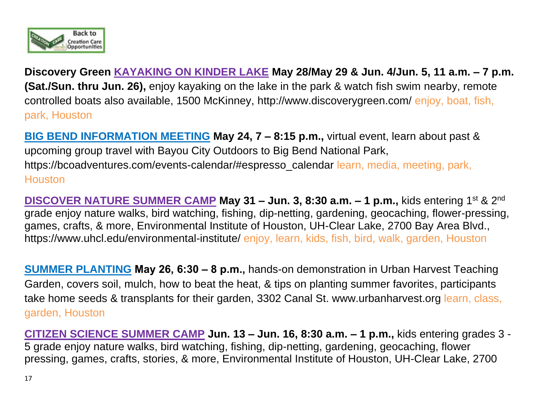

**Discovery Green KAYAKING ON KINDER LAKE May 28/May 29 & Jun. 4/Jun. 5, 11 a.m. – 7 p.m. (Sat./Sun. thru Jun. 26),** enjoy kayaking on the lake in the park & watch fish swim nearby, remote controlled boats also available, 1500 McKinney, <http://www.discoverygreen.com/> enjoy, boat, fish, park, Houston

**BIG BEND INFORMATION MEETING May 24, 7 – 8:15 p.m.,** virtual event, learn about past & upcoming group travel with Bayou City Outdoors to Big Bend National Park, https://bcoadventures.com/events-calendar/#espresso\_calendar learn, media, meeting, park, **Houston** 

**DISCOVER NATURE SUMMER CAMP May 31 – Jun. 3, 8:30 a.m. – 1 p.m.,** kids entering 1 st & 2 nd grade enjoy nature walks, bird watching, fishing, dip-netting, gardening, geocaching, flower-pressing, games, crafts, & more, Environmental Institute of Houston, UH-Clear Lake, 2700 Bay Area Blvd., <https://www.uhcl.edu/environmental-institute/> enjoy, learn, kids, fish, bird, walk, garden, Houston

**SUMMER PLANTING May 26, 6:30 – 8 p.m.,** hands-on demonstration in Urban Harvest Teaching Garden, covers soil, mulch, how to beat the heat, & tips on planting summer favorites, participants take home seeds & transplants for their garden, 3302 Canal St. [www.urbanharvest.org](http://www.urbanharvest.org/) learn, class, garden, Houston

**CITIZEN SCIENCE SUMMER CAMP Jun. 13 – Jun. 16, 8:30 a.m. – 1 p.m.,** kids entering grades 3 - 5 grade enjoy nature walks, bird watching, fishing, dip-netting, gardening, geocaching, flower pressing, games, crafts, stories, & more, Environmental Institute of Houston, UH-Clear Lake, 2700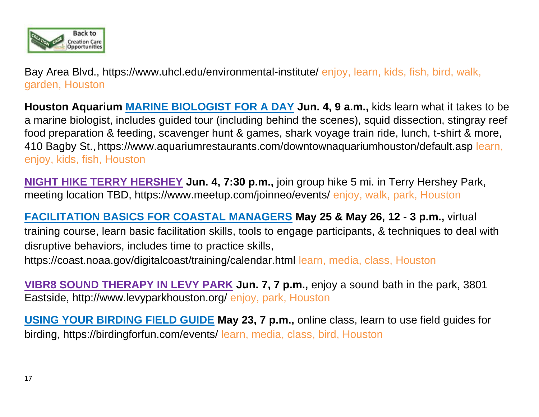

Bay Area Blvd.,<https://www.uhcl.edu/environmental-institute/> enjoy, learn, kids, fish, bird, walk, garden, Houston

**Houston Aquarium MARINE BIOLOGIST FOR A DAY Jun. 4, 9 a.m.,** kids learn what it takes to be a marine biologist, includes guided tour (including behind the scenes), squid dissection, stingray reef food preparation & feeding, scavenger hunt & games, shark voyage train ride, lunch, t-shirt & more, 410 Bagby St., https://www.aquariumrestaurants.com/downtownaquariumhouston/default.asp learn, enjoy, kids, fish, Houston

**NIGHT HIKE TERRY HERSHEY Jun. 4, 7:30 p.m.,** join group hike 5 mi. in Terry Hershey Park, meeting location TBD,<https://www.meetup.com/joinneo/events/> enjoy, walk, park, Houston

**FACILITATION BASICS FOR COASTAL MANAGERS May 25 & May 26, 12 - 3 p.m.,** virtual training course, learn basic facilitation skills, tools to engage participants, & techniques to deal with disruptive behaviors, includes time to practice skills, <https://coast.noaa.gov/digitalcoast/training/calendar.html> learn, media, class, Houston

**VIBR8 SOUND THERAPY IN LEVY PARK Jun. 7, 7 p.m.,** enjoy a sound bath in the park, 3801 Eastside,<http://www.levyparkhouston.org/> enjoy, park, Houston

**USING YOUR BIRDING FIELD GUIDE May 23, 7 p.m.,** online class, learn to use field guides for birding, https://birdingforfun.com/events/ learn, media, class, bird, Houston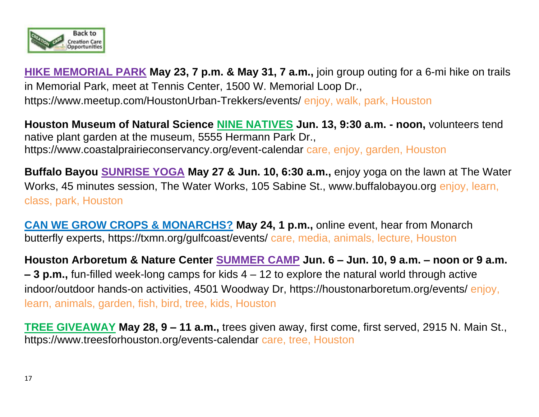

**HIKE MEMORIAL PARK May 23, 7 p.m. & May 31, 7 a.m.,** join group outing for a 6-mi hike on trails in Memorial Park, meet at Tennis Center, 1500 W. Memorial Loop Dr., <https://www.meetup.com/HoustonUrban-Trekkers/events/> enjoy, walk, park, Houston

**Houston Museum of Natural Science NINE NATIVES Jun. 13, 9:30 a.m. - noon,** volunteers tend native plant garden at the museum, 5555 Hermann Park Dr., https://www.coastalprairieconservancy.org/event-calendar care, enjoy, garden, Houston

**Buffalo Bayou SUNRISE YOGA May 27 & Jun. 10, 6:30 a.m.,** enjoy yoga on the lawn at The Water Works, 45 minutes session, The Water Works, 105 Sabine St., www.buffalobayou.org enjoy, learn, class, park, Houston

**CAN WE GROW CROPS & MONARCHS? May 24, 1 p.m.,** online event, hear from Monarch butterfly experts, https://txmn.org/gulfcoast/events/ care, media, animals, lecture, Houston

**Houston Arboretum & Nature Center SUMMER CAMP Jun. 6 – Jun. 10, 9 a.m. – noon or 9 a.m. – 3 p.m.,** fun-filled week-long camps for kids 4 – 12 to explore the natural world through active indoor/outdoor hands-on activities, 4501 Woodway Dr, https://houstonarboretum.org/events/ enjoy, learn, animals, garden, fish, bird, tree, kids, Houston

**TREE GIVEAWAY May 28, 9 – 11 a.m.,** trees given away, first come, first served, 2915 N. Main St., <https://www.treesforhouston.org/events-calendar> care, tree, Houston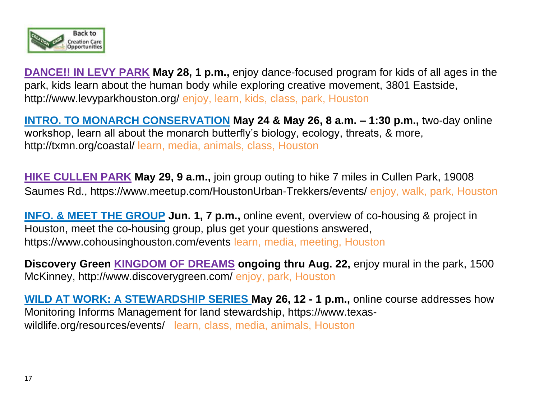

**DANCE!! IN LEVY PARK May 28, 1 p.m.,** enjoy dance-focused program for kids of all ages in the park, kids learn about the human body while exploring creative movement, 3801 Eastside, <http://www.levyparkhouston.org/> enjoy, learn, kids, class, park, Houston

**INTRO. TO MONARCH CONSERVATION May 24 & May 26, 8 a.m. – 1:30 p.m.,** two-day online workshop, learn all about the monarch butterfly's biology, ecology, threats, & more, <http://txmn.org/coastal/> learn, media, animals, class, Houston

**HIKE CULLEN PARK May 29, 9 a.m.,** join group outing to hike 7 miles in Cullen Park, 19008 Saumes Rd.,<https://www.meetup.com/HoustonUrban-Trekkers/events/> enjoy, walk, park, Houston

**INFO. & MEET THE GROUP** Jun. 1, 7 p.m., online event, overview of co-housing & project in Houston, meet the co-housing group, plus get your questions answered, https://www.cohousinghouston.com/events learn, media, meeting, Houston

**Discovery Green KINGDOM OF DREAMS ongoing thru Aug. 22,** enjoy mural in the park, 1500 McKinney, http://www.discoverygreen.com/ enjoy, park, Houston

**WILD AT WORK: A STEWARDSHIP SERIES May 26, 12 - 1 p.m.,** online course addresses how Monitoring Informs Management for land stewardship, [https://www.texas](https://www.texas-wildlife.org/resources/events/)[wildlife.org/resources/events/](https://www.texas-wildlife.org/resources/events/) learn, class, media, animals, Houston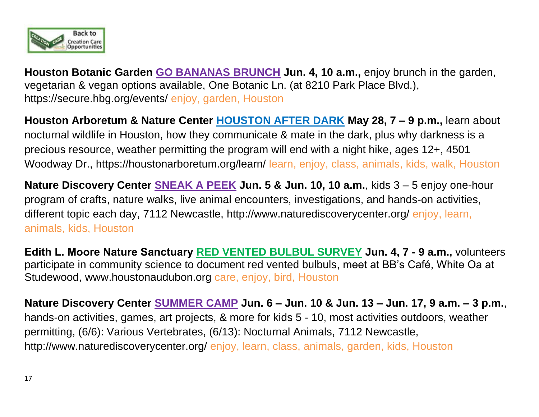

**Houston Botanic Garden GO BANANAS BRUNCH Jun. 4, 10 a.m.,** enjoy brunch in the garden, vegetarian & vegan options available, One Botanic Ln. (at 8210 Park Place Blvd.), https://secure.hbg.org/events/ enjoy, garden, Houston

**Houston Arboretum & Nature Center HOUSTON AFTER DARK May 28, 7 – 9 p.m.,** learn about nocturnal wildlife in Houston, how they communicate & mate in the dark, plus why darkness is a precious resource, weather permitting the program will end with a night hike, ages 12+, 4501 Woodway Dr.,<https://houstonarboretum.org/learn/> learn, enjoy, class, animals, kids, walk, Houston

**Nature Discovery Center SNEAK A PEEK Jun. 5 & Jun. 10, 10 a.m.**, kids 3 – 5 enjoy one-hour program of crafts, nature walks, live animal encounters, investigations, and hands-on activities, different topic each day, 7112 Newcastle,<http://www.naturediscoverycenter.org/> enjoy, learn, animals, kids, Houston

**Edith L. Moore Nature Sanctuary RED VENTED BULBUL SURVEY Jun. 4, 7 - 9 a.m.,** volunteers participate in community science to document red vented bulbuls, meet at BB's Café, White Oa at Studewood, [www.houstonaudubon.org](http://www.houstonaudubon.org/) care, enjoy, bird, Houston

**Nature Discovery Center SUMMER CAMP Jun. 6 – Jun. 10 & Jun. 13 – Jun. 17, 9 a.m. – 3 p.m.**, hands-on activities, games, art projects, & more for kids 5 - 10, most activities outdoors, weather permitting, (6/6): Various Vertebrates, (6/13): Nocturnal Animals, 7112 Newcastle, <http://www.naturediscoverycenter.org/> enjoy, learn, class, animals, garden, kids, Houston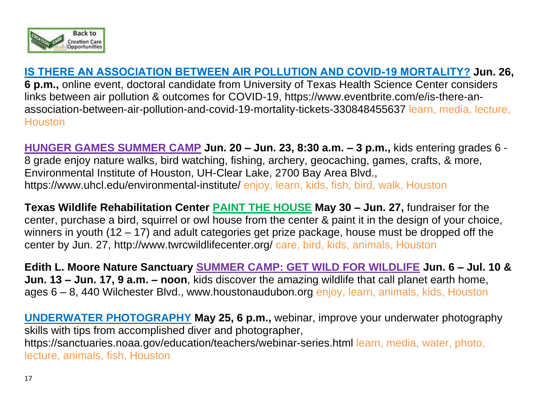

### **IS THERE AN ASSOCIATION BETWEEN AIR POLLUTION AND COVID-19 MORTALITY? Jun. 26,**

**6 p.m.,** online event, doctoral candidate from University of Texas Health Science Center considers links between air pollution & outcomes for COVID-19, https://www.eventbrite.com/e/is-there-anassociation-between-air-pollution-and-covid-19-mortality-tickets-330848455637 learn, media, lecture, **Houston** 

**HUNGER GAMES SUMMER CAMP Jun. 20 – Jun. 23, 8:30 a.m. – 3 p.m.,** kids entering grades 6 - 8 grade enjoy nature walks, bird watching, fishing, archery, geocaching, games, crafts, & more, Environmental Institute of Houston, UH-Clear Lake, 2700 Bay Area Blvd., <https://www.uhcl.edu/environmental-institute/> enjoy, learn, kids, fish, bird, walk, Houston

**Texas Wildlife Rehabilitation Center PAINT THE HOUSE May 30 – Jun. 27,** fundraiser for the center, purchase a bird, squirrel or owl house from the center & paint it in the design of your choice, winners in youth (12 – 17) and adult categories get prize package, house must be dropped off the center by Jun. 27, http://www.twrcwildlifecenter.org/ care, bird, kids, animals, Houston

**Edith L. Moore Nature Sanctuary SUMMER CAMP: GET WILD FOR WILDLIFE Jun. 6 – Jul. 10 & Jun. 13 – Jun. 17, 9 a.m. – noon**, kids discover the amazing wildlife that call planet earth home, ages 6 – 8, 440 Wilchester Blvd., [www.houstonaudubon.org](http://www.houstonaudubon.org/) enjoy, learn, animals, kids, Houston

**UNDERWATER PHOTOGRAPHY May 25, 6 p.m.,** webinar, improve your underwater photography skills with tips from accomplished diver and photographer, <https://sanctuaries.noaa.gov/education/teachers/webinar-series.html> learn, media, water, photo, lecture, animals, fish, Houston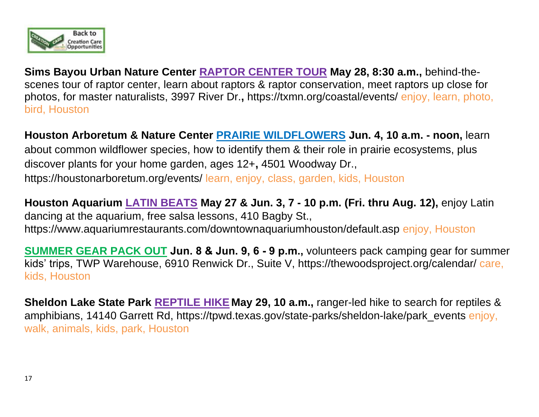

**Sims Bayou Urban Nature Center RAPTOR CENTER TOUR May 28, 8:30 a.m.,** behind-thescenes tour of raptor center, learn about raptors & raptor conservation, meet raptors up close for photos, for master naturalists, 3997 River Dr.**,** https://txmn.org/coastal/events/ enjoy, learn, photo, bird, Houston

**Houston Arboretum & Nature Center PRAIRIE WILDFLOWERS Jun. 4, 10 a.m. - noon,** learn about common wildflower species, how to identify them & their role in prairie ecosystems, plus discover plants for your home garden, ages 12+**,** 4501 Woodway Dr., <https://houstonarboretum.org/events/> learn, enjoy, class, garden, kids, Houston

**Houston Aquarium LATIN BEATS May 27 & Jun. 3, 7 - 10 p.m. (Fri. thru Aug. 12),** enjoy Latin dancing at the aquarium, free salsa lessons, 410 Bagby St., https://www.aquariumrestaurants.com/downtownaquariumhouston/default.asp enjoy, Houston

**SUMMER GEAR PACK OUT Jun. 8 & Jun. 9, 6 - 9 p.m.,** volunteers pack camping gear for summer kids' trips, TWP Warehouse, 6910 Renwick Dr., Suite V, https://thewoodsproject.org/calendar/ care, kids, Houston

**Sheldon Lake State Park REPTILE HIKE May 29, 10 a.m.,** ranger-led hike to search for reptiles & amphibians, 14140 Garrett Rd, [https://tpwd.texas.gov/state-parks/sheldon-lake/park\\_even](https://tpwd.texas.gov/state-parks/sheldon-lake/park_eve)ts enjoy, walk, animals, kids, park, Houston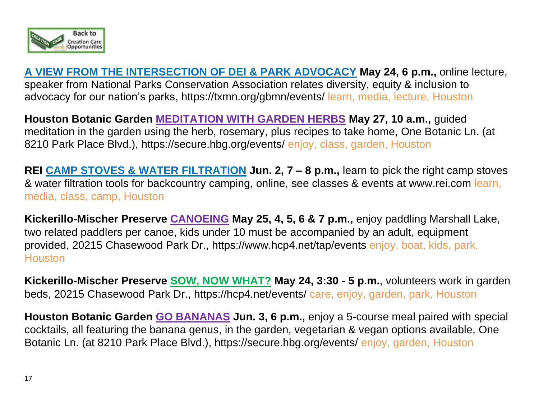

**A VIEW FROM THE INTERSECTION OF DEI & PARK ADVOCACY May 24, 6 p.m.,** online lecture, speaker from National Parks Conservation Association relates diversity, equity & inclusion to advocacy for our nation's parks,<https://txmn.org/gbmn/events/> learn, media, lecture, Houston

**Houston Botanic Garden MEDITATION WITH GARDEN HERBS May 27, 10 a.m.,** guided meditation in the garden using the herb, rosemary, plus recipes to take home, One Botanic Ln. (at 8210 Park Place Blvd.), https://secure.hbg.org/events/ enjoy, class, garden, Houston

**REI CAMP STOVES & WATER FILTRATION Jun. 2, 7 – 8 p.m.,** learn to pick the right camp stoves & water filtration tools for backcountry camping, online, see classes & events at [www.rei.com](http://www.rei.com/) learn, media, class, camp, Houston

**Kickerillo-Mischer Preserve CANOEING May 25, 4, 5, 6 & 7 p.m.,** enjoy paddling Marshall Lake, two related paddlers per canoe, kids under 10 must be accompanied by an adult, equipment provided, 20215 Chasewood Park Dr., https://www.hcp4.net/tap/events enjoy, boat, kids, park, **Houston** 

**Kickerillo-Mischer Preserve SOW, NOW WHAT? May 24, 3:30 - 5 p.m.**, volunteers work in garden beds, 20215 Chasewood Park Dr., https://hcp4.net/events/ care, enjoy, garden, park, Houston

**Houston Botanic Garden GO BANANAS Jun. 3, 6 p.m.,** enjoy a 5-course meal paired with special cocktails, all featuring the banana genus, in the garden, vegetarian & vegan options available, One Botanic Ln. (at 8210 Park Place Blvd.), https://secure.hbg.org/events/ enjoy, garden, Houston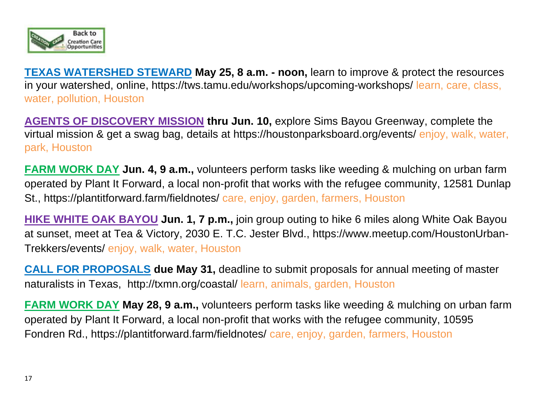

**TEXAS WATERSHED STEWARD May 25, 8 a.m. - noon,** learn to improve & protect the resources in your watershed, online, https://tws.tamu.edu/workshops/upcoming-workshops/ learn, care, class, water, pollution, Houston

**AGENTS OF DISCOVERY MISSION thru Jun. 10, explore Sims Bayou Greenway, complete the** virtual mission & get a swag bag, details at https://houstonparksboard.org/events/ enjoy, walk, water, park, Houston

**FARM WORK DAY Jun. 4, 9 a.m.,** volunteers perform tasks like weeding & mulching on urban farm operated by Plant It Forward, a local non-profit that works with the refugee community, 12581 Dunlap St., https://plantitforward.farm/fieldnotes/ care, enjoy, garden, farmers, Houston

**HIKE WHITE OAK BAYOU Jun. 1, 7 p.m.,** join group outing to hike 6 miles along White Oak Bayou at sunset, meet at Tea & Victory, 2030 E. T.C. Jester Blvd., [https://www.meetup.com/HoustonUrban-](https://www.meetup.com/HoustonUrban-Trekkers/events/)[Trekkers/events/](https://www.meetup.com/HoustonUrban-Trekkers/events/) enjoy, walk, water, Houston

**CALL FOR PROPOSALS due May 31, deadline to submit proposals for annual meeting of master** naturalists in Texas, <http://txmn.org/coastal/> learn, animals, garden, Houston

**FARM WORK DAY May 28, 9 a.m.,** volunteers perform tasks like weeding & mulching on urban farm operated by Plant It Forward, a local non-profit that works with the refugee community, 10595 Fondren Rd., https://plantitforward.farm/fieldnotes/ care, enjoy, garden, farmers, Houston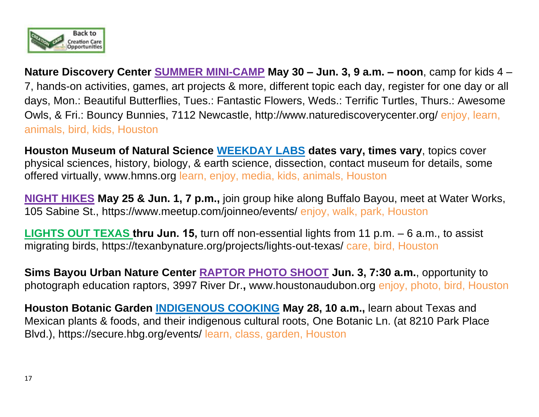

**Nature Discovery Center SUMMER MINI-CAMP May 30 – Jun. 3, 9 a.m. – noon**, camp for kids 4 – 7, hands-on activities, games, art projects & more, different topic each day, register for one day or all days, Mon.: Beautiful Butterflies, Tues.: Fantastic Flowers, Weds.: Terrific Turtles, Thurs.: Awesome Owls, & Fri.: Bouncy Bunnies, 7112 Newcastle,<http://www.naturediscoverycenter.org/> enjoy, learn, animals, bird, kids, Houston

**Houston Museum of Natural Science WEEKDAY LABS dates vary, times vary**, topics cover physical sciences, history, biology, & earth science, dissection, contact museum for details, some offered virtually, [www.hmns.org](http://www.hmns.org/) learn, enjoy, media, kids, animals, Houston

**NIGHT HIKES May 25 & Jun. 1, 7 p.m.,** join group hike along Buffalo Bayou, meet at Water Works, 105 Sabine St.,<https://www.meetup.com/joinneo/events/> enjoy, walk, park, Houston

**LIGHTS OUT TEXAS thru Jun. 15,** turn off non-essential lights from 11 p.m. – 6 a.m., to assist migrating birds,<https://texanbynature.org/projects/lights-out-texas/> care, bird, Houston

**Sims Bayou Urban Nature Center RAPTOR PHOTO SHOOT Jun. 3, 7:30 a.m.**, opportunity to photograph education raptors, 3997 River Dr.**,** [www.houstonaudubon.org](http://www.houstonaudubon.org/) enjoy, photo, bird, Houston

**Houston Botanic Garden INDIGENOUS COOKING May 28, 10 a.m.,** learn about Texas and Mexican plants & foods, and their indigenous cultural roots, One Botanic Ln. (at 8210 Park Place Blvd.), https://secure.hbg.org/events/ learn, class, garden, Houston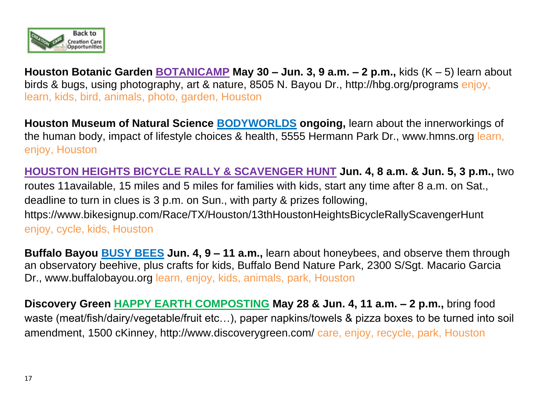

**Houston Botanic Garden BOTANICAMP May 30 – Jun. 3, 9 a.m. – 2 p.m.,** kids (K – 5) learn about birds & bugs, using photography, art & nature, 8505 N. Bayou Dr.,<http://hbg.org/programs> enjoy, learn, kids, bird, animals, photo, garden, Houston

**Houston Museum of Natural Science BODYWORLDS ongoing,** learn about the innerworkings of the human body, impact of lifestyle choices & health, 5555 Hermann Park Dr., [www.hmns.org](http://www.hmns.org/) learn, enjoy, Houston

**HOUSTON HEIGHTS BICYCLE RALLY & SCAVENGER HUNT Jun. 4, 8 a.m. & Jun. 5, 3 p.m.,** two routes 11available, 15 miles and 5 miles for families with kids, start any time after 8 a.m. on Sat., deadline to turn in clues is 3 p.m. on Sun., with party & prizes following, <https://www.bikesignup.com/Race/TX/Houston/13thHoustonHeightsBicycleRallyScavengerHunt> enjoy, cycle, kids, Houston

**Buffalo Bayou BUSY BEES Jun. 4, 9 – 11 a.m.,** learn about honeybees, and observe them through an observatory beehive, plus crafts for kids, Buffalo Bend Nature Park, 2300 S/Sgt. Macario Garcia Dr., [www.buffalobayou.org](http://www.buffalobayou.org/) learn, enjoy, kids, animals, park, Houston

**Discovery Green HAPPY EARTH COMPOSTING May 28 & Jun. 4, 11 a.m. – 2 p.m.,** bring food waste (meat/fish/dairy/vegetable/fruit etc…), paper napkins/towels & pizza boxes to be turned into soil amendment, 1500 cKinney, http://www.discoverygreen.com/ care, enjoy, recycle, park, Houston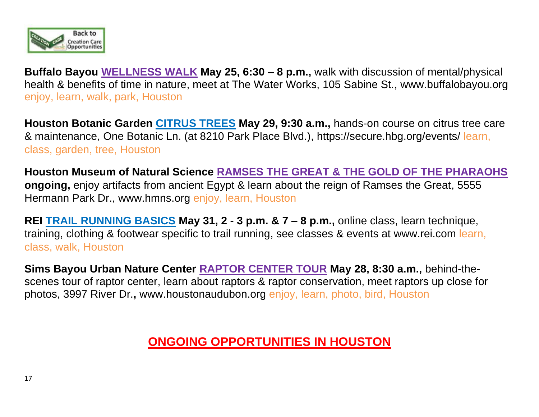

**Buffalo Bayou WELLNESS WALK May 25, 6:30 – 8 p.m.,** walk with discussion of mental/physical health & benefits of time in nature, meet at The Water Works, 105 Sabine St., [www.buffalobayou.org](http://www.buffalobayou.org/) enjoy, learn, walk, park, Houston

**Houston Botanic Garden CITRUS TREES May 29, 9:30 a.m.,** hands-on course on citrus tree care & maintenance, One Botanic Ln. (at 8210 Park Place Blvd.), https://secure.hbg.org/events/ learn, class, garden, tree, Houston

**Houston Museum of Natural Science RAMSES THE GREAT & THE GOLD OF THE PHARAOHS ongoing,** enjoy artifacts from ancient Egypt & learn about the reign of Ramses the Great, 5555 Hermann Park Dr., [www.hmns.org](http://www.hmns.org/) enjoy, learn, Houston

**REI TRAIL RUNNING BASICS May 31, 2 - 3 p.m. & 7 – 8 p.m.,** online class, learn technique, training, clothing & footwear specific to trail running, see classes & events at [www.rei.com](http://www.rei.com/) learn, class, walk, Houston

**Sims Bayou Urban Nature Center RAPTOR CENTER TOUR May 28, 8:30 a.m.,** behind-thescenes tour of raptor center, learn about raptors & raptor conservation, meet raptors up close for photos, 3997 River Dr.**,** [www.houstonaudubon.org](http://www.houstonaudubon.org/) enjoy, learn, photo, bird, Houston

## **ONGOING OPPORTUNITIES IN HOUSTON**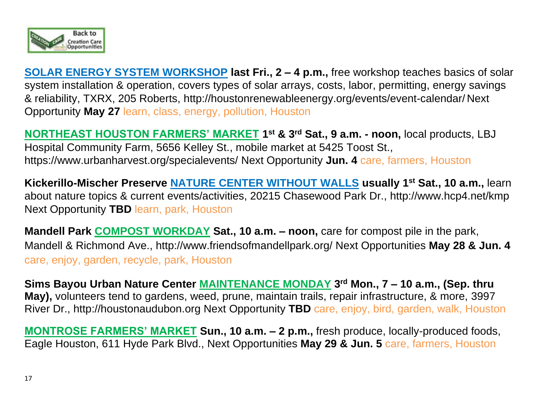

**SOLAR ENERGY SYSTEM WORKSHOP last Fri., 2 – 4 p.m.,** free workshop teaches basics of solar system installation & operation, covers types of solar arrays, costs, labor, permitting, energy savings & reliability, TXRX, 205 Roberts, http://houstonrenewableenergy.org/events/event-calendar/ Next Opportunity **May 27** learn, class, energy, pollution, Houston

**NORTHEAST HOUSTON FARMERS' MARKET 1 st & 3rd Sat., 9 a.m. - noon,** local products, LBJ Hospital Community Farm, 5656 Kelley St., mobile market at 5425 Toost St., <https://www.urbanharvest.org/specialevents/> Next Opportunity **Jun. 4** care, farmers, Houston

**Kickerillo-Mischer Preserve NATURE CENTER WITHOUT WALLS usually 1st Sat., 10 a.m.,** learn about nature topics & current events/activities, 20215 Chasewood Park Dr.,<http://www.hcp4.net/kmp> Next Opportunity **TBD** learn, park, Houston

**Mandell Park COMPOST WORKDAY Sat., 10 a.m. – noon, care for compost pile in the park,** Mandell & Richmond Ave., http://www.friendsofmandellpark.org/ Next Opportunities **May 28 & Jun. 4** care, enjoy, garden, recycle, park, Houston

**Sims Bayou Urban Nature Center MAINTENANCE MONDAY 3 rd Mon., 7 – 10 a.m., (Sep. thru May),** volunteers tend to gardens, weed, prune, maintain trails, repair infrastructure, & more, 3997 River Dr., [http://houstonaudubon.org](http://houstonaudubon.org/) Next Opportunity **TBD** care, enjoy, bird, garden, walk, Houston

**MONTROSE FARMERS' MARKET Sun., 10 a.m. – 2 p.m.,** fresh produce, locally-produced foods, Eagle Houston, 611 Hyde Park Blvd., Next Opportunities **May 29 & Jun. 5** care, farmers, Houston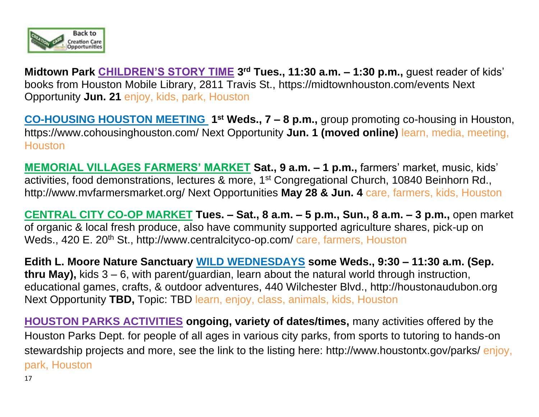

**Midtown Park CHILDREN'S STORY TIME 3 rd Tues., 11:30 a.m. – 1:30 p.m.,** guest reader of kids' books from Houston Mobile Library, 2811 Travis St.,<https://midtownhouston.com/events> Next Opportunity **Jun. 21** enjoy, kids, park, Houston

**CO-HOUSING HOUSTON MEETING** 1<sup>st</sup> Weds., 7 – 8 p.m., group promoting co-housing in Houston, <https://www.cohousinghouston.com/> Next Opportunity **Jun. 1 (moved online)** learn, media, meeting, **Houston** 

**MEMORIAL VILLAGES FARMERS' MARKET Sat., 9 a.m. – 1 p.m.,** farmers' market, music, kids' activities, food demonstrations, lectures & more, 1st Congregational Church, 10840 Beinhorn Rd., <http://www.mvfarmersmarket.org/> Next Opportunities **May 28 & Jun. 4** care, farmers, kids, Houston

**CENTRAL CITY CO-OP MARKET Tues. – Sat., 8 a.m. – 5 p.m., Sun., 8 a.m. – 3 p.m.,** open market of organic & local fresh produce, also have community supported agriculture shares, pick-up on Weds., 420 E. 20<sup>th</sup> St.,<http://www.centralcityco-op.com/> care, farmers, Houston

**Edith L. Moore Nature Sanctuary WILD WEDNESDAYS some Weds., 9:30 – 11:30 a.m. (Sep. thru May),** kids 3 – 6, with parent/guardian, learn about the natural world through instruction, educational games, crafts, & outdoor adventures, 440 Wilchester Blvd., [http://houstonaudubon.org](http://houstonaudubon.org/) Next Opportunity **TBD,** Topic: TBD learn, enjoy, class, animals, kids, Houston

**HOUSTON PARKS ACTIVITIES ongoing, variety of dates/times,** many activities offered by the Houston Parks Dept. for people of all ages in various city parks, from sports to tutoring to hands-on stewardship projects and more, see the link to the listing here:<http://www.houstontx.gov/parks/> enjoy, park, Houston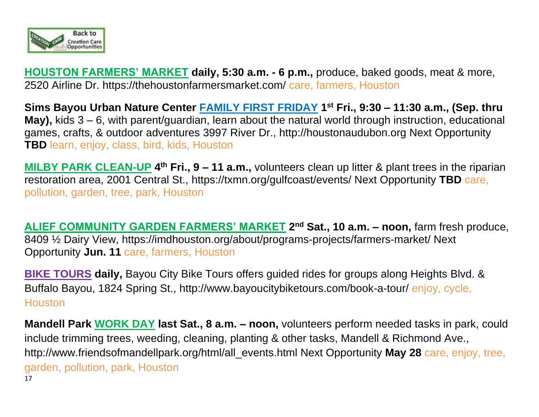

**HOUSTON FARMERS' MARKET daily, 5:30 a.m. - 6 p.m.,** produce, baked goods, meat & more, 2520 Airline Dr. https://thehoustonfarmersmarket.com/ care, farmers, Houston

**Sims Bayou Urban Nature Center FAMILY FIRST FRIDAY 1 st Fri., 9:30 – 11:30 a.m., (Sep. thru May),** kids 3 – 6, with parent/guardian, learn about the natural world through instruction, educational games, crafts, & outdoor adventures 3997 River Dr., [http://houstonaudubon.org](http://houstonaudubon.org/) Next Opportunity **TBD** learn, enjoy, class, bird, kids, Houston

**MILBY PARK CLEAN-UP** 4<sup>th</sup> Fri., 9 – 11 a.m., volunteers clean up litter & plant trees in the riparian restoration area, 2001 Central St.,<https://txmn.org/gulfcoast/events/> Next Opportunity **TBD** care, pollution, garden, tree, park, Houston

**ALIEF COMMUNITY GARDEN FARMERS' MARKET 2 nd Sat., 10 a.m. – noon,** farm fresh produce, 8409 ½ Dairy View, https://imdhouston.org/about/programs-projects/farmers-market/ Next Opportunity **Jun. 11** care, farmers, Houston

**BIKE TOURS daily,** Bayou City Bike Tours offers guided rides for groups along Heights Blvd. & Buffalo Bayou, 1824 Spring St., http://www.bayoucitybiketours.com/book-a-tour/ enjoy, cycle, **Houston** 

17 **Mandell Park WORK DAY last Sat., 8 a.m. – noon,** volunteers perform needed tasks in park, could include trimming trees, weeding, cleaning, planting & other tasks, Mandell & Richmond Ave., [http://www.friendsofmandellpark.org/html/all\\_events.html](http://www.friendsofmandellpark.org/html/all_events.html) Next Opportunity **May 28** care, enjoy, tree, garden, pollution, park, Houston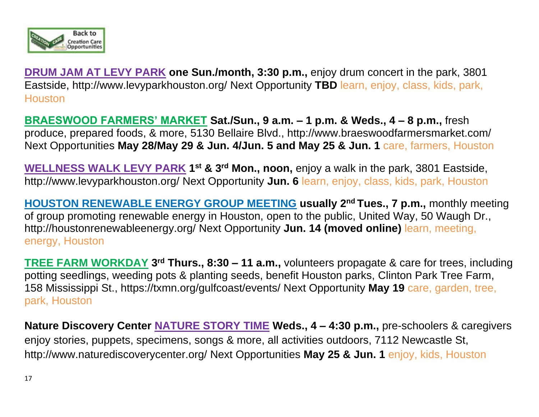

**DRUM JAM AT LEVY PARK one Sun./month, 3:30 p.m.,** enjoy drum concert in the park, 3801 Eastside,<http://www.levyparkhouston.org/> Next Opportunity **TBD** learn, enjoy, class, kids, park, **Houston** 

**BRAESWOOD FARMERS' MARKET Sat./Sun., 9 a.m. – 1 p.m. & Weds., 4 – 8 p.m.,** fresh produce, prepared foods, & more, 5130 Bellaire Blvd.,<http://www.braeswoodfarmersmarket.com/> Next Opportunities **May 28/May 29 & Jun. 4/Jun. 5 and May 25 & Jun. 1** care, farmers, Houston

**WELLNESS WALK LEVY PARK 1 st & 3rd Mon., noon,** enjoy a walk in the park, 3801 Eastside, <http://www.levyparkhouston.org/> Next Opportunity **Jun. 6** learn, enjoy, class, kids, park, Houston

**HOUSTON RENEWABLE ENERGY GROUP MEETING usually 2 nd Tues., 7 p.m.,** monthly meeting of group promoting renewable energy in Houston, open to the public, United Way, 50 Waugh Dr., <http://houstonrenewableenergy.org/> Next Opportunity **Jun. 14 (moved online)** learn, meeting, energy, Houston

**TREE FARM WORKDAY 3 rd Thurs., 8:30 – 11 a.m.,** volunteers propagate & care for trees, including potting seedlings, weeding pots & planting seeds, benefit Houston parks, Clinton Park Tree Farm, 158 Mississippi St.,<https://txmn.org/gulfcoast/events/> Next Opportunity **May 19** care, garden, tree, park, Houston

**Nature Discovery Center NATURE STORY TIME Weds., 4 – 4:30 p.m.,** pre-schoolers & caregivers enjoy stories, puppets, specimens, songs & more, all activities outdoors, 7112 Newcastle St, <http://www.naturediscoverycenter.org/> Next Opportunities **May 25 & Jun. 1** enjoy, kids, Houston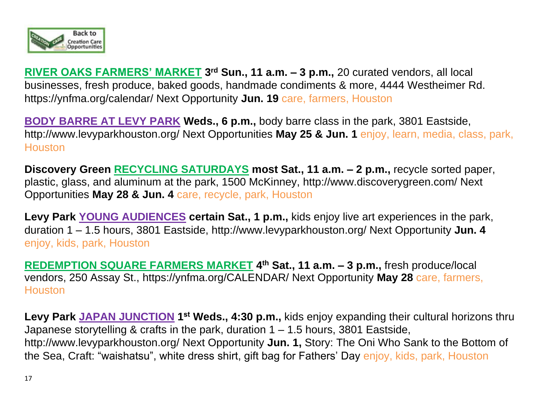

**RIVER OAKS FARMERS' MARKET 3 rd Sun., 11 a.m. – 3 p.m.,** 20 curated vendors, all local businesses, fresh produce, baked goods, handmade condiments & more, 4444 Westheimer Rd. https://ynfma.org/calendar/ Next Opportunity **Jun. 19** care, farmers, Houston

**BODY BARRE AT LEVY PARK Weds., 6 p.m.,** body barre class in the park, 3801 Eastside, <http://www.levyparkhouston.org/> Next Opportunities **May 25 & Jun. 1** enjoy, learn, media, class, park, **Houston** 

**Discovery Green RECYCLING SATURDAYS most Sat., 11 a.m. – 2 p.m.,** recycle sorted paper, plastic, glass, and aluminum at the park, 1500 McKinney, http://www.discoverygreen.com/ Next Opportunities **May 28 & Jun. 4** care, recycle, park, Houston

**Levy Park YOUNG AUDIENCES certain Sat., 1 p.m.,** kids enjoy live art experiences in the park, duration 1 – 1.5 hours, 3801 Eastside,<http://www.levyparkhouston.org/> Next Opportunity **Jun. 4** enjoy, kids, park, Houston

**REDEMPTION SQUARE FARMERS MARKET 4 th Sat., 11 a.m. – 3 p.m.,** fresh produce/local vendors, 250 Assay St., https://ynfma.org/CALENDAR/ Next Opportunity **May 28** care, farmers, **Houston** 

Levy Park JAPAN JUNCTION 1<sup>st</sup> Weds., 4:30 p.m., kids enjoy expanding their cultural horizons thru Japanese storytelling & crafts in the park, duration 1 – 1.5 hours, 3801 Eastside, <http://www.levyparkhouston.org/> Next Opportunity **Jun. 1,** Story: The Oni Who Sank to the Bottom of the Sea, Craft: "waishatsu", white dress shirt, gift bag for Fathers' Day enjoy, kids, park, Houston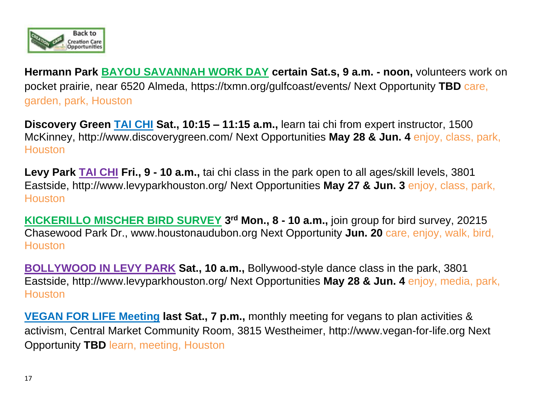

**Hermann Park BAYOU SAVANNAH WORK DAY certain Sat.s, 9 a.m. - noon,** volunteers work on pocket prairie, near 6520 Almeda, https://txmn.org/gulfcoast/events/ Next Opportunity **TBD** care, garden, park, Houston

**Discovery Green TAI CHI Sat., 10:15 – 11:15 a.m.,** learn tai chi from expert instructor, 1500 McKinney, http://www.discoverygreen.com/ Next Opportunities **May 28 & Jun. 4** enjoy, class, park, **Houston** 

**Levy Park TAI CHI Fri., 9 - 10 a.m.,** tai chi class in the park open to all ages/skill levels, 3801 Eastside,<http://www.levyparkhouston.org/> Next Opportunities **May 27 & Jun. 3** enjoy, class, park, **Houston** 

**KICKERILLO MISCHER BIRD SURVEY 3<sup>rd</sup> Mon., 8 - 10 a.m.,** join group for bird survey, 20215 Chasewood Park Dr., [www.houstonaudubon.org](http://www.houstonaudubon.org/) Next Opportunity **Jun. 20** care, enjoy, walk, bird, **Houston** 

**BOLLYWOOD IN LEVY PARK Sat., 10 a.m.,** Bollywood-style dance class in the park, 3801 Eastside,<http://www.levyparkhouston.org/> Next Opportunities **May 28 & Jun. 4** enjoy, media, park, **Houston** 

**VEGAN FOR LIFE Meeting last Sat., 7 p.m.,** monthly meeting for vegans to plan activities & activism, Central Market Community Room, 3815 Westheimer, [http://www.vegan-for-life.org](http://www.vegan-for-life.org/about.html) Next Opportunity **TBD** learn, meeting, Houston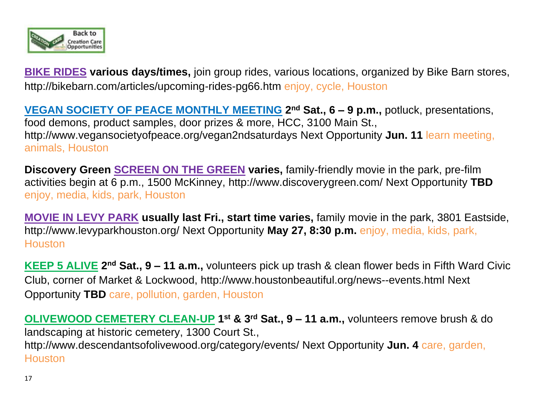

**BIKE RIDES various days/times,** join group rides, various locations, organized by Bike Barn stores, <http://bikebarn.com/articles/upcoming-rides-pg66.htm> enjoy, cycle, Houston

**VEGAN SOCIETY OF PEACE MONTHLY MEETING** 2<sup>nd</sup> Sat., 6 – 9 p.m., potluck, presentations, food demons, product samples, door prizes & more, HCC, 3100 Main St., <http://www.vegansocietyofpeace.org/vegan2ndsaturdays> Next Opportunity **Jun. 11** learn meeting, animals, Houston

**Discovery Green SCREEN ON THE GREEN varies,** family-friendly movie in the park, pre-film activities begin at 6 p.m., 1500 McKinney, http://www.discoverygreen.com/ Next Opportunity **TBD** enjoy, media, kids, park, Houston

**MOVIE IN LEVY PARK usually last Fri., start time varies,** family movie in the park, 3801 Eastside, <http://www.levyparkhouston.org/> Next Opportunity **May 27, 8:30 p.m.** enjoy, media, kids, park, **Houston** 

**KEEP 5 ALIVE** 2<sup>nd</sup> Sat., 9 – 11 a.m., volunteers pick up trash & clean flower beds in Fifth Ward Civic Club, corner of Market & Lockwood,<http://www.houstonbeautiful.org/news--events.html> Next Opportunity **TBD** care, pollution, garden, Houston

**OLIVEWOOD CEMETERY CLEAN-UP 1 st & 3rd Sat., 9 – 11 a.m.,** volunteers remove brush & do landscaping at historic cemetery, 1300 Court St., <http://www.descendantsofolivewood.org/category/events/> Next Opportunity **Jun. 4** care, garden, **Houston**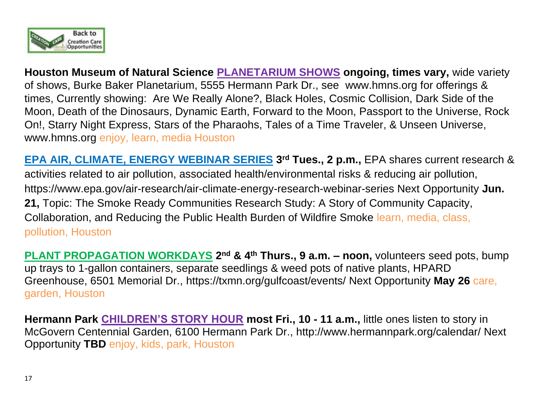

**Houston Museum of Natural Science PLANETARIUM SHOWS ongoing, times vary,** wide variety of shows, Burke Baker Planetarium, 5555 Hermann Park Dr., see [www.hmns.org](http://www.hmns.org/) for offerings & times, Currently showing: Are We Really Alone?, Black Holes, Cosmic Collision, Dark Side of the Moon, Death of the Dinosaurs, Dynamic Earth, Forward to the Moon, Passport to the Universe, Rock On!, Starry Night Express, Stars of the Pharaohs, Tales of a Time Traveler, & Unseen Universe, www.hmns.org enjoy, learn, media Houston

**EPA AIR, CLIMATE, ENERGY WEBINAR SERIES 3 rd Tues., 2 p.m.,** EPA shares current research & activities related to air pollution, associated health/environmental risks & reducing air pollution, https://www.epa.gov/air-research/air-climate-energy-research-webinar-series Next Opportunity **Jun. 21,** Topic: The Smoke Ready Communities Research Study: A Story of Community Capacity, Collaboration, and Reducing the Public Health Burden of Wildfire Smoke learn, media, class, pollution, Houston

**PLANT PROPAGATION WORKDAYS 2 nd & 4th Thurs., 9 a.m. – noon,** volunteers seed pots, bump up trays to 1-gallon containers, separate seedlings & weed pots of native plants, HPARD Greenhouse, 6501 Memorial Dr., https://txmn.org/gulfcoast/events/ Next Opportunity **May 26** care, garden, Houston

**Hermann Park CHILDREN'S STORY HOUR most Fri., 10 - 11 a.m.,** little ones listen to story in McGovern Centennial Garden, 6100 Hermann Park Dr.,<http://www.hermannpark.org/calendar/> Next Opportunity **TBD** enjoy, kids, park, Houston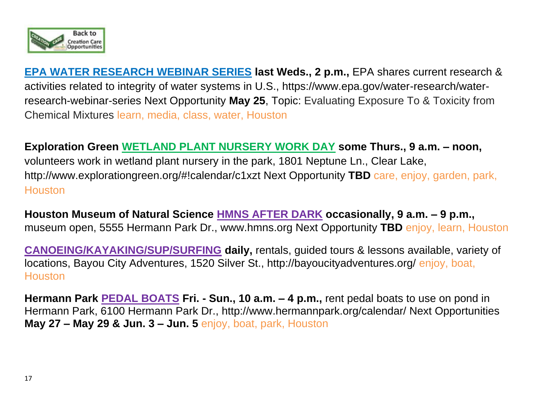

**EPA WATER RESEARCH WEBINAR SERIES last Weds., 2 p.m.,** EPA shares current research & activities related to integrity of water systems in U.S., https://www.epa.gov/water-research/waterresearch-webinar-series Next Opportunity **May 25**, Topic: Evaluating Exposure To & Toxicity from Chemical Mixtures learn, media, class, water, Houston

**Exploration Green WETLAND PLANT NURSERY WORK DAY some Thurs., 9 a.m. – noon,**  volunteers work in wetland plant nursery in the park, 1801 Neptune Ln., Clear Lake, <http://www.explorationgreen.org/#!calendar/c1xzt> Next Opportunity **TBD** care, enjoy, garden, park, **Houston** 

**Houston Museum of Natural Science HMNS AFTER DARK occasionally, 9 a.m. – 9 p.m.,**  museum open, 5555 Hermann Park Dr., [www.hmns.org](http://www.hmns.org/) Next Opportunity **TBD** enjoy, learn, Houston

**CANOEING/KAYAKING/SUP/SURFING daily,** rentals, guided tours & lessons available, variety of locations, Bayou City Adventures, 1520 Silver St., http://bayoucityadventures.org/ enjoy, boat, **Houston** 

**Hermann Park PEDAL BOATS Fri. - Sun., 10 a.m. – 4 p.m.,** rent pedal boats to use on pond in Hermann Park, 6100 Hermann Park Dr.,<http://www.hermannpark.org/calendar/> Next Opportunities **May 27 – May 29 & Jun. 3 – Jun. 5** enjoy, boat, park, Houston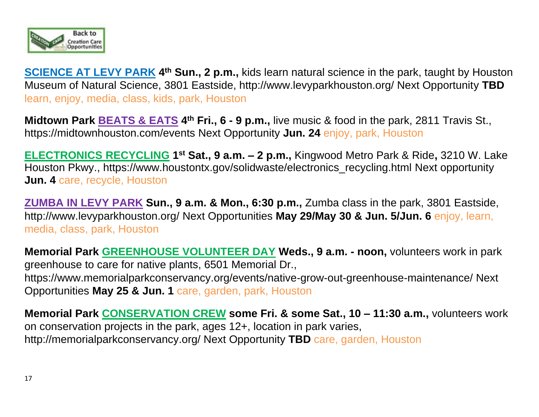

**SCIENCE AT LEVY PARK 4<sup>th</sup> Sun., 2 p.m.,** kids learn natural science in the park, taught by Houston Museum of Natural Science, 3801 Eastside, http://www.levyparkhouston.org/ Next Opportunity **TBD** learn, enjoy, media, class, kids, park, Houston

**Midtown Park <b>BEATS & EATS** 4<sup>th</sup> Fri., 6 - 9 p.m., live music & food in the park, 2811 Travis St., <https://midtownhouston.com/events> Next Opportunity **Jun. 24** enjoy, park, Houston

**ELECTRONICS RECYCLING 1 st Sat., 9 a.m. – 2 p.m.,** Kingwood Metro Park & Ride**,** 3210 W. Lake Houston Pkwy., [https://www.houstontx.gov/solidwaste/electronics\\_recycling.html](https://www.houstontx.gov/solidwaste/electronics_recycling.html) Next opportunity **Jun. 4** care, recycle, Houston

**ZUMBA IN LEVY PARK Sun., 9 a.m. & Mon., 6:30 p.m.,** Zumba class in the park, 3801 Eastside, <http://www.levyparkhouston.org/> Next Opportunities **May 29/May 30 & Jun. 5/Jun. 6** enjoy, learn, media, class, park, Houston

**Memorial Park GREENHOUSE VOLUNTEER DAY Weds., 9 a.m. - noon,** volunteers work in park greenhouse to care for native plants, 6501 Memorial Dr., https://www.memorialparkconservancy.org/events/native-grow-out-greenhouse-maintenance/ Next Opportunities **May 25 & Jun. 1** care, garden, park, Houston

**Memorial Park CONSERVATION CREW some Fri. & some Sat., 10 – 11:30 a.m.,** volunteers work on conservation projects in the park, ages 12+, location in park varies, <http://memorialparkconservancy.org/> Next Opportunity **TBD** care, garden, Houston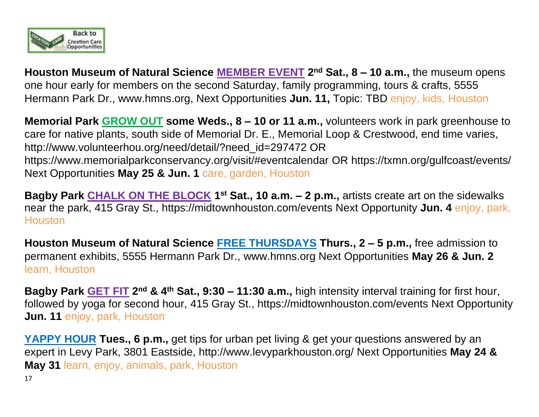

**Houston Museum of Natural Science MEMBER EVENT 2 nd Sat., 8 – 10 a.m.,** the museum opens one hour early for members on the second Saturday, family programming, tours & crafts, 5555 Hermann Park Dr., [www.hmns.org,](http://www.hmns.org/) Next Opportunities **Jun. 11,** Topic: TBD enjoy, kids, Houston

**Memorial Park GROW OUT some Weds., 8 – 10 or 11 a.m.,** volunteers work in park greenhouse to care for native plants, south side of Memorial Dr. E., Memorial Loop & Crestwood, end time varies, http://www.volunteerhou.org/need/detail/?need\_id=297472 OR <https://www.memorialparkconservancy.org/visit/#eventcalendar> OR<https://txmn.org/gulfcoast/events/> Next Opportunities **May 25 & Jun. 1** care, garden, Houston

**Bagby Park CHALK ON THE BLOCK 1<sup>st</sup> Sat., 10 a.m. – 2 p.m., artists create art on the sidewalks** near the park, 415 Gray St.,<https://midtownhouston.com/events> Next Opportunity **Jun. 4** enjoy, park, **Houston** 

**Houston Museum of Natural Science FREE THURSDAYS Thurs., 2 – 5 p.m.,** free admission to permanent exhibits, 5555 Hermann Park Dr., [www.hmns.org](http://www.hmns.org/) Next Opportunities **May 26 & Jun. 2** learn, Houston

**Bagby Park GET FIT 2 nd & 4th Sat., 9:30 – 11:30 a.m.,** high intensity interval training for first hour, followed by yoga for second hour, 415 Gray St.,<https://midtownhouston.com/events> Next Opportunity **Jun. 11** enjoy, park, Houston

**YAPPY HOUR Tues., 6 p.m.,** get tips for urban pet living & get your questions answered by an expert in Levy Park, 3801 Eastside,<http://www.levyparkhouston.org/> Next Opportunities **May 24 & May 31** learn, enjoy, animals, park, Houston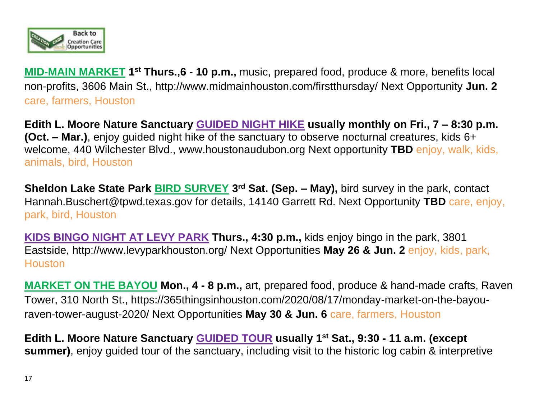

**MID-MAIN MARKET** 1<sup>st</sup> Thurs.,6 - 10 p.m., music, prepared food, produce & more, benefits local non-profits, 3606 Main St.,<http://www.midmainhouston.com/firstthursday/> Next Opportunity **Jun. 2** care, farmers, Houston

**Edith L. Moore Nature Sanctuary GUIDED NIGHT HIKE usually monthly on Fri., 7 – 8:30 p.m. (Oct. – Mar.)**, enjoy guided night hike of the sanctuary to observe nocturnal creatures, kids 6+ welcome, 440 Wilchester Blvd., [www.houstonaudubon.org](http://www.houstonaudubon.org/) Next opportunity **TBD** enjoy, walk, kids, animals, bird, Houston

**Sheldon Lake State Park** *BIRD SURVEY* **3<sup>rd</sup> Sat. (Sep. – May),** bird survey in the park, contact [Hannah.Buschert@tpwd.texas.gov](mailto:Hannah.Buschert@tpwd.texas.gov) for details, 14140 Garrett Rd. Next Opportunity **TBD** care, enjoy, park, bird, Houston

**KIDS BINGO NIGHT AT LEVY PARK Thurs., 4:30 p.m.,** kids enjoy bingo in the park, 3801 Eastside,<http://www.levyparkhouston.org/> Next Opportunities **May 26 & Jun. 2** enjoy, kids, park, **Houston** 

**MARKET ON THE BAYOU Mon., 4 - 8 p.m.,** art, prepared food, produce & hand-made crafts, Raven Tower, 310 North St., https://365thingsinhouston.com/2020/08/17/monday-market-on-the-bayouraven-tower-august-2020/ Next Opportunities **May 30 & Jun. 6** care, farmers, Houston

**Edith L. Moore Nature Sanctuary GUIDED TOUR usually 1 st Sat., 9:30 - 11 a.m. (except summer)**, enjoy guided tour of the sanctuary, including visit to the historic log cabin & interpretive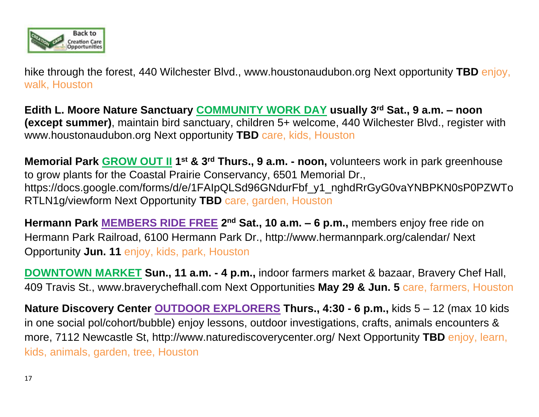

hike through the forest, 440 Wilchester Blvd., [www.houstonaudubon.org](http://www.houstonaudubon.org/) Next opportunity **TBD** enjoy, walk, Houston

**Edith L. Moore Nature Sanctuary COMMUNITY WORK DAY usually 3 rd Sat., 9 a.m. – noon (except summer)**, maintain bird sanctuary, children 5+ welcome, 440 Wilchester Blvd., register with [www.houstonaudubon.org](http://www.houstonaudubon.org/) Next opportunity **TBD** care, kids, Houston

**Memorial Park GROW OUT II 1<sup>st</sup> & 3<sup>rd</sup> Thurs., 9 a.m. - noon, volunteers work in park greenhouse** to grow plants for the Coastal Prairie Conservancy, 6501 Memorial Dr., https://docs.google.com/forms/d/e/1FAIpQLSd96GNdurFbf\_y1\_nghdRrGyG0vaYNBPKN0sP0PZWTo RTLN1g/viewform Next Opportunity **TBD** care, garden, Houston

**Hermann Park MEMBERS RIDE FREE 2 nd Sat., 10 a.m. – 6 p.m.,** members enjoy free ride on Hermann Park Railroad, 6100 Hermann Park Dr., http://www.hermannpark.org/calendar/ Next Opportunity **Jun. 11** enjoy, kids, park, Houston

**DOWNTOWN MARKET Sun., 11 a.m. - 4 p.m.,** indoor farmers market & bazaar, Bravery Chef Hall, 409 Travis St., [www.braverychefhall.com](http://links.b.mail-zr.com/ls/click?upn=pdUY4wI2-2FYhi9EYdzzeL58lohM43jqHhtts-2BLOrmBSd69hhOBRtmx7PzYNm0TwURic_b_wdhA4CNUu4GwPa-2BZix2IMRTm4bfdqgTCITn12WerpMh-2F95j0a0mppCj1PXIKqtV-2FKnCHFwsaLRhsum0Wn23qMUM65OVtQxwZmTyTkeqDqWjNfkHxRSSJCmiaq8-2FJZnWwWWMiONHW95jpNLlfp9HYUXDvDip3wh45lkW15xYFh4PrAQhoL-2F30wRHIsXyNpqK7I9FqKJP5KFFc0kLMtJ9Xk3vIBCk8hFhVGNdKyjW4FK1cPsPzACB-2Bg1Do79-2FOkJ8HZ-2FJxwxD-2FJthZguxXBhEdGjQloMNZ-2B5sVqSh0S0vVQTG8lSmV9l8vEPLVwVMHmlP-2Fc1Bb-2BIF5EvZDWjFVT20t-2Fw3fNgBKTtEd-2B4dIN5bzyIXLJAGxkkQbSG-2B5R7EWJkDZzBP9XR5GxrfNAWN8vNXazuCxDTohvGQ72MaX5B5brozc-2Bn-2B6dD-2Fxe21r0pcbGVSXBSSYJkMvnWa4DK2l3-2F1fMvFjIilSNTPx3HnTz6IUXO6g9ajD0qfqif4BWf1vumR0gEAixVMPlpmhdNdOgWdY-2FdPRpkZ-2BxfjrSuXerfQ0dMXrKdrqikxjRf-2Byu8-2BpJzj4yHp84B-2B0hnQk-2BDColtH7VO5ernngS8PCk7ZZ3C34liCjAk1SQDfY1zs6JHJV6-2BS32yvSAaIoWT3PNuktVcLo3u4PfDfHyzOF3Jw767iQvARg8aqD1M6FgMD1519VfA4qz2d1Wv6G6-2Bxl-2BxB-2FokyLpg-3D-3D) Next Opportunities **May 29 & Jun. 5** care, farmers, Houston

**Nature Discovery Center OUTDOOR EXPLORERS Thurs., 4:30 - 6 p.m.,** kids 5 – 12 (max 10 kids in one social pol/cohort/bubble) enjoy lessons, outdoor investigations, crafts, animals encounters & more, 7112 Newcastle St,<http://www.naturediscoverycenter.org/> Next Opportunity **TBD** enjoy, learn, kids, animals, garden, tree, Houston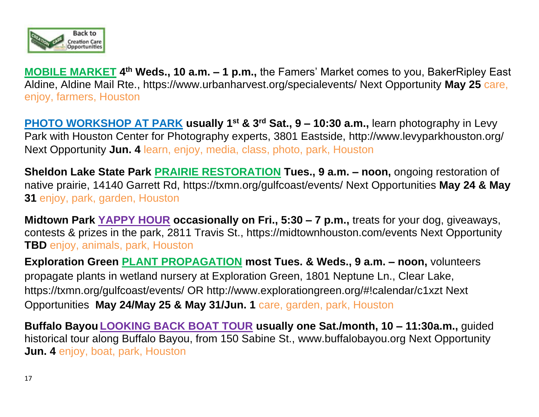

**MOBILE MARKET 4 th Weds., 10 a.m. – 1 p.m.,** the Famers' Market comes to you, BakerRipley East Aldine, Aldine Mail Rte., https://www.urbanharvest.org/specialevents/ Next Opportunity **May 25** care, enjoy, farmers, Houston

**PHOTO WORKSHOP AT PARK usually 1st & 3rd Sat., 9 – 10:30 a.m.,** learn photography in Levy Park with Houston Center for Photography experts, 3801 Eastside,<http://www.levyparkhouston.org/> Next Opportunity **Jun. 4** learn, enjoy, media, class, photo, park, Houston

**Sheldon Lake State Park PRAIRIE RESTORATION Tues., 9 a.m. – noon,** ongoing restoration of native prairie, 14140 Garrett Rd, https://txmn.org/gulfcoast/events/ Next Opportunities **May 24 & May 31** enjoy, park, garden, Houston

**Midtown Park YAPPY HOUR occasionally on Fri., 5:30 – 7 p.m.,** treats for your dog, giveaways, contests & prizes in the park, 2811 Travis St.,<https://midtownhouston.com/events> Next Opportunity **TBD** enjoy, animals, park, Houston

**Exploration Green PLANT PROPAGATION most Tues. & Weds., 9 a.m. – noon,** volunteers propagate plants in wetland nursery at Exploration Green, 1801 Neptune Ln., Clear Lake, <https://txmn.org/gulfcoast/events/> OR [http://www.explorationgreen.org/#!calendar/c1xzt Next](http://www.explorationgreen.org/#!calendar/c1xzt Next Opportunities )  [Opportunities](http://www.explorationgreen.org/#!calendar/c1xzt Next Opportunities ) **May 24/May 25 & May 31/Jun. 1** care, garden, park, Houston

**Buffalo Bayou LOOKING BACK BOAT TOUR usually one Sat./month, 10 – 11:30a.m.,** guided historical tour along Buffalo Bayou, from 150 Sabine St., [www.buffalobayou.org](http://www.buffalobayou.org/) Next Opportunity **Jun. 4** enjoy, boat, park, Houston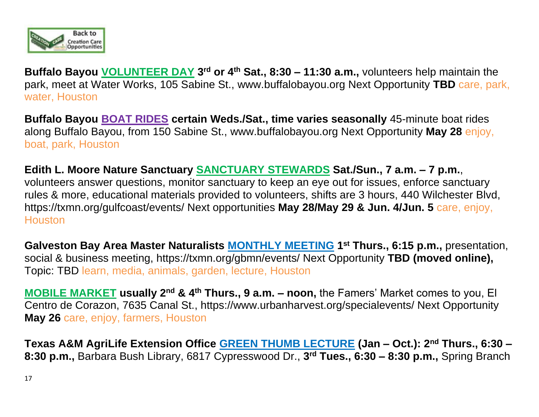

**Buffalo Bayou VOLUNTEER DAY 3 rd or 4th Sat., 8:30 – 11:30 a.m.,** volunteers help maintain the park, meet at Water Works, 105 Sabine St., [www.buffalobayou.org](http://www.buffalobayou.org/) Next Opportunity **TBD** care, park, water, Houston

**Buffalo Bayou BOAT RIDES certain Weds./Sat., time varies seasonally** 45-minute boat rides along Buffalo Bayou, from 150 Sabine St., [www.buffalobayou.org](http://www.buffalobayou.org/) Next Opportunity **May 28** enjoy, boat, park, Houston

**Edith L. Moore Nature Sanctuary SANCTUARY STEWARDS Sat./Sun., 7 a.m. – 7 p.m.**, volunteers answer questions, monitor sanctuary to keep an eye out for issues, enforce sanctuary rules & more, educational materials provided to volunteers, shifts are 3 hours, 440 Wilchester Blvd, https://txmn.org/gulfcoast/events/ Next opportunities **May 28/May 29 & Jun. 4/Jun. 5** care, enjoy, **Houston** 

**Galveston Bay Area Master Naturalists MONTHLY MEETING 1 st Thurs., 6:15 p.m.,** presentation, social & business meeting,<https://txmn.org/gbmn/events/> Next Opportunity **TBD (moved online),**  Topic: TBD learn, media, animals, garden, lecture, Houston

**MOBILE MARKET usually 2nd & 4th Thurs., 9 a.m. – noon,** the Famers' Market comes to you, El Centro de Corazon, 7635 Canal St., https://www.urbanharvest.org/specialevents/ Next Opportunity **May 26** care, enjoy, farmers, Houston

**Texas A&M AgriLife Extension Office GREEN THUMB LECTURE (Jan – Oct.): 2nd Thurs., 6:30 – 8:30 p.m.,** Barbara Bush Library, 6817 Cypresswood Dr., **3 rd Tues., 6:30 – 8:30 p.m.,** Spring Branch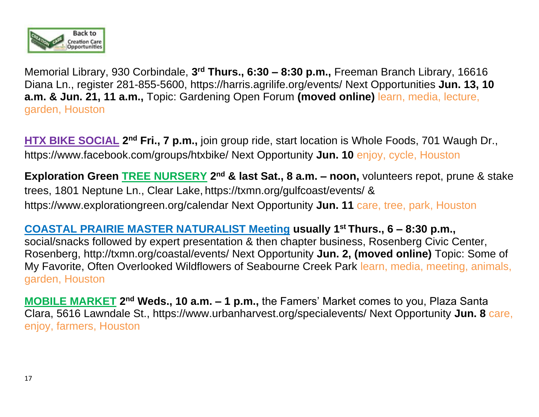

Memorial Library, 930 Corbindale, **3 rd Thurs., 6:30 – 8:30 p.m.,** Freeman Branch Library, 16616 Diana Ln., register 281-855-5600, https://harris.agrilife.org/events/ Next Opportunities **Jun. 13, 10 a.m. & Jun. 21, 11 a.m.,** Topic: Gardening Open Forum **(moved online)** learn, media, lecture, garden, Houston

**HTX BIKE SOCIAL 2<sup>nd</sup> Fri., 7 p.m.,** join group ride, start location is Whole Foods, 701 Waugh Dr., <https://www.facebook.com/groups/htxbike/> Next Opportunity **Jun. 10** enjoy, cycle, Houston

**Exploration Green <b>TREE NURSERY** 2<sup>nd</sup> & last Sat., 8 a.m. – noon, volunteers repot, prune & stake trees, 1801 Neptune Ln., Clear Lake, <https://txmn.org/gulfcoast/events/> & <https://www.explorationgreen.org/calendar> Next Opportunity **Jun. 11** care, tree, park, Houston

**COASTAL PRAIRIE MASTER NATURALIST Meeting usually 1st Thurs., 6 – 8:30 p.m.,**  social/snacks followed by expert presentation & then chapter business, Rosenberg Civic Center, Rosenberg,<http://txmn.org/coastal/events/> Next Opportunity **Jun. 2, (moved online)** Topic: Some of My Favorite, Often Overlooked Wildflowers of Seabourne Creek Park learn, media, meeting, animals, garden, Houston

**MOBILE MARKET** 2<sup>nd</sup> Weds., 10 a.m. - 1 p.m., the Famers' Market comes to you, Plaza Santa Clara, 5616 Lawndale St., https://www.urbanharvest.org/specialevents/ Next Opportunity **Jun. 8** care, enjoy, farmers, Houston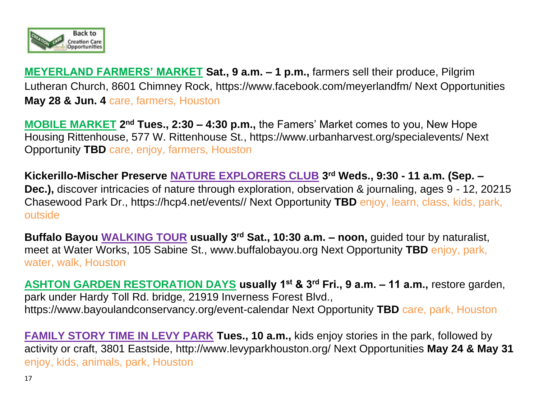

**MEYERLAND FARMERS' MARKET Sat., 9 a.m. – 1 p.m.,** farmers sell their produce, Pilgrim Lutheran Church, 8601 Chimney Rock, https://www.facebook.com/meyerlandfm/ Next Opportunities **May 28 & Jun. 4** care, farmers, Houston

**MOBILE MARKET** 2<sup>nd</sup> Tues., 2:30 – 4:30 p.m., the Famers' Market comes to you, New Hope Housing Rittenhouse, 577 W. Rittenhouse St., https://www.urbanharvest.org/specialevents/ Next Opportunity **TBD** care, enjoy, farmers, Houston

**Kickerillo-Mischer Preserve NATURE EXPLORERS CLUB 3 rd Weds., 9:30 - 11 a.m. (Sep. – Dec.),** discover intricacies of nature through exploration, observation & journaling, ages 9 - 12, 20215 Chasewood Park Dr., https://hcp4.net/events// Next Opportunity **TBD** enjoy, learn, class, kids, park, outside

**Buffalo Bayou WALKING TOUR usually 3rd Sat., 10:30 a.m. – noon,** guided tour by naturalist, meet at Water Works, 105 Sabine St., [www.buffalobayou.org](http://www.buffalobayou.org/) Next Opportunity **TBD** enjoy, park, water, walk, Houston

**ASHTON GARDEN RESTORATION DAYS usually 1st & 3rd Fri., 9 a.m. – 11 a.m.,** restore garden, park under Hardy Toll Rd. bridge, 21919 Inverness Forest Blvd., https://www.bayoulandconservancy.org/event-calendar Next Opportunity **TBD** care, park, Houston

**FAMILY STORY TIME IN LEVY PARK Tues., 10 a.m.,** kids enjoy stories in the park, followed by activity or craft, 3801 Eastside,<http://www.levyparkhouston.org/> Next Opportunities **May 24 & May 31** enjoy, kids, animals, park, Houston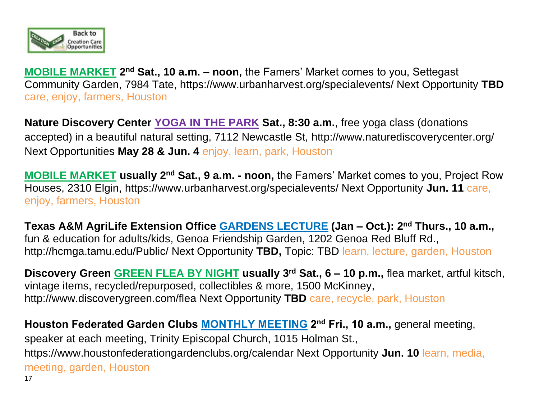

**MOBILE MARKET** 2<sup>nd</sup> Sat., 10 a.m. - noon, the Famers' Market comes to you, Settegast Community Garden, 7984 Tate, https://www.urbanharvest.org/specialevents/ Next Opportunity **TBD** care, enjoy, farmers, Houston

**Nature Discovery Center YOGA IN THE PARK Sat., 8:30 a.m.**, free yoga class (donations accepted) in a beautiful natural setting, 7112 Newcastle St,<http://www.naturediscoverycenter.org/> Next Opportunities **May 28 & Jun. 4** enjoy, learn, park, Houston

**MOBILE MARKET usually 2<sup>nd</sup> Sat., 9 a.m. - noon, the Famers' Market comes to you, Project Row** Houses, 2310 Elgin, https://www.urbanharvest.org/specialevents/ Next Opportunity **Jun. 11** care, enjoy, farmers, Houston

**Texas A&M AgriLife Extension Office GARDENS LECTURE (Jan – Oct.): 2nd Thurs., 10 a.m.,**  fun & education for adults/kids, Genoa Friendship Garden, 1202 Genoa Red Bluff Rd., http://hcmga.tamu.edu/Public/ Next Opportunity **TBD,** Topic: TBD learn, lecture, garden, Houston

**Discovery Green GREEN FLEA BY NIGHT usually 3rd Sat., 6 – 10 p.m.,** flea market, artful kitsch, vintage items, recycled/repurposed, collectibles & more, 1500 McKinney, http://www.discoverygreen.com/flea Next Opportunity **TBD** care, recycle, park, Houston

17 **Houston Federated Garden Clubs MONTHLY MEETING 2 nd Fri., 10 a.m.,** general meeting, speaker at each meeting, Trinity Episcopal Church, 1015 Holman St., [https://www.houstonfederationgardenclubs.org/calendar Next Opportunity](https://www.houstonfederationgardenclubs.org/calendar%20Next%20Opportunity%20Jun.) **Jun. 10** learn, media, meeting, garden, Houston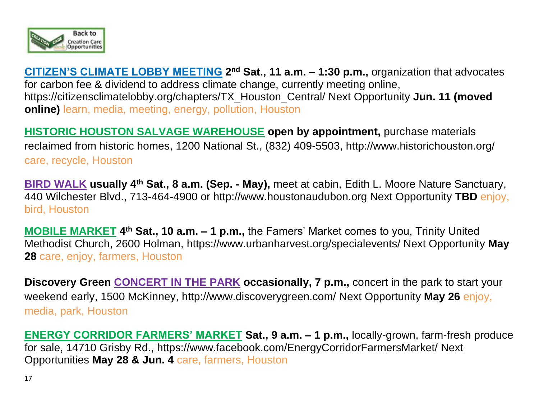

**CITIZEN'S CLIMATE LOBBY MEETING 2<sup>nd</sup> Sat., 11 a.m. - 1:30 p.m., organization that advocates** for carbon fee & dividend to address climate change, currently meeting online, https://citizensclimatelobby.org/chapters/TX\_Houston\_Central/ Next Opportunity **Jun. 11 (moved online)** learn, media, meeting, energy, pollution, Houston

**HISTORIC HOUSTON SALVAGE WAREHOUSE open by appointment,** purchase materials reclaimed from historic homes, 1200 National St., (832) 409-5503,<http://www.historichouston.org/> care, recycle, Houston

**BIRD WALK usually 4th Sat., 8 a.m. (Sep. - May),** meet at cabin, Edith L. Moore Nature Sanctuary, 440 Wilchester Blvd., 713-464-4900 or http://www.houstonaudubon.org Next Opportunity **TBD** enjoy, bird, Houston

**MOBILE MARKET 4 th Sat., 10 a.m. – 1 p.m.,** the Famers' Market comes to you, Trinity United Methodist Church, 2600 Holman, https://www.urbanharvest.org/specialevents/ Next Opportunity **May 28** care, enjoy, farmers, Houston

**Discovery Green CONCERT IN THE PARK occasionally, 7 p.m.,** concert in the park to start your weekend early, 1500 McKinney, http://www.discoverygreen.com/ Next Opportunity **May 26** enjoy, media, park, Houston

**ENERGY CORRIDOR FARMERS' MARKET Sat., 9 a.m. – 1 p.m.,** locally-grown, farm-fresh produce for sale, 14710 Grisby Rd., https://www.facebook.com/EnergyCorridorFarmersMarket/ Next Opportunities **May 28 & Jun. 4** care, farmers, Houston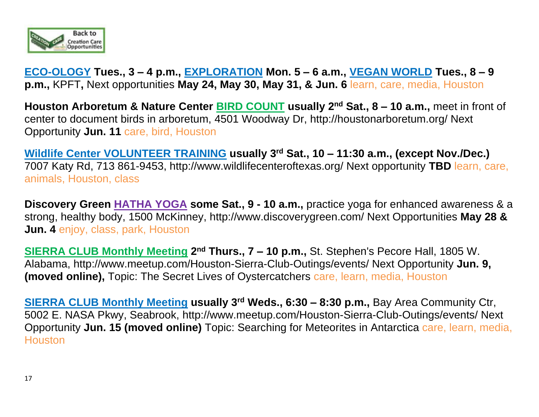

**ECO-OLOGY Tues., 3 – 4 p.m., EXPLORATION Mon. 5 – 6 a.m., VEGAN WORLD Tues., 8 – 9 p.m.,** KPFT**,** Next opportunities **May 24, May 30, May 31, & Jun. 6** learn, care, media, Houston

**Houston Arboretum & Nature Center BIRD COUNT usually 2nd Sat., 8 – 10 a.m.,** meet in front of center to document birds in arboretum, 4501 Woodway Dr,<http://houstonarboretum.org/> Next Opportunity **Jun. 11** care, bird, Houston

**Wildlife Center VOLUNTEER TRAINING usually 3rd Sat., 10 – 11:30 a.m., (except Nov./Dec.)**  7007 Katy Rd, 713 861-9453, http://www.wildlifecenteroftexas.org/ Next opportunity **TBD** learn, care, animals, Houston, class

**Discovery Green HATHA YOGA some Sat., 9 - 10 a.m.,** practice yoga for enhanced awareness & a strong, healthy body, 1500 McKinney, http://www.discoverygreen.com/ Next Opportunities **May 28 & Jun. 4** enjoy, class, park, Houston

**SIERRA CLUB Monthly Meeting 2<sup>nd</sup> Thurs., 7 – 10 p.m.,** St. Stephen's Pecore Hall, 1805 W. Alabama,<http://www.meetup.com/Houston-Sierra-Club-Outings/events/> Next Opportunity **Jun. 9, (moved online),** Topic: The Secret Lives of Oystercatchers care, learn, media, Houston

**SIERRA CLUB Monthly Meeting usually 3rd Weds., 6:30 – 8:30 p.m.,** Bay Area Community Ctr, 5002 E. NASA Pkwy, Seabrook,<http://www.meetup.com/Houston-Sierra-Club-Outings/events/> Next Opportunity **Jun. 15 (moved online)** Topic: Searching for Meteorites in Antarctica care, learn, media, **Houston**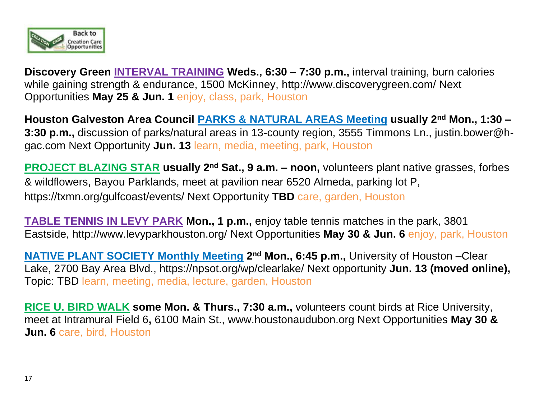

**Discovery Green INTERVAL TRAINING Weds., 6:30 – 7:30 p.m.,** interval training, burn calories while gaining strength & endurance, 1500 McKinney, http://www.discoverygreen.com/ Next Opportunities **May 25 & Jun. 1** enjoy, class, park, Houston

**Houston Galveston Area Council PARKS & NATURAL AREAS Meeting usually 2nd Mon., 1:30 – 3:30 p.m.,** discussion of parks/natural areas in 13-county region, 3555 Timmons Ln., justin.bower@hgac.com Next Opportunity **Jun. 13** learn, media, meeting, park, Houston

**PROJECT BLAZING STAR usually 2nd Sat., 9 a.m. – noon,** volunteers plant native grasses, forbes & wildflowers, Bayou Parklands, meet at pavilion near 6520 Almeda, parking lot P, https://txmn.org/gulfcoast/events/ Next Opportunity **TBD** care, garden, Houston

**TABLE TENNIS IN LEVY PARK Mon., 1 p.m.,** enjoy table tennis matches in the park, 3801 Eastside,<http://www.levyparkhouston.org/> Next Opportunities **May 30 & Jun. 6** enjoy, park, Houston

**NATIVE PLANT SOCIETY Monthly Meeting 2<sup>nd</sup> Mon., 6:45 p.m., University of Houston – Clear** Lake, 2700 Bay Area Blvd., https://npsot.org/wp/clearlake/ Next opportunity **Jun. 13 (moved online),** Topic: TBD learn, meeting, media, lecture, garden, Houston

**RICE U. BIRD WALK some Mon. & Thurs., 7:30 a.m.,** volunteers count birds at Rice University, meet at Intramural Field 6**,** 6100 Main St., [www.houstonaudubon.org](http://www.houstonaudubon.org/) Next Opportunities **May 30 & Jun. 6** care, bird, Houston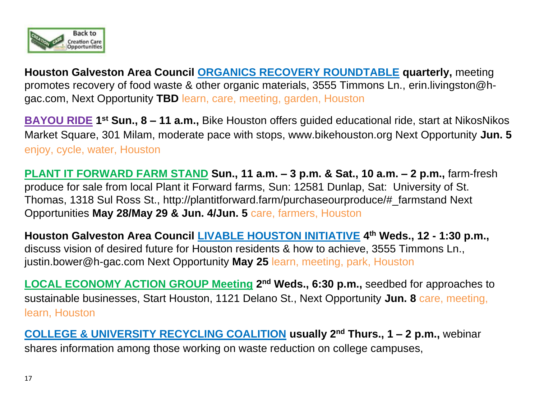

**Houston Galveston Area Council ORGANICS RECOVERY ROUNDTABLE quarterly,** meeting promotes recovery of food waste & other organic materials, 3555 Timmons Ln., [erin.livingston@h](mailto:erin.livingston@h-gac.com)[gac.com,](mailto:erin.livingston@h-gac.com) Next Opportunity **TBD** learn, care, meeting, garden, Houston

**BAYOU RIDE 1 st Sun., 8 – 11 a.m.,** Bike Houston offers guided educational ride, start at NikosNikos Market Square, 301 Milam, moderate pace with stops, www.bikehouston.org Next Opportunity **Jun. 5** enjoy, cycle, water, Houston

**PLANT IT FORWARD FARM STAND Sun., 11 a.m. – 3 p.m. & Sat., 10 a.m. – 2 p.m.,** farm-fresh produce for sale from local Plant it Forward farms, Sun: 12581 Dunlap, Sat: University of St. Thomas, 1318 Sul Ross St., http://plantitforward.farm/purchaseourproduce/#\_farmstand Next Opportunities **May 28/May 29 & Jun. 4/Jun. 5** care, farmers, Houston

**Houston Galveston Area Council LIVABLE HOUSTON INITIATIVE 4 th Weds., 12 - 1:30 p.m.,**  discuss vision of desired future for Houston residents & how to achieve, 3555 Timmons Ln., justin.bower@h-gac.com Next Opportunity **May 25** learn, meeting, park, Houston

**LOCAL ECONOMY ACTION GROUP Meeting 2<sup>nd</sup> Weds., 6:30 p.m., seedbed for approaches to** sustainable businesses, Start Houston, 1121 Delano St., Next Opportunity **Jun. 8** care, meeting, learn, Houston

**COLLEGE & UNIVERSITY RECYCLING COALITION usually 2nd Thurs., 1 – 2 p.m.,** webinar shares information among those working on waste reduction on college campuses,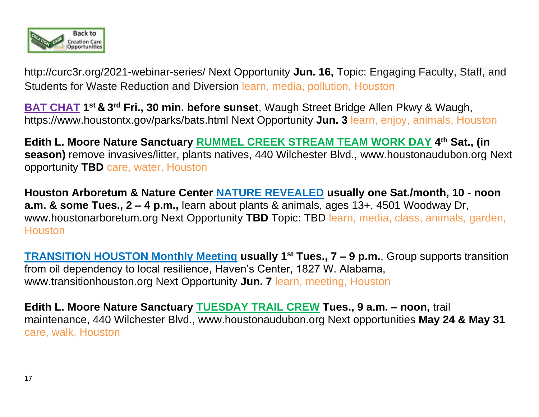

http://curc3r.org/2021-webinar-series/ Next Opportunity **Jun. 16,** Topic: Engaging Faculty, Staff, and Students for Waste Reduction and Diversion learn, media, pollution, Houston

**BAT CHAT** 1<sup>st</sup> & 3<sup>rd</sup> Fri., 30 min. before sunset, Waugh Street Bridge Allen Pkwy & Waugh, <https://www.houstontx.gov/parks/bats.html> Next Opportunity **Jun. 3** learn, enjoy, animals, Houston

**Edith L. Moore Nature Sanctuary RUMMEL CREEK STREAM TEAM WORK DAY 4 th Sat., (in season)** remove invasives/litter, plants natives, 440 Wilchester Blvd., [www.houstonaudubon.org](http://www.houstonaudubon.org/) Next opportunity **TBD** care, water, Houston

**Houston Arboretum & Nature Center NATURE REVEALED usually one Sat./month, 10 - noon a.m. & some Tues., 2 – 4 p.m.,** learn about plants & animals, ages 13+, 4501 Woodway Dr, [www.houstonarboretum.org](http://www.houstonarboretum.org/) Next Opportunity **TBD** Topic: TBD learn, media, class, animals, garden, **Houston** 

**TRANSITION HOUSTON Monthly Meeting usually 1st Tues., 7 – 9 p.m.**, Group supports transition from oil dependency to local resilience, Haven's Center, 1827 W. Alabama, [www.transitionhouston.org](http://www.transitionhouston.org/) Next Opportunity **Jun. 7** learn, meeting, Houston

**Edith L. Moore Nature Sanctuary TUESDAY TRAIL CREW Tues., 9 a.m. – noon,** trail maintenance, 440 Wilchester Blvd., [www.houstonaudubon.org](http://www.houstonaudubon.org/) Next opportunities **May 24 & May 31** care, walk, Houston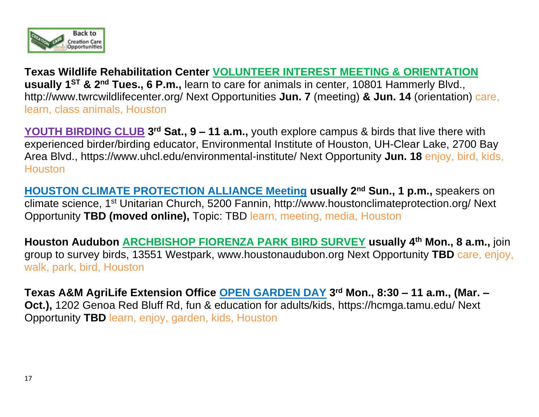

**Texas Wildlife Rehabilitation Center VOLUNTEER INTEREST MEETING & ORIENTATION** usually 1<sup>st</sup> & 2<sup>nd</sup> Tues., 6 P.m., learn to care for animals in center, 10801 Hammerly Blvd., http://www.twrcwildlifecenter.org/ Next Opportunities **Jun. 7** (meeting) **& Jun. 14** (orientation) care, learn, class animals, Houston

**YOUTH BIRDING CLUB** 3<sup>rd</sup> Sat., 9 – 11 a.m., youth explore campus & birds that live there with experienced birder/birding educator, Environmental Institute of Houston, UH-Clear Lake, 2700 Bay Area Blvd., https://www.uhcl.edu/environmental-institute/ Next Opportunity **Jun. 18** enjoy, bird, kids, Houston

**HOUSTON CLIMATE PROTECTION ALLIANCE Meeting usually 2nd Sun., 1 p.m.,** speakers on climate science, 1<sup>st</sup> Unitarian Church, 5200 Fannin,<http://www.houstonclimateprotection.org/> Next Opportunity **TBD (moved online),** Topic: TBD learn, meeting, media, Houston

**Houston Audubon ARCHBISHOP FIORENZA PARK BIRD SURVEY usually 4th Mon., 8 a.m.,** join group to survey birds, 13551 Westpark, [www.houstonaudubon.org](http://www.houstonaudubon.org/) Next Opportunity **TBD** care, enjoy, walk, park, bird, Houston

**Texas A&M AgriLife Extension Office OPEN GARDEN DAY 3 rd Mon., 8:30 – 11 a.m., (Mar. – Oct.),** 1202 Genoa Red Bluff Rd, fun & education for adults/kids,<https://hcmga.tamu.edu/> Next Opportunity **TBD** learn, enjoy, garden, kids, Houston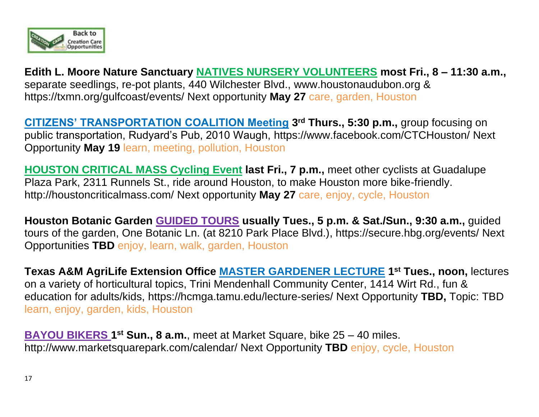

**Edith L. Moore Nature Sanctuary NATIVES NURSERY VOLUNTEERS most Fri., 8 – 11:30 a.m.,**  separate seedlings, re-pot plants, 440 Wilchester Blvd., [www.houstonaudubon.org](http://www.houstonaudubon.org/) & <https://txmn.org/gulfcoast/events/> Next opportunity **May 27** care, garden, Houston

**CITIZENS' TRANSPORTATION COALITION Meeting 3 rd Thurs., 5:30 p.m.,** group focusing on public transportation, Rudyard's Pub, 2010 Waugh,<https://www.facebook.com/CTCHouston/> Next Opportunity **May 19** learn, meeting, pollution, Houston

**HOUSTON CRITICAL MASS Cycling Event last Fri., 7 p.m.,** meet other cyclists at Guadalupe Plaza Park, 2311 Runnels St., ride around Houston, to make Houston more bike-friendly. <http://houstoncriticalmass.com/> Next opportunity **May 27** care, enjoy, cycle, Houston

**Houston Botanic Garden GUIDED TOURS usually Tues., 5 p.m. & Sat./Sun., 9:30 a.m.,** guided tours of the garden, One Botanic Ln. (at 8210 Park Place Blvd.), https://secure.hbg.org/events/ Next Opportunities **TBD** enjoy, learn, walk, garden, Houston

**Texas A&M AgriLife Extension Office MASTER GARDENER LECTURE 1 st Tues., noon,** lectures on a variety of horticultural topics, Trini Mendenhall Community Center, 1414 Wirt Rd., fun & education for adults/kids,<https://hcmga.tamu.edu/lecture-series/> Next Opportunity **TBD,** Topic: TBD learn, enjoy, garden, kids, Houston

**BAYOU BIKERS 1<sup>st</sup> Sun., 8 a.m.**, meet at Market Square, bike 25 – 40 miles. <http://www.marketsquarepark.com/calendar/> Next Opportunity **TBD** enjoy, cycle, Houston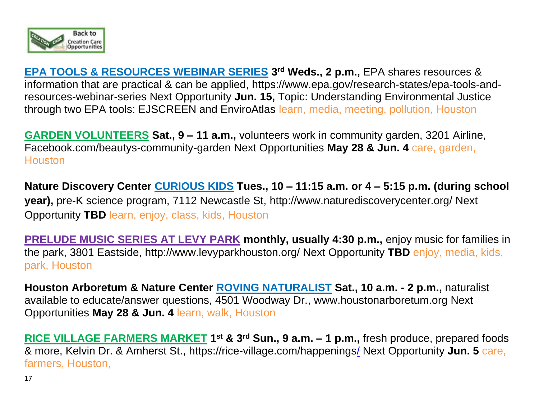

**EPA TOOLS & RESOURCES WEBINAR SERIES 3 rd Weds., 2 p.m.,** EPA shares resources & information that are practical & can be applied, [https://www.epa.gov/research-states/epa-tools-and](https://www.epa.gov/research-states/epa-tools-and-resources-webinar-series)[resources-webinar-series](https://www.epa.gov/research-states/epa-tools-and-resources-webinar-series) Next Opportunity **Jun. 15,** Topic: Understanding Environmental Justice through two EPA tools: EJSCREEN and EnviroAtlas learn, media, meeting, pollution, Houston

**GARDEN VOLUNTEERS Sat., 9 – 11 a.m.,** volunteers work in community garden, 3201 Airline, [Facebook.com/beautys-community-garden](http://r20.rs6.net/tn.jsp?f=001j4wmRGF-6MZWBN6TWZbG6igMCxj9eN9ZjdOsEdsaWw5rsNHMJ6sgBx9eihJpW339_GT-ZJIuieqNAU4litEf0LhS8hMM-jxmnlXPw1_WBuOirwWxFYZ88emz9zbLCDRZ9eIi93R785cZSN6nULGUeY4XUXORZZu3oDRT5fYv-8ftU24xbCyDlTyRA3khjmWUYvI6f5MnX7Y=&c=AwrdFwVdBqbJGFq4J2OOfC97tW6xx8wC5Z_85gCRsZxOVp4p5tNdPw==&ch=jQpktP5XfshIMJ97HPZuIEwtZzxv-vf8qU-RcfDfvvld9tqebEpEqQ==) Next Opportunities **May 28 & Jun. 4** care, garden, **Houston** 

**Nature Discovery Center CURIOUS KIDS Tues., 10 – 11:15 a.m. or 4 – 5:15 p.m. (during school year),** pre-K science program, 7112 Newcastle St,<http://www.naturediscoverycenter.org/> Next Opportunity **TBD** learn, enjoy, class, kids, Houston

**PRELUDE MUSIC SERIES AT LEVY PARK monthly, usually 4:30 p.m.,** enjoy music for families in the park, 3801 Eastside,<http://www.levyparkhouston.org/> Next Opportunity **TBD** enjoy, media, kids, park, Houston

**Houston Arboretum & Nature Center ROVING NATURALIST Sat., 10 a.m. - 2 p.m.,** naturalist available to educate/answer questions, 4501 Woodway Dr., [www.houstonarboretum.org](http://www.houstonarboretum.org/) Next Opportunities **May 28 & Jun. 4** learn, walk, Houston

**RICE VILLAGE FARMERS MARKET 1 st & 3rd Sun., 9 a.m. – 1 p.m.,** fresh produce, prepared foods & more, Kelvin Dr. & Amherst St.,<https://rice-village.com/happenings/> Next Opportunity **Jun. 5** care, farmers, Houston,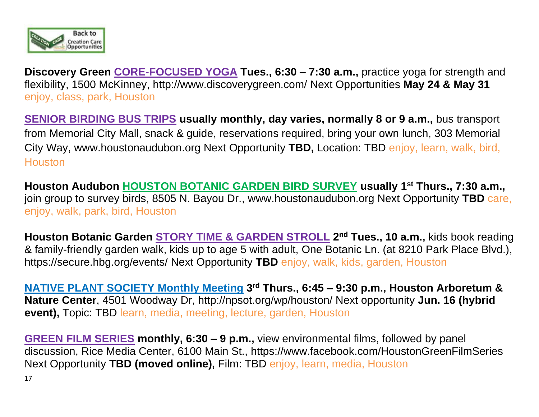

**Discovery Green CORE-FOCUSED YOGA Tues., 6:30 – 7:30 a.m.,** practice yoga for strength and flexibility, 1500 McKinney, http://www.discoverygreen.com/ Next Opportunities **May 24 & May 31** enjoy, class, park, Houston

**SENIOR BIRDING BUS TRIPS usually monthly, day varies, normally 8 or 9 a.m.,** bus transport from Memorial City Mall, snack & guide, reservations required, bring your own lunch, 303 Memorial City Way, [www.houstonaudubon.org](http://www.houstonaudubon.org/) Next Opportunity **TBD,** Location: TBD enjoy, learn, walk, bird, **Houston** 

**Houston Audubon HOUSTON BOTANIC GARDEN BIRD SURVEY usually 1st Thurs., 7:30 a.m.,**  join group to survey birds, 8505 N. Bayou Dr., [www.houstonaudubon.org](http://www.houstonaudubon.org/) Next Opportunity **TBD** care, enjoy, walk, park, bird, Houston

**Houston Botanic Garden STORY TIME & GARDEN STROLL 2 nd Tues., 10 a.m.,** kids book reading & family-friendly garden walk, kids up to age 5 with adult, One Botanic Ln. (at 8210 Park Place Blvd.), https://secure.hbg.org/events/ Next Opportunity **TBD** enjoy, walk, kids, garden, Houston

**NATIVE PLANT SOCIETY Monthly Meeting 3 rd Thurs., 6:45 – 9:30 p.m., Houston Arboretum & Nature Center**, 4501 Woodway Dr,<http://npsot.org/wp/houston/> Next opportunity **Jun. 16 (hybrid event),** Topic: TBD learn, media, meeting, lecture, garden, Houston

**GREEN FILM SERIES monthly, 6:30 – 9 p.m.,** view environmental films, followed by panel discussion, Rice Media Center, 6100 Main St.,<https://www.facebook.com/HoustonGreenFilmSeries> Next Opportunity **TBD (moved online),** Film: TBD enjoy, learn, media, Houston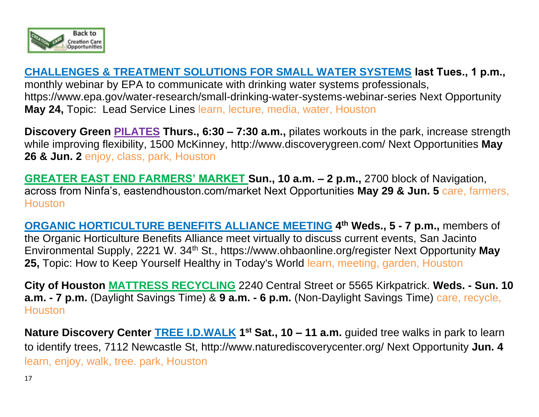

**CHALLENGES & TREATMENT SOLUTIONS FOR SMALL WATER SYSTEMS last Tues., 1 p.m.,**  monthly webinar by EPA to communicate with drinking water systems professionals, https://www.epa.gov/water-research/small-drinking-water-systems-webinar-series Next Opportunity **May 24,** Topic: Lead Service Lines learn, lecture, media, water, Houston

**Discovery Green PILATES Thurs., 6:30 – 7:30 a.m.,** pilates workouts in the park, increase strength while improving flexibility, 1500 McKinney, http://www.discoverygreen.com/ Next Opportunities **May 26 & Jun. 2** enjoy, class, park, Houston

**GREATER EAST END FARMERS' MARKET Sun., 10 a.m. – 2 p.m.,** 2700 block of Navigation, across from Ninfa's, eastendhouston.com/market Next Opportunities **May 29 & Jun. 5** care, farmers, **Houston** 

**ORGANIC HORTICULTURE BENEFITS ALLIANCE MEETING 4 th Weds., 5 - 7 p.m.,** members of the Organic Horticulture Benefits Alliance meet virtually to discuss current events, San Jacinto Environmental Supply, 2221 W. 34th St.,<https://www.ohbaonline.org/register> Next Opportunity **May 25,** Topic: How to Keep Yourself Healthy in Today's World learn, meeting, garden, Houston

**City of Houston MATTRESS RECYCLING** 2240 Central Street or 5565 Kirkpatrick. **Weds. - Sun. 10 a.m. - 7 p.m.** (Daylight Savings Time) & **9 a.m. - 6 p.m.** (Non-Daylight Savings Time) care, recycle, **Houston** 

**Nature Discovery Center <b>TREE I.D.WALK** 1<sup>st</sup> Sat., 10 – 11 a.m. guided tree walks in park to learn to identify trees, 7112 Newcastle St,<http://www.naturediscoverycenter.org/> Next Opportunity **Jun. 4** learn, enjoy, walk, tree. park, Houston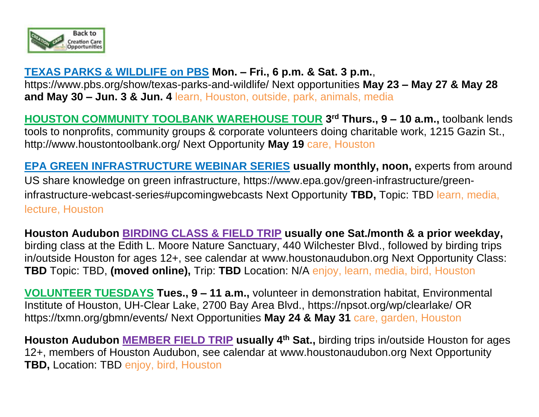

#### **TEXAS PARKS & WILDLIFE on PBS Mon. – Fri., 6 p.m. & Sat. 3 p.m.**,

https://www.pbs.org/show/texas-parks-and-wildlife/ Next opportunities **May 23 – May 27 & May 28 and May 30 – Jun. 3 & Jun. 4** learn, Houston, outside, park, animals, media

**HOUSTON COMMUNITY TOOLBANK WAREHOUSE TOUR 3 rd Thurs., 9 – 10 a.m.,** toolbank lends tools to nonprofits, community groups & corporate volunteers doing charitable work, 1215 Gazin St., http://www.houstontoolbank.org/ Next Opportunity **May 19** care, Houston

**EPA GREEN INFRASTRUCTURE WEBINAR SERIES usually monthly, noon,** experts from around US share knowledge on green infrastructure, https://www.epa.gov/green-infrastructure/greeninfrastructure-webcast-series#upcomingwebcasts Next Opportunity **TBD,** Topic: TBD learn, media, lecture, Houston

**Houston Audubon BIRDING CLASS & FIELD TRIP usually one Sat./month & a prior weekday,** birding class at the Edith L. Moore Nature Sanctuary, 440 Wilchester Blvd., followed by birding trips in/outside Houston for ages 12+, see calendar at [www.houstonaudubon.org](http://www.houstonaudubon.org/) Next Opportunity Class: **TBD** Topic: TBD, **(moved online),** Trip: **TBD** Location: N/A enjoy, learn, media, bird, Houston

**VOLUNTEER TUESDAYS Tues., 9 – 11 a.m.,** volunteer in demonstration habitat, Environmental Institute of Houston, UH-Clear Lake, 2700 Bay Area Blvd., https://npsot.org/wp/clearlake/ OR <https://txmn.org/gbmn/events/> Next Opportunities **May 24 & May 31** care, garden, Houston

**Houston Audubon MEMBER FIELD TRIP usually 4th Sat.,** birding trips in/outside Houston for ages 12+, members of Houston Audubon, see calendar at [www.houstonaudubon.org](http://www.houstonaudubon.org/) Next Opportunity **TBD,** Location: TBD enjoy, bird, Houston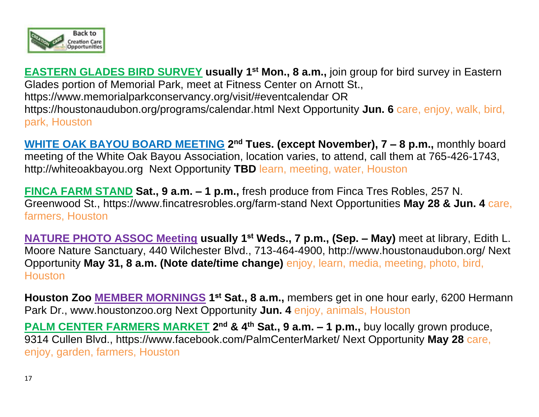

**EASTERN GLADES BIRD SURVEY usually 1st Mon., 8 a.m.,** join group for bird survey in Eastern Glades portion of Memorial Park, meet at Fitness Center on Arnott St., https://www.memorialparkconservancy.org/visit/#eventcalendar OR <https://houstonaudubon.org/programs/calendar.html> Next Opportunity **Jun. 6** care, enjoy, walk, bird, park, Houston

**WHITE OAK BAYOU BOARD MEETING 2<sup>nd</sup> Tues. (except November), 7 – 8 p.m., monthly board** meeting of the White Oak Bayou Association, location varies, to attend, call them at 765-426-1743, [http://whiteoakbayou.org](http://whiteoakbayou.org/) Next Opportunity **TBD** learn, meeting, water, Houston

**FINCA FARM STAND Sat., 9 a.m. – 1 p.m.,** fresh produce from Finca Tres Robles, 257 N. Greenwood St.,<https://www.fincatresrobles.org/farm-stand> Next Opportunities **May 28 & Jun. 4** care, farmers, Houston

**NATURE PHOTO ASSOC Meeting usually 1st Weds., 7 p.m., (Sep. – May)** meet at library, Edith L. Moore Nature Sanctuary, 440 Wilchester Blvd., 713-464-4900, http://www.houstonaudubon.org/ Next Opportunity **May 31, 8 a.m. (Note date/time change)** enjoy, learn, media, meeting, photo, bird, **Houston** 

**Houston Zoo MEMBER MORNINGS 1 st Sat., 8 a.m.,** members get in one hour early, 6200 Hermann Park Dr., [www.houstonzoo.org](http://www.houstonzoo.org/) Next Opportunity **Jun. 4** enjoy, animals, Houston

**PALM CENTER FARMERS MARKET** 2<sup>nd</sup> & 4<sup>th</sup> Sat., 9 a.m. – 1 p.m., buy locally grown produce, 9314 Cullen Blvd., https://www.facebook.com/PalmCenterMarket/ Next Opportunity **May 28** care, enjoy, garden, farmers, Houston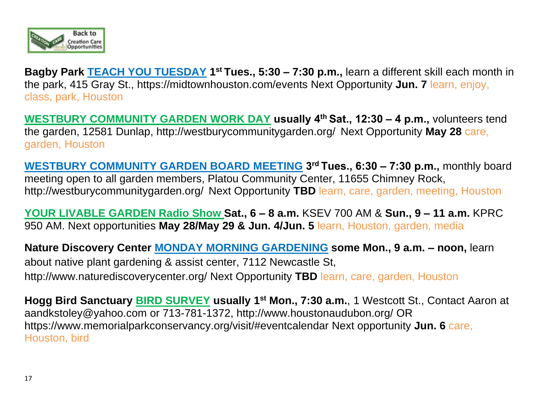

**Bagby Park <b>TEACH YOU TUESDAY** 1<sup>st</sup> Tues., 5:30 – 7:30 p.m., learn a different skill each month in the park, 415 Gray St.,<https://midtownhouston.com/events> Next Opportunity **Jun. 7** learn, enjoy, class, park, Houston

**WESTBURY COMMUNITY GARDEN WORK DAY usually 4th Sat., 12:30 – 4 p.m.,** volunteers tend the garden, 12581 Dunlap,<http://westburycommunitygarden.org/> Next Opportunity **May 28** care, garden, Houston

**WESTBURY COMMUNITY GARDEN BOARD MEETING 3 rd Tues., 6:30 – 7:30 p.m.,** monthly board meeting open to all garden members, Platou Community Center, 11655 Chimney Rock, <http://westburycommunitygarden.org/> Next Opportunity **TBD** learn, care, garden, meeting, Houston

**YOUR LIVABLE GARDEN Radio Show Sat., 6 – 8 a.m.** KSEV 700 AM & **Sun., 9 – 11 a.m.** KPRC 950 AM. Next opportunities **May 28/May 29 & Jun. 4/Jun. 5** learn, Houston, garden, media

**Nature Discovery Center MONDAY MORNING GARDENING some Mon., 9 a.m. – noon,** learn about native plant gardening & assist center, 7112 Newcastle St, <http://www.naturediscoverycenter.org/> Next Opportunity **TBD** learn, care, garden, Houston

**Hogg Bird Sanctuary BIRD SURVEY usually 1st Mon., 7:30 a.m.**, 1 Westcott St., Contact Aaron at [aandkstoley@yahoo.com](mailto:aandkstoley@yahoo.com) or 713-781-1372,<http://www.houstonaudubon.org/> OR https://www.memorialparkconservancy.org/visit/#eventcalendar Next opportunity **Jun. 6** care, Houston, bird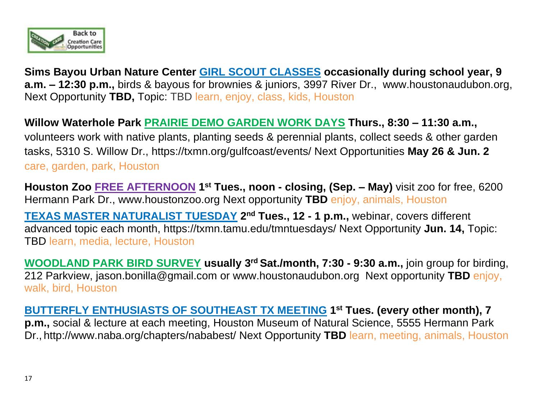

**Sims Bayou Urban Nature Center GIRL SCOUT CLASSES occasionally during school year, 9 a.m. – 12:30 p.m.,** birds & bayous for brownies & juniors, 3997 River Dr., [www.houstonaudubon.org,](http://www.houstonaudubon.org/) Next Opportunity **TBD,** Topic: TBD learn, enjoy, class, kids, Houston

**Willow Waterhole Park PRAIRIE DEMO GARDEN WORK DAYS Thurs., 8:30 – 11:30 a.m.,**  volunteers work with native plants, planting seeds & perennial plants, collect seeds & other garden tasks, 5310 S. Willow Dr., https://txmn.org/gulfcoast/events/ Next Opportunities **May 26 & Jun. 2** care, garden, park, Houston

**Houston Zoo FREE AFTERNOON 1 st Tues., noon - closing, (Sep. – May)** visit zoo for free, 6200 Hermann Park Dr., [www.houstonzoo.org](http://www.houstonzoo.org/) Next opportunity **TBD** enjoy, animals, Houston

**TEXAS MASTER NATURALIST TUESDAY 2 nd Tues., 12 - 1 p.m.,** webinar, covers different advanced topic each month,<https://txmn.tamu.edu/tmntuesdays/> Next Opportunity **Jun. 14,** Topic: TBD learn, media, lecture, Houston

**WOODLAND PARK BIRD SURVEY usually 3 rd Sat./month, 7:30 - 9:30 a.m.,** join group for birding, 212 Parkview, [jason.bonilla@gmail.com](mailto:jason.bonilla@gmail.com) or [www.houstonaudubon.org](http://www.houstonaudubon.org/) Next opportunity **TBD** enjoy, walk, bird, Houston

**BUTTERFLY ENTHUSIASTS OF SOUTHEAST TX MEETING 1 st Tues. (every other month), 7 p.m.,** social & lecture at each meeting, Houston Museum of Natural Science, 5555 Hermann Park Dr., <http://www.naba.org/chapters/nababest/> Next Opportunity **TBD** learn, meeting, animals, Houston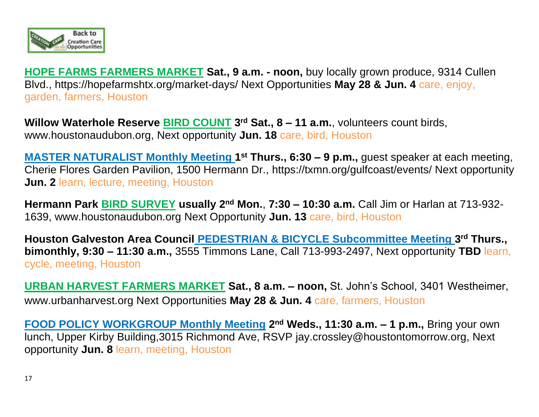

**HOPE FARMS FARMERS MARKET Sat., 9 a.m. - noon,** buy locally grown produce, 9314 Cullen Blvd., https://hopefarmshtx.org/market-days/ Next Opportunities **May 28 & Jun. 4** care, enjoy, garden, farmers, Houston

**Willow Waterhole Reserve BIRD COUNT 3 rd Sat., 8 – 11 a.m.**, [volunteers](http://volunteers/) count birds, [www.houstonaudubon.org,](http://www.houstonaudubon.org/) Next opportunity **Jun. 18** care, bird, Houston

**MASTER NATURALIST Monthly Meeting 1<sup>st</sup> Thurs., 6:30 – 9 p.m.,** guest speaker at each meeting, Cherie Flores Garden Pavilion, 1500 Hermann Dr., https://txmn.org/gulfcoast/events/ Next opportunity **Jun. 2** learn, lecture, meeting, Houston

**Hermann Park BIRD SURVEY usually 2nd Mon.**, **7:30 – 10:30 a.m.** Call Jim or Harlan at 713-932- 1639, [www.houstonaudubon.org](http://www.houstonaudubon.org/) Next Opportunity **Jun. 13** care, bird, Houston

**Houston Galveston Area Council PEDESTRIAN & BICYCLE Subcommittee Meeting 3 rd Thurs., bimonthly, 9:30 – 11:30 a.m.,** 3555 Timmons Lane, Call 713-993-2497, Next opportunity **TBD** learn, cycle, meeting, Houston

**URBAN HARVEST FARMERS MARKET Sat., 8 a.m. – noon,** St. John's School, 3401 Westheimer, www.urbanharvest.org Next Opportunities **May 28 & Jun. 4** care, farmers, Houston

**FOOD POLICY WORKGROUP Monthly Meeting 2<sup>nd</sup> Weds., 11:30 a.m. - 1 p.m., Bring your own** lunch, Upper Kirby Building,3015 Richmond Ave, RSVP [jay.crossley@houstontomorrow.org,](mailto:jay.crossley@houstontomorrow.org) Next opportunity **Jun. 8** learn, meeting, Houston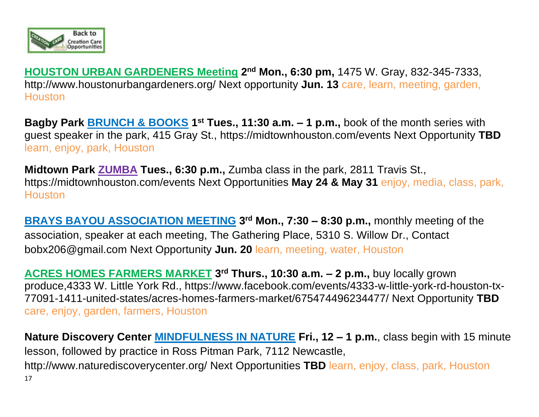

**HOUSTON URBAN GARDENERS Meeting 2 nd Mon., 6:30 pm,** 1475 W. Gray, 832-345-7333, <http://www.houstonurbangardeners.org/> Next opportunity **Jun. 13** care, learn, meeting, garden, **Houston** 

**Bagby Park <b>BRUNCH & BOOKS** 1<sup>st</sup> Tues., 11:30 a.m. – 1 p.m., book of the month series with guest speaker in the park, 415 Gray St.,<https://midtownhouston.com/events> Next Opportunity **TBD** learn, enjoy, park, Houston

**Midtown Park ZUMBA Tues., 6:30 p.m.,** Zumba class in the park, 2811 Travis St., <https://midtownhouston.com/events> Next Opportunities **May 24 & May 31** enjoy, media, class, park, **Houston** 

**BRAYS BAYOU ASSOCIATION MEETING** 3<sup>rd</sup> Mon., 7:30 – 8:30 p.m., monthly meeting of the association, speaker at each meeting, The Gathering Place, 5310 S. Willow Dr., Contact [bobx206@gmail.com](mailto:bobx206@gmail.com) Next Opportunity **Jun. 20** learn, meeting, water, Houston

**ACRES HOMES FARMERS MARKET 3 rd Thurs., 10:30 a.m. – 2 p.m.,** buy locally grown produce,4333 W. Little York Rd., https://www.facebook.com/events/4333-w-little-york-rd-houston-tx-77091-1411-united-states/acres-homes-farmers-market/675474496234477/ Next Opportunity **TBD**  care, enjoy, garden, farmers, Houston

17 **Nature Discovery Center MINDFULNESS IN NATURE Fri., 12 – 1 p.m.**, class begin with 15 minute lesson, followed by practice in Ross Pitman Park, 7112 Newcastle, <http://www.naturediscoverycenter.org/> Next Opportunities **TBD** learn, enjoy, class, park, Houston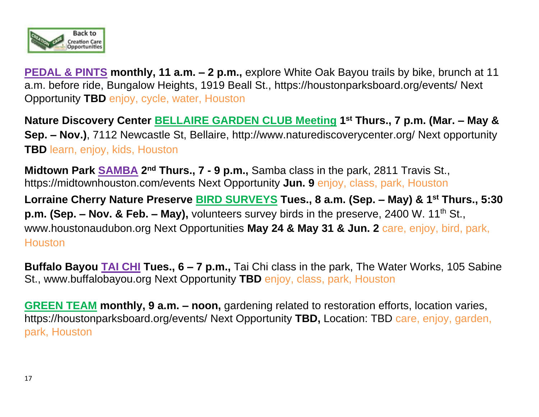

**PEDAL & PINTS monthly, 11 a.m. – 2 p.m.,** explore White Oak Bayou trails by bike, brunch at 11 a.m. before ride, Bungalow Heights, 1919 Beall St.,<https://houstonparksboard.org/events/> Next Opportunity **TBD** enjoy, cycle, water, Houston

**Nature Discovery Center BELLAIRE GARDEN CLUB Meeting 1 st Thurs., 7 p.m. (Mar. – May & Sep. – Nov.)**, 7112 Newcastle St, Bellaire,<http://www.naturediscoverycenter.org/> Next opportunity **TBD** learn, enjoy, kids, Houston

**Midtown Park <b>SAMBA** 2<sup>nd</sup> Thurs., 7 - 9 p.m., Samba class in the park, 2811 Travis St., <https://midtownhouston.com/events> Next Opportunity **Jun. 9** enjoy, class, park, Houston

**Lorraine Cherry Nature Preserve BIRD SURVEYS Tues., 8 a.m. (Sep. – May) & 1st Thurs., 5:30 p.m. (Sep. – Nov. & Feb. – May),** volunteers survey birds in the preserve, 2400 W. 11<sup>th</sup> St., [www.houstonaudubon.org](http://www.houstonaudubon.org/) Next Opportunities **May 24 & May 31 & Jun. 2** care, enjoy, bird, park, **Houston** 

**Buffalo Bayou TAI CHI Tues., 6 – 7 p.m.,** Tai Chi class in the park, The Water Works, 105 Sabine St., [www.buffalobayou.org](http://www.buffalobayou.org/) Next Opportunity **TBD** enjoy, class, park, Houston

**GREEN TEAM monthly, 9 a.m. – noon,** gardening related to restoration efforts, location varies, <https://houstonparksboard.org/events/> Next Opportunity **TBD,** Location: TBD care, enjoy, garden, park, Houston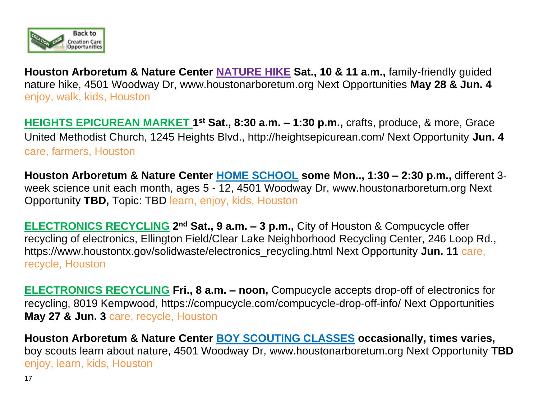

**Houston Arboretum & Nature Center NATURE HIKE Sat., 10 & 11 a.m.,** family-friendly guided nature hike, 4501 Woodway Dr, [www.houstonarboretum.org](http://www.houstonarboretum.org/) Next Opportunities **May 28 & Jun. 4** enjoy, walk, kids, Houston

**HEIGHTS EPICUREAN MARKET 1<sup>st</sup> Sat., 8:30 a.m. - 1:30 p.m., crafts, produce, & more, Grace** United Methodist Church, 1245 Heights Blvd., http://heightsepicurean.com/ Next Opportunity **Jun. 4** care, farmers, Houston

**Houston Arboretum & Nature Center HOME SCHOOL some Mon.., 1:30 – 2:30 p.m.,** different 3 week science unit each month, ages 5 - 12, 4501 Woodway Dr, [www.houstonarboretum.org](http://www.houstonarboretum.org/) Next Opportunity **TBD,** Topic: TBD learn, enjoy, kids, Houston

**ELECTRONICS RECYCLING 2<sup>nd</sup> Sat., 9 a.m. - 3 p.m., City of Houston & Compucycle offer** recycling of electronics, Ellington Field/Clear Lake Neighborhood Recycling Center, 246 Loop Rd., https://www.houstontx.gov/solidwaste/electronics\_recycling.html Next Opportunity **Jun. 11** care, recycle, Houston

**ELECTRONICS RECYCLING Fri., 8 a.m. – noon,** Compucycle accepts drop-off of electronics for recycling, 8019 Kempwood,<https://compucycle.com/compucycle-drop-off-info/> Next Opportunities **May 27 & Jun. 3** care, recycle, Houston

**Houston Arboretum & Nature Center BOY SCOUTING CLASSES occasionally, times varies,**  boy scouts learn about nature, 4501 Woodway Dr, [www.houstonarboretum.org](http://www.houstonarboretum.org/) Next Opportunity **TBD** enjoy, learn, kids, Houston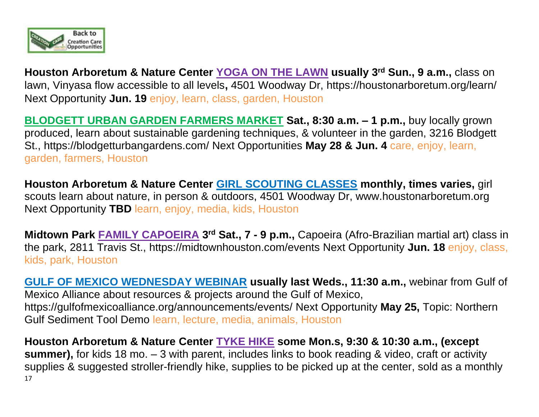

**Houston Arboretum & Nature Center YOGA ON THE LAWN usually 3rd Sun., 9 a.m.,** class on lawn, Vinyasa flow accessible to all levels**,** 4501 Woodway Dr,<https://houstonarboretum.org/learn/> Next Opportunity **Jun. 19** enjoy, learn, class, garden, Houston

**BLODGETT URBAN GARDEN FARMERS MARKET Sat., 8:30 a.m. – 1 p.m.,** buy locally grown produced, learn about sustainable gardening techniques, & volunteer in the garden, 3216 Blodgett St., https://blodgetturbangardens.com/ Next Opportunities **May 28 & Jun. 4** care, enjoy, learn, garden, farmers, Houston

**Houston Arboretum & Nature Center GIRL SCOUTING CLASSES monthly, times varies,** girl scouts learn about nature, in person & outdoors, 4501 Woodway Dr, [www.houstonarboretum.org](http://www.houstonarboretum.org/) Next Opportunity **TBD** learn, enjoy, media, kids, Houston

**Midtown Park FAMILY CAPOEIRA 3 rd Sat., 7 - 9 p.m.,** Capoeira (Afro-Brazilian martial art) class in the park, 2811 Travis St.,<https://midtownhouston.com/events> Next Opportunity **Jun. 18** enjoy, class, kids, park, Houston

**GULF OF MEXICO WEDNESDAY WEBINAR usually last Weds., 11:30 a.m.,** webinar from Gulf of Mexico Alliance about resources & projects around the Gulf of Mexico, <https://gulfofmexicoalliance.org/announcements/events/> Next Opportunity **May 25,** Topic: Northern Gulf Sediment Tool Demo learn, lecture, media, animals, Houston

17 **Houston Arboretum & Nature Center TYKE HIKE some Mon.s, 9:30 & 10:30 a.m., (except summer),** for kids 18 mo. – 3 with parent, includes links to book reading & video, craft or activity supplies & suggested stroller-friendly hike, supplies to be picked up at the center, sold as a monthly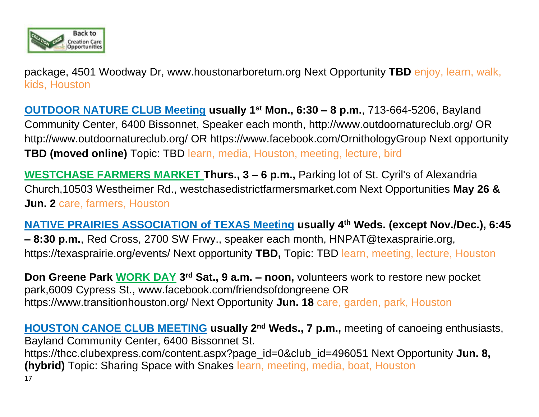

package, 4501 Woodway Dr, [www.houstonarboretum.org](http://www.houstonarboretum.org/) Next Opportunity **TBD** enjoy, learn, walk, kids, Houston

**OUTDOOR NATURE CLUB Meeting usually 1st Mon., 6:30 – 8 p.m.**, 713-664-5206, Bayland Community Center, 6400 Bissonnet, Speaker each month,<http://www.outdoornatureclub.org/> OR http://www.outdoornatureclub.org/ OR https://www.facebook.com/OrnithologyGroup Next opportunity **TBD (moved online)** Topic: TBD learn, media, Houston, meeting, lecture, bird

**WESTCHASE FARMERS MARKET Thurs., 3 – 6 p.m.,** Parking lot of St. Cyril's of Alexandria Church,10503 Westheimer Rd., westchasedistrictfarmersmarket.com Next Opportunities **May 26 & Jun. 2** care, farmers, Houston

**NATIVE PRAIRIES ASSOCIATION of TEXAS Meeting usually 4th Weds. (except Nov./Dec.), 6:45 – 8:30 p.m.**, Red Cross, 2700 SW Frwy., speaker each month, HNPAT@texasprairie.org, https://texasprairie.org/events/ Next opportunity **TBD,** Topic: TBD learn, meeting, lecture, Houston

**Don Greene Park WORK DAY 3<sup>rd</sup> Sat., 9 a.m. – noon, volunteers work to restore new pocket** park,6009 Cypress St., [www.facebook.com/friendsofdongreene](http://www.facebook.com/friendsofdongreene) OR https://www.transitionhouston.org/ Next Opportunity **Jun. 18** care, garden, park, Houston

17 **HOUSTON CANOE CLUB MEETING usually 2nd Weds., 7 p.m.,** meeting of canoeing enthusiasts, Bayland Community Center, 6400 Bissonnet St. https://thcc.clubexpress.com/content.aspx?page\_id=0&club\_id=496051 Next Opportunity **Jun. 8, (hybrid)** Topic: Sharing Space with Snakes learn, meeting, media, boat, Houston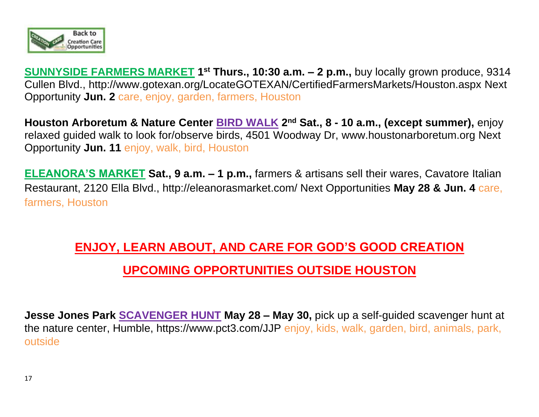

**SUNNYSIDE FARMERS MARKET 1<sup>st</sup> Thurs., 10:30 a.m. - 2 p.m.,** buy locally grown produce, 9314 Cullen Blvd., http://www.gotexan.org/LocateGOTEXAN/CertifiedFarmersMarkets/Houston.aspx Next Opportunity **Jun. 2** care, enjoy, garden, farmers, Houston

**Houston Arboretum & Nature Center BIRD WALK 2 nd Sat., 8 - 10 a.m., (except summer),** enjoy relaxed guided walk to look for/observe birds, 4501 Woodway Dr, [www.houstonarboretum.org](http://www.houstonarboretum.org/) Next Opportunity **Jun. 11** enjoy, walk, bird, Houston

**ELEANORA'S MARKET Sat., 9 a.m. – 1 p.m.,** farmers & artisans sell their wares, Cavatore Italian Restaurant, 2120 Ella Blvd., http://eleanorasmarket.com/ Next Opportunities **May 28 & Jun. 4** care, farmers, Houston

# **ENJOY, LEARN ABOUT, AND CARE FOR GOD'S GOOD CREATION UPCOMING OPPORTUNITIES OUTSIDE HOUSTON**

**Jesse Jones Park SCAVENGER HUNT May 28 – May 30,** pick up a self-guided scavenger hunt at the nature center, Humble, https://www.pct3.com/JJP enjoy, kids, walk, garden, bird, animals, park, outside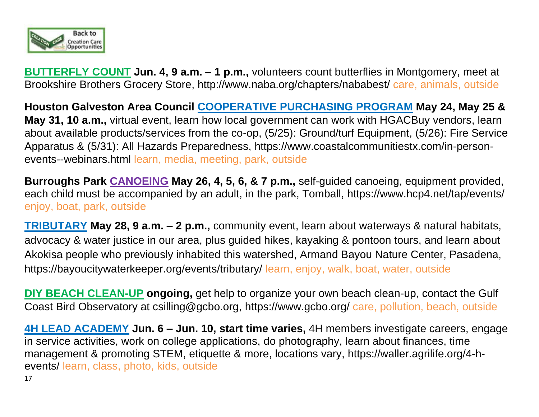

**BUTTERFLY COUNT Jun. 4, 9 a.m. – 1 p.m.,** volunteers count butterflies in Montgomery, meet at Brookshire Brothers Grocery Store,<http://www.naba.org/chapters/nababest/> care, animals, outside

**Houston Galveston Area Council COOPERATIVE PURCHASING PROGRAM May 24, May 25 & May 31, 10 a.m.,** virtual event, learn how local government can work with HGACBuy vendors, learn about available products/services from the co-op, (5/25): Ground/turf Equipment, (5/26): Fire Service Apparatus & (5/31): All Hazards Preparedness, https://www.coastalcommunitiestx.com/in-personevents--webinars.html learn, media, meeting, park, outside

**Burroughs Park CANOEING May 26, 4, 5, 6, & 7 p.m.,** self-guided canoeing, equipment provided, each child must be accompanied by an adult, in the park, Tomball, https://www.hcp4.net/tap/events/ enjoy, boat, park, outside

**TRIBUTARY May 28, 9 a.m. – 2 p.m.,** community event, learn about waterways & natural habitats, advocacy & water justice in our area, plus guided hikes, kayaking & pontoon tours, and learn about Akokisa people who previously inhabited this watershed, Armand Bayou Nature Center, Pasadena, https://bayoucitywaterkeeper.org/events/tributary/ learn, enjoy, walk, boat, water, outside

**DIY BEACH CLEAN-UP ongoing,** get help to organize your own beach clean-up, contact the Gulf Coast Bird Observatory at csilling@gcbo.org, https://www.gcbo.org/ care, pollution, beach, outside

**4H LEAD ACADEMY Jun. 6 – Jun. 10, start time varies,** 4H members investigate careers, engage in service activities, work on college applications, do photography, learn about finances, time management & promoting STEM, etiquette & more, locations vary, [https://waller.agrilife.org/4-h](https://waller.agrilife.org/4-h-events/)[events/](https://waller.agrilife.org/4-h-events/) learn, class, photo, kids, outside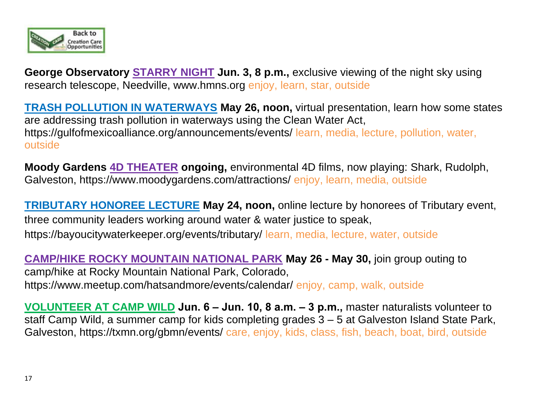

**George Observatory STARRY NIGHT Jun. 3, 8 p.m., exclusive viewing of the night sky using** research telescope, Needville, [www.hmns.org](http://www.hmns.org/) enjoy, learn, star, outside

**TRASH POLLUTION IN WATERWAYS May 26, noon,** virtual presentation, learn how some states are addressing trash pollution in waterways using the Clean Water Act, <https://gulfofmexicoalliance.org/announcements/events/> learn, media, lecture, pollution, water, outside

**Moody Gardens 4D THEATER ongoing,** environmental 4D films, now playing: Shark, Rudolph, Galveston,<https://www.moodygardens.com/attractions/> enjoy, learn, media, outside

**TRIBUTARY HONOREE LECTURE May 24, noon,** online lecture by honorees of Tributary event, three community leaders working around water & water justice to speak, https://bayoucitywaterkeeper.org/events/tributary/ learn, media, lecture, water, outside

**CAMP/HIKE ROCKY MOUNTAIN NATIONAL PARK May 26 - May 30,** join group outing to camp/hike at Rocky Mountain National Park, Colorado, <https://www.meetup.com/hatsandmore/events/calendar/> enjoy, camp, walk, outside

**VOLUNTEER AT CAMP WILD Jun. 6 – Jun. 10, 8 a.m. – 3 p.m.,** master naturalists volunteer to staff Camp Wild, a summer camp for kids completing grades 3 – 5 at Galveston Island State Park, Galveston,<https://txmn.org/gbmn/events/> care, enjoy, kids, class, fish, beach, boat, bird, outside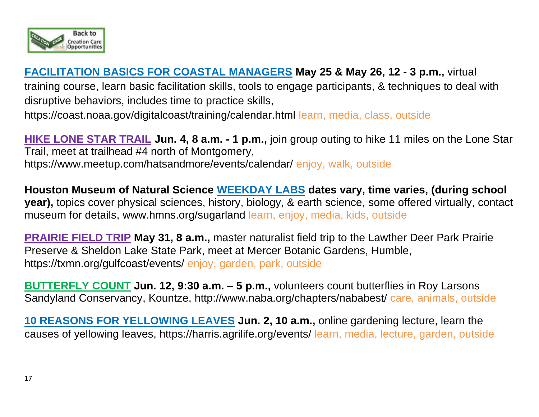

## **FACILITATION BASICS FOR COASTAL MANAGERS May 25 & May 26, 12 - 3 p.m.,** virtual

training course, learn basic facilitation skills, tools to engage participants, & techniques to deal with disruptive behaviors, includes time to practice skills,

<https://coast.noaa.gov/digitalcoast/training/calendar.html> learn, media, class, outside

**HIKE LONE STAR TRAIL Jun. 4, 8 a.m. - 1 p.m.,** join group outing to hike 11 miles on the Lone Star Trail, meet at trailhead #4 north of Montgomery, <https://www.meetup.com/hatsandmore/events/calendar/> enjoy, walk, outside

**Houston Museum of Natural Science WEEKDAY LABS dates vary, time varies, (during school year),** topics cover physical sciences, history, biology, & earth science, some offered virtually, contact museum for details, [www.hmns.org/](http://www.hmns.org/)sugarland learn, enjoy, media, kids, outside

**PRAIRIE FIELD TRIP May 31, 8 a.m.,** master naturalist field trip to the Lawther Deer Park Prairie Preserve & Sheldon Lake State Park, meet at Mercer Botanic Gardens, Humble, https://txmn.org/gulfcoast/events/ enjoy, garden, park, outside

**BUTTERFLY COUNT Jun. 12, 9:30 a.m. – 5 p.m.,** volunteers count butterflies in Roy Larsons Sandyland Conservancy, Kountze,<http://www.naba.org/chapters/nababest/> care, animals, outside

**10 REASONS FOR YELLOWING LEAVES Jun. 2, 10 a.m.,** online gardening lecture, learn the causes of yellowing leaves, https://harris.agrilife.org/events/ learn, media, lecture, garden, outside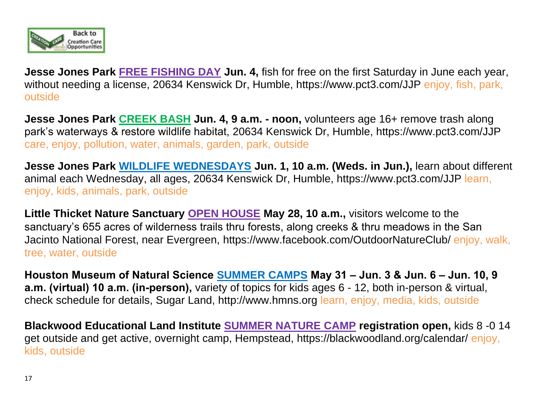

**Jesse Jones Park FREE FISHING DAY Jun. 4,** fish for free on the first Saturday in June each year, without needing a license, 20634 Kenswick Dr, Humble, https://www.pct3.com/JJP enjoy, fish, park, outside

**Jesse Jones Park CREEK BASH Jun. 4, 9 a.m. - noon,** volunteers age 16+ remove trash along park's waterways & restore wildlife habitat, 20634 Kenswick Dr, Humble,<https://www.pct3.com/JJP> care, enjoy, pollution, water, animals, garden, park, outside

**Jesse Jones Park WILDLIFE WEDNESDAYS Jun. 1, 10 a.m. (Weds. in Jun.),** learn about different animal each Wednesday, all ages, 20634 Kenswick Dr, Humble, https://www.pct3.com/JJP learn, enjoy, kids, animals, park, outside

**Little Thicket Nature Sanctuary OPEN HOUSE May 28, 10 a.m.,** visitors welcome to the sanctuary's 655 acres of wilderness trails thru forests, along creeks & thru meadows in the San Jacinto National Forest, near Evergreen,<https://www.facebook.com/OutdoorNatureClub/> enjoy, walk, tree, water, outside

**Houston Museum of Natural Science SUMMER CAMPS May 31 – Jun. 3 & Jun. 6 – Jun. 10, 9 a.m. (virtual) 10 a.m. (in-person),** variety of topics for kids ages 6 - 12, both in-person & virtual, check schedule for details, Sugar Land, http://www.hmns.org learn, enjoy, media, kids, outside

**Blackwood Educational Land Institute SUMMER NATURE CAMP registration open,** kids 8 -0 14 get outside and get active, overnight camp, Hempstead,<https://blackwoodland.org/calendar/> enjoy, kids, outside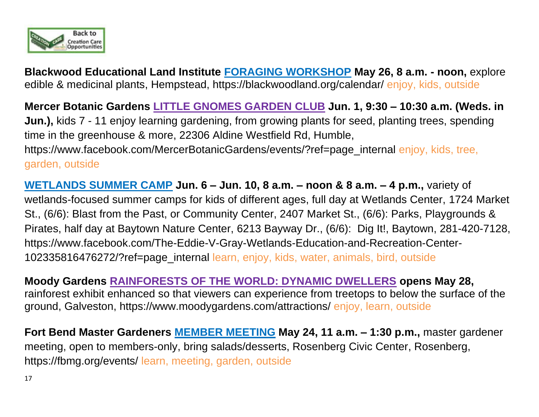

**Blackwood Educational Land Institute FORAGING WORKSHOP May 26, 8 a.m. - noon,** explore edible & medicinal plants, Hempstead,<https://blackwoodland.org/calendar/> enjoy, kids, outside

**Mercer Botanic Gardens LITTLE GNOMES GARDEN CLUB Jun. 1, 9:30 – 10:30 a.m. (Weds. in Jun.),** kids 7 - 11 enjoy learning gardening, from growing plants for seed, planting trees, spending time in the greenhouse & more, 22306 Aldine Westfield Rd, Humble, https://www.facebook.com/MercerBotanicGardens/events/?ref=page\_internal enjoy, kids, tree, garden, outside

**WETLANDS SUMMER CAMP Jun. 6 – Jun. 10, 8 a.m. – noon & 8 a.m. – 4 p.m.,** variety of wetlands-focused summer camps for kids of different ages, full day at Wetlands Center, 1724 Market St., (6/6): Blast from the Past, or Community Center, 2407 Market St., (6/6): Parks, Playgrounds & Pirates, half day at Baytown Nature Center, 6213 Bayway Dr., (6/6): Dig It!, Baytown, 281-420-7128, https://www.facebook.com/The-Eddie-V-Gray-Wetlands-Education-and-Recreation-Center-102335816476272/?ref=page\_internal learn, enjoy, kids, water, animals, bird, outside

## **Moody Gardens RAINFORESTS OF THE WORLD: DYNAMIC DWELLERS opens May 28,**

rainforest exhibit enhanced so that viewers can experience from treetops to below the surface of the ground, Galveston,<https://www.moodygardens.com/attractions/> enjoy, learn, outside

**Fort Bend Master Gardeners MEMBER MEETING May 24, 11 a.m. – 1:30 p.m.,** master gardener meeting, open to members-only, bring salads/desserts, Rosenberg Civic Center, Rosenberg, https://fbmg.org/events/ learn, meeting, garden, outside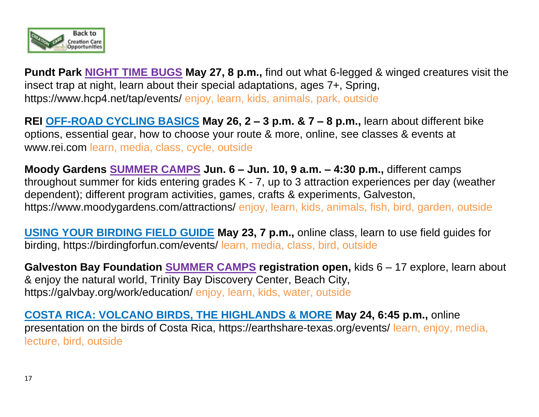

**Pundt Park NIGHT TIME BUGS May 27, 8 p.m.,** find out what 6-legged & winged creatures visit the insect trap at night, learn about their special adaptations, ages 7+, Spring, https://www.hcp4.net/tap/events/ enjoy, learn, kids, animals, park, outside

**REI OFF-ROAD CYCLING BASICS May 26, 2 – 3 p.m. & 7 – 8 p.m.,** learn about different bike options, essential gear, how to choose your route & more, online, see classes & events at [www.rei.com](http://www.rei.com/) learn, media, class, cycle, outside

**Moody Gardens SUMMER CAMPS Jun. 6 – Jun. 10, 9 a.m. – 4:30 p.m.,** different camps throughout summer for kids entering grades K - 7, up to 3 attraction experiences per day (weather dependent); different program activities, games, crafts & experiments, Galveston, <https://www.moodygardens.com/attractions/> enjoy, learn, kids, animals, fish, bird, garden, outside

**USING YOUR BIRDING FIELD GUIDE May 23, 7 p.m.,** online class, learn to use field guides for birding, https://birdingforfun.com/events/ learn, media, class, bird, outside

**Galveston Bay Foundation SUMMER CAMPS registration open,** kids 6 – 17 explore, learn about & enjoy the natural world, Trinity Bay Discovery Center, Beach City, https://galvbay.org/work/education/ enjoy, learn, kids, water, outside

**COSTA RICA: VOLCANO BIRDS, THE HIGHLANDS & MORE May 24, 6:45 p.m.,** online presentation on the birds of Costa Rica, https://earthshare-texas.org/events/ learn, enjoy, media, lecture, bird, outside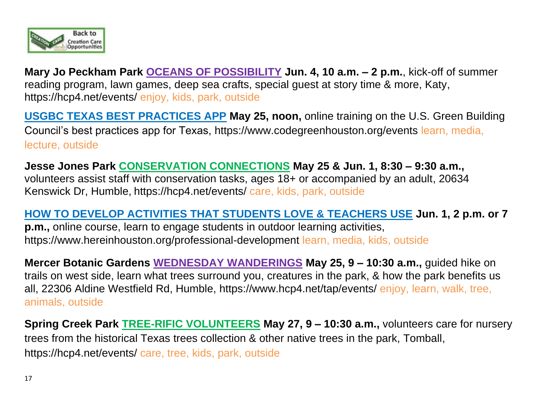

**Mary Jo Peckham Park OCEANS OF POSSIBILITY Jun. 4, 10 a.m. – 2 p.m.**, kick-off of summer reading program, lawn games, deep sea crafts, special guest at story time & more, Katy, https://hcp4.net/events/ enjoy, kids, park, outside

**USGBC TEXAS BEST PRACTICES APP May 25, noon,** online training on the U.S. Green Building Council's best practices app for Texas, https://www.codegreenhouston.org/events learn, media, lecture, outside

**Jesse Jones Park CONSERVATION CONNECTIONS May 25 & Jun. 1, 8:30 – 9:30 a.m.,** volunteers assist staff with conservation tasks, ages 18+ or accompanied by an adult, 20634 Kenswick Dr, Humble, https://hcp4.net/events/ care, kids, park, outside

#### **HOW TO DEVELOP ACTIVITIES THAT STUDENTS LOVE & TEACHERS USE Jun. 1, 2 p.m. or 7**

**p.m.,** online course, learn to engage students in outdoor learning activities, <https://www.hereinhouston.org/professional-development> learn, media, kids, outside

**Mercer Botanic Gardens WEDNESDAY WANDERINGS May 25, 9 – 10:30 a.m.,** guided hike on trails on west side, learn what trees surround you, creatures in the park, & how the park benefits us all, 22306 Aldine Westfield Rd, Humble,<https://www.hcp4.net/tap/events/> enjoy, learn, walk, tree, animals, outside

**Spring Creek Park TREE-RIFIC VOLUNTEERS May 27, 9 – 10:30 a.m.,** volunteers care for nursery trees from the historical Texas trees collection & other native trees in the park, Tomball, https://hcp4.net/events/ care, tree, kids, park, outside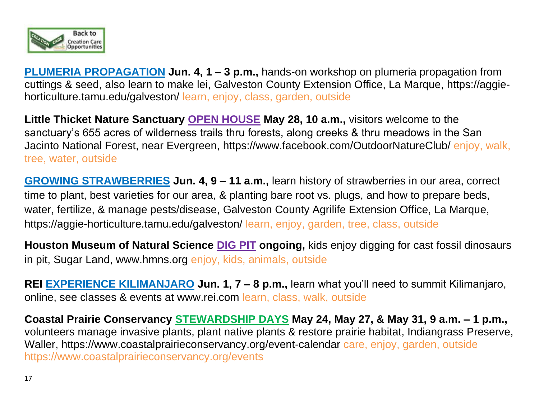

**PLUMERIA PROPAGATION Jun. 4, 1 – 3 p.m.,** hands-on workshop on plumeria propagation from cuttings & seed, also learn to make lei, Galveston County Extension Office, La Marque, https://aggiehorticulture.tamu.edu/galveston/ learn, enjoy, class, garden, outside

**Little Thicket Nature Sanctuary OPEN HOUSE May 28, 10 a.m.,** visitors welcome to the sanctuary's 655 acres of wilderness trails thru forests, along creeks & thru meadows in the San Jacinto National Forest, near Evergreen, https://www.facebook.com/OutdoorNatureClub/ enjoy, walk, tree, water, outside

**GROWING STRAWBERRIES Jun. 4, 9 – 11 a.m.,** learn history of strawberries in our area, correct time to plant, best varieties for our area, & planting bare root vs. plugs, and how to prepare beds, water, fertilize, & manage pests/disease, Galveston County Agrilife Extension Office, La Marque, https://aggie-horticulture.tamu.edu/galveston/ learn, enjoy, garden, tree, class, outside

**Houston Museum of Natural Science DIG PIT ongoing,** kids enjoy digging for cast fossil dinosaurs in pit, Sugar Land, www.hmns.org enjoy, kids, animals, outside

**REI EXPERIENCE KILIMANJARO Jun. 1, 7 – 8 p.m.,** learn what you'll need to summit Kilimanjaro, online, see classes & events at [www.rei.com](http://www.rei.com/) learn, class, walk, outside

**Coastal Prairie Conservancy STEWARDSHIP DAYS May 24, May 27, & May 31, 9 a.m. – 1 p.m.,**  volunteers manage invasive plants, plant native plants & restore prairie habitat, Indiangrass Preserve, Waller, https://www.coastalprairieconservancy.org/event-calendar care, enjoy, garden, outside https://www.coastalprairieconservancy.org/events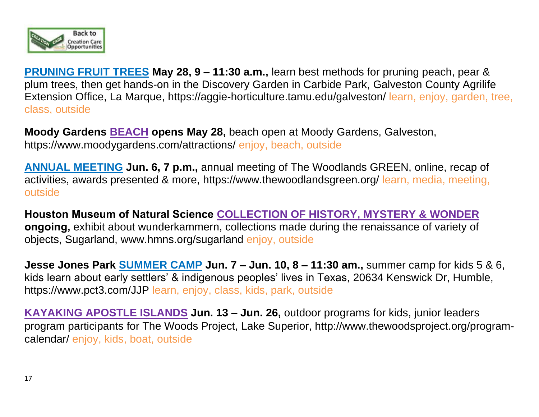

**PRUNING FRUIT TREES May 28, 9 – 11:30 a.m.,** learn best methods for pruning peach, pear & plum trees, then get hands-on in the Discovery Garden in Carbide Park, Galveston County Agrilife Extension Office, La Marque, https://aggie-horticulture.tamu.edu/galveston/ learn, enjoy, garden, tree, class, outside

**Moody Gardens BEACH opens May 28,** beach open at Moody Gardens, Galveston, <https://www.moodygardens.com/attractions/> enjoy, beach, outside

**ANNUAL MEETING Jun. 6, 7 p.m.,** annual meeting of The Woodlands GREEN, online, recap of activities, awards presented & more,<https://www.thewoodlandsgreen.org/> learn, media, meeting, outside

**Houston Museum of Natural Science COLLECTION OF HISTORY, MYSTERY & WONDER ongoing,** exhibit about wunderkammern, collections made during the renaissance of variety of objects, Sugarland, [www.hmns.org/](http://www.hmns.org/)sugarland enjoy, outside

**Jesse Jones Park SUMMER CAMP Jun. 7 – Jun. 10, 8 – 11:30 am.,** summer camp for kids 5 & 6, kids learn about early settlers' & indigenous peoples' lives in Texas, 20634 Kenswick Dr, Humble, https://www.pct3.com/JJP learn, enjoy, class, kids, park, outside

**KAYAKING APOSTLE ISLANDS Jun. 13 – Jun. 26, outdoor programs for kids, junior leaders** program participants for The Woods Project, Lake Superior, [http://www.thewoodsproject.org/program](http://www.thewoodsproject.org/program-calendar/)[calendar/](http://www.thewoodsproject.org/program-calendar/) enjoy, kids, boat, outside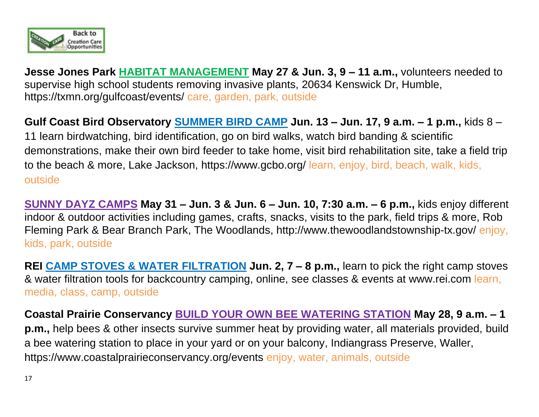

**Jesse Jones Park HABITAT MANAGEMENT May 27 & Jun. 3, 9 – 11 a.m.,** volunteers needed to supervise high school students removing invasive plants, 20634 Kenswick Dr, Humble, <https://txmn.org/gulfcoast/events/> care, garden, park, outside

**Gulf Coast Bird Observatory SUMMER BIRD CAMP Jun. 13 – Jun. 17, 9 a.m. – 1 p.m.,** kids 8 – 11 learn birdwatching, bird identification, go on bird walks, watch bird banding & scientific demonstrations, make their own bird feeder to take home, visit bird rehabilitation site, take a field trip to the beach & more, Lake Jackson, https://www.gcbo.org/ learn, enjoy, bird, beach, walk, kids, outside

**SUNNY DAYZ CAMPS May 31 – Jun. 3 & Jun. 6 – Jun. 10, 7:30 a.m. – 6 p.m.,** kids enjoy different indoor & outdoor activities including games, crafts, snacks, visits to the park, field trips & more, Rob Fleming Park & Bear Branch Park, The Woodlands,<http://www.thewoodlandstownship-tx.gov/> enjoy, kids, park, outside

**REI CAMP STOVES & WATER FILTRATION Jun. 2, 7 – 8 p.m.,** learn to pick the right camp stoves & water filtration tools for backcountry camping, online, see classes & events at [www.rei.com](http://www.rei.com/) learn, media, class, camp, outside

**Coastal Prairie Conservancy BUILD YOUR OWN BEE WATERING STATION May 28, 9 a.m. – 1 p.m.,** help bees & other insects survive summer heat by providing water, all materials provided, build a bee watering station to place in your yard or on your balcony, Indiangrass Preserve, Waller, https://www.coastalprairieconservancy.org/events enjoy, water, animals, outside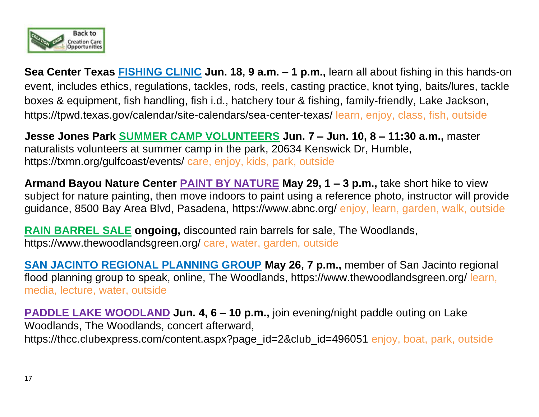

**Sea Center Texas FISHING CLINIC Jun. 18, 9 a.m. – 1 p.m.,** learn all about fishing in this hands-on event, includes ethics, regulations, tackles, rods, reels, casting practice, knot tying, baits/lures, tackle boxes & equipment, fish handling, fish i.d., hatchery tour & fishing, family-friendly, Lake Jackson, <https://tpwd.texas.gov/calendar/site-calendars/sea-center-texas/> learn, enjoy, class, fish, outside

**Jesse Jones Park SUMMER CAMP VOLUNTEERS Jun. 7 – Jun. 10, 8 – 11:30 a.m.,** master naturalists volunteers at summer camp in the park, 20634 Kenswick Dr, Humble, <https://txmn.org/gulfcoast/events/> care, enjoy, kids, park, outside

**Armand Bayou Nature Center PAINT BY NATURE May 29, 1 – 3 p.m.,** take short hike to view subject for nature painting, then move indoors to paint using a reference photo, instructor will provide guidance, 8500 Bay Area Blvd, Pasadena,<https://www.abnc.org/> enjoy, learn, garden, walk, outside

**RAIN BARREL SALE ongoing,** discounted rain barrels for sale, The Woodlands, <https://www.thewoodlandsgreen.org/> care, water, garden, outside

**SAN JACINTO REGIONAL PLANNING GROUP May 26, 7 p.m.,** member of San Jacinto regional flood planning group to speak, online, The Woodlands,<https://www.thewoodlandsgreen.org/> learn, media, lecture, water, outside

**PADDLE LAKE WOODLAND Jun. 4, 6 – 10 p.m.,** join evening/night paddle outing on Lake Woodlands, The Woodlands, concert afterward, https://thcc.clubexpress.com/content.aspx?page\_id=2&club\_id=496051 enjoy, boat, park, outside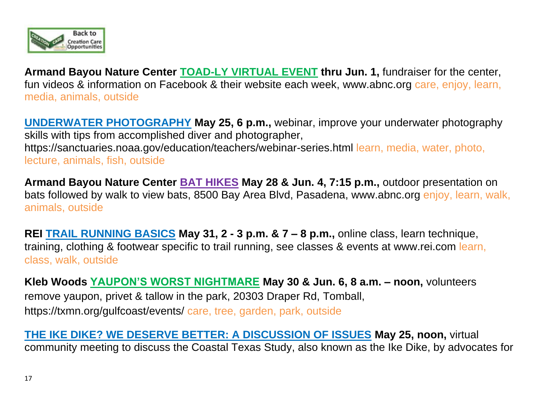

**Armand Bayou Nature Center TOAD-LY VIRTUAL EVENT thru Jun. 1,** fundraiser for the center, fun videos & information on Facebook & their website each week, [www.abnc.org](http://www.abnc.org/) care, enjoy, learn, media, animals, outside

**UNDERWATER PHOTOGRAPHY May 25, 6 p.m.,** webinar, improve your underwater photography skills with tips from accomplished diver and photographer, <https://sanctuaries.noaa.gov/education/teachers/webinar-series.html> learn, media, water, photo, lecture, animals, fish, outside

**Armand Bayou Nature Center BAT HIKES May 28 & Jun. 4, 7:15 p.m.,** outdoor presentation on bats followed by walk to view bats, 8500 Bay Area Blvd, Pasadena, [www.abnc.org](http://www.abnc.org/) enjoy, learn, walk, animals, outside

**REI TRAIL RUNNING BASICS May 31, 2 - 3 p.m. & 7 – 8 p.m.,** online class, learn technique, training, clothing & footwear specific to trail running, see classes & events at [www.rei.com](http://www.rei.com/) learn, class, walk, outside

**Kleb Woods YAUPON'S WORST NIGHTMARE May 30 & Jun. 6, 8 a.m. – noon,** volunteers remove yaupon, privet & tallow in the park, 20303 Draper Rd, Tomball, <https://txmn.org/gulfcoast/events/> care, tree, garden, park, outside

**THE IKE DIKE? WE DESERVE BETTER: A DISCUSSION OF ISSUES May 25, noon,** virtual community meeting to discuss the Coastal Texas Study, also known as the Ike Dike, by advocates for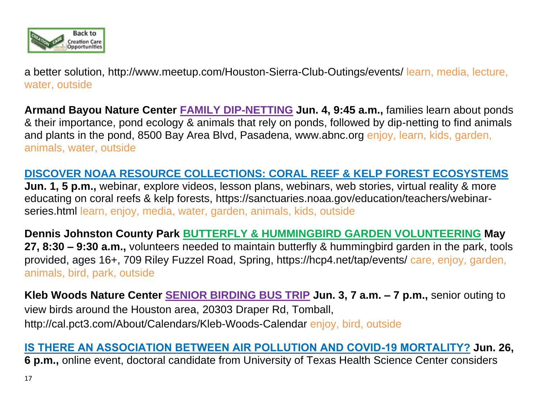

a better solution, <http://www.meetup.com/Houston-Sierra-Club-Outings/events/> learn, media, lecture, water, outside

**Armand Bayou Nature Center FAMILY DIP-NETTING Jun. 4, 9:45 a.m.,** families learn about ponds & their importance, pond ecology & animals that rely on ponds, followed by dip-netting to find animals and plants in the pond, 8500 Bay Area Blvd, Pasadena, [www.abnc.org](http://www.abnc.org/) enjoy, learn, kids, garden, animals, water, outside

### **DISCOVER NOAA RESOURCE COLLECTIONS: CORAL REEF & KELP FOREST ECOSYSTEMS**

**Jun. 1, 5 p.m.,** webinar, explore videos, lesson plans, webinars, web stories, virtual reality & more educating on coral reefs & kelp forests, [https://sanctuaries.noaa.gov/education/teachers/webinar](https://sanctuaries.noaa.gov/education/teachers/webinar-series.html)[series.html](https://sanctuaries.noaa.gov/education/teachers/webinar-series.html) learn, enjoy, media, water, garden, animals, kids, outside

**Dennis Johnston County Park BUTTERFLY & HUMMINGBIRD GARDEN VOLUNTEERING May 27, 8:30 – 9:30 a.m.,** volunteers needed to maintain butterfly & hummingbird garden in the park, tools provided, ages 16+, 709 Riley Fuzzel Road, Spring, https://hcp4.net/tap/events/ care, enjoy, garden, animals, bird, park, outside

**Kleb Woods Nature Center SENIOR BIRDING BUS TRIP Jun. 3, 7 a.m. – 7 p.m.,** senior outing to view birds around the Houston area, 20303 Draper Rd, Tomball, <http://cal.pct3.com/About/Calendars/Kleb-Woods-Calendar> enjoy, bird, outside

### **IS THERE AN ASSOCIATION BETWEEN AIR POLLUTION AND COVID-19 MORTALITY? Jun. 26,**

**6 p.m.,** online event, doctoral candidate from University of Texas Health Science Center considers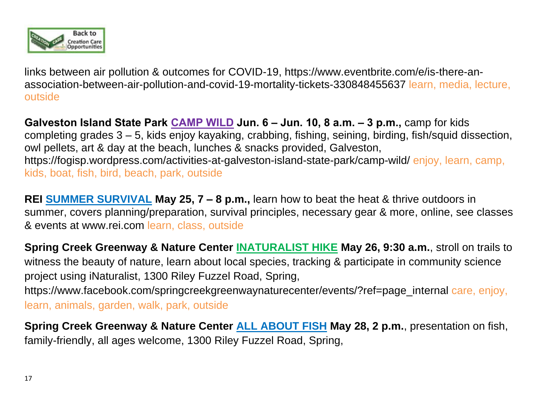

links between air pollution & outcomes for COVID-19, https://www.eventbrite.com/e/is-there-anassociation-between-air-pollution-and-covid-19-mortality-tickets-330848455637 learn, media, lecture, outside

**Galveston Island State Park CAMP WILD Jun. 6 – Jun. 10, 8 a.m. – 3 p.m.,** camp for kids completing grades 3 – 5, kids enjoy kayaking, crabbing, fishing, seining, birding, fish/squid dissection, owl pellets, art & day at the beach, lunches & snacks provided, Galveston, [https://fogisp.wordpress.com/activities-at-galveston-island-state-park/camp-wild/](https://www.hcp4.net/events/calendar/) enjoy, learn, camp, kids, boat, fish, bird, beach, park, outside

**REI SUMMER SURVIVAL May 25, 7 – 8 p.m.,** learn how to beat the heat & thrive outdoors in summer, covers planning/preparation, survival principles, necessary gear & more, online, see classes & events at [www.rei.com](http://www.rei.com/) learn, class, outside

**Spring Creek Greenway & Nature Center INATURALIST HIKE May 26, 9:30 a.m.**, stroll on trails to witness the beauty of nature, learn about local species, tracking & participate in community science project using iNaturalist, 1300 Riley Fuzzel Road, Spring, https://www.facebook.com/springcreekgreenwaynaturecenter/events/?ref=page\_internal care, enjoy, learn, animals, garden, walk, park, outside

**Spring Creek Greenway & Nature Center ALL ABOUT FISH May 28, 2 p.m.**, presentation on fish, family-friendly, all ages welcome, 1300 Riley Fuzzel Road, Spring,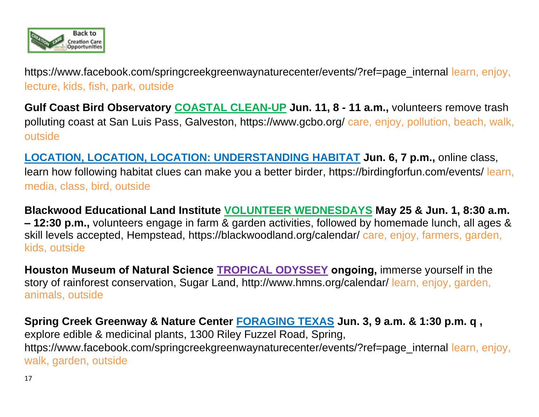

[https://www.facebook.com/springcreekgreenwaynaturecenter/events/?ref=page\\_internal](https://www.facebook.com/springcreekgreenwaynaturecenter/events/?ref=page_internal) learn, enjoy, lecture, kids, fish, park, outside

**Gulf Coast Bird Observatory COASTAL CLEAN-UP Jun. 11, 8 - 11 a.m.,** volunteers remove trash polluting coast at San Luis Pass, Galveston, https://www.gcbo.org/ care, enjoy, pollution, beach, walk, outside

**LOCATION, LOCATION, LOCATION: UNDERSTANDING HABITAT Jun. 6, 7 p.m.,** online class, learn how following habitat clues can make you a better birder, https://birdingforfun.com/events/ learn, media, class, bird, outside

**Blackwood Educational Land Institute VOLUNTEER WEDNESDAYS May 25 & Jun. 1, 8:30 a.m. – 12:30 p.m.,** volunteers engage in farm & garden activities, followed by homemade lunch, all ages & skill levels accepted, Hempstead, https://blackwoodland.org/calendar/ care, enjoy, farmers, garden, kids, outside

**Houston Museum of Natural Science TROPICAL ODYSSEY ongoing,** immerse yourself in the story of rainforest conservation, Sugar Land, http://www.hmns.org/calendar/ learn, enjoy, garden, animals, outside

**Spring Creek Greenway & Nature Center FORAGING TEXAS Jun. 3, 9 a.m. & 1:30 p.m. q ,**  explore edible & medicinal plants, 1300 Riley Fuzzel Road, Spring, [https://www.facebook.com/springcreekgreenwaynaturecenter/events/?ref=page\\_internal](https://www.facebook.com/springcreekgreenwaynaturecenter/events/?ref=page_internal) learn, enjoy, walk, garden, outside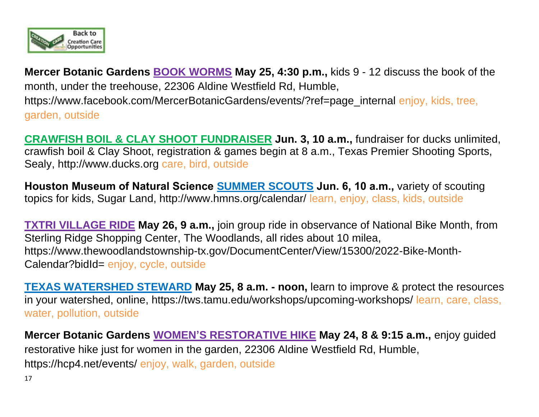

**Mercer Botanic Gardens BOOK WORMS May 25, 4:30 p.m.,** kids 9 - 12 discuss the book of the month, under the treehouse, 22306 Aldine Westfield Rd, Humble, https://www.facebook.com/MercerBotanicGardens/events/?ref=page\_internal enjoy, kids, tree, garden, outside

**CRAWFISH BOIL & CLAY SHOOT FUNDRAISER Jun. 3, 10 a.m.,** fundraiser for ducks unlimited, crawfish boil & Clay Shoot, registration & games begin at 8 a.m., Texas Premier Shooting Sports, Sealy, http://www.ducks.org care, bird, outside

**Houston Museum of Natural Science SUMMER SCOUTS Jun. 6, 10 a.m.,** variety of scouting topics for kids, Sugar Land, http://www.hmns.org/calendar/ learn, enjoy, class, kids, outside

**TXTRI VILLAGE RIDE May 26, 9 a.m.,** join group ride in observance of National Bike Month, from Sterling Ridge Shopping Center, The Woodlands, all rides about 10 milea, [https://www.thewoodlandstownship-tx.gov/DocumentCenter/View/15300/2022-Bike-Month-](https://www.thewoodlandstownship-tx.gov/DocumentCenter/View/15300/2022-Bike-Month-Calendar?bidId=)[Calendar?bidId=](https://www.thewoodlandstownship-tx.gov/DocumentCenter/View/15300/2022-Bike-Month-Calendar?bidId=) enjoy, cycle, outside

**TEXAS WATERSHED STEWARD May 25, 8 a.m. - noon,** learn to improve & protect the resources in your watershed, online, https://tws.tamu.edu/workshops/upcoming-workshops/ learn, care, class, water, pollution, outside

**Mercer Botanic Gardens WOMEN'S RESTORATIVE HIKE May 24, 8 & 9:15 a.m.,** enjoy guided restorative hike just for women in the garden, 22306 Aldine Westfield Rd, Humble, https://hcp4.net/events/ enjoy, walk, garden, outside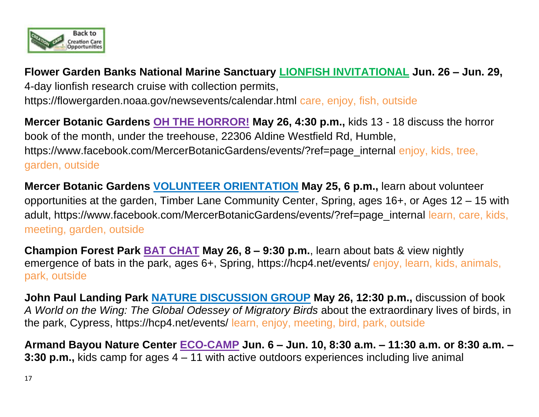

**Flower Garden Banks National Marine Sanctuary LIONFISH INVITATIONAL Jun. 26 – Jun. 29,**  4-day lionfish research cruise with collection permits, https://flowergarden.noaa.gov/newsevents/calendar.html care, enjoy, fish, outside

**Mercer Botanic Gardens OH THE HORROR! May 26, 4:30 p.m.,** kids 13 - 18 discuss the horror book of the month, under the treehouse, 22306 Aldine Westfield Rd, Humble, https://www.facebook.com/MercerBotanicGardens/events/?ref=page\_internal enjoy, kids, tree, garden, outside

**Mercer Botanic Gardens VOLUNTEER ORIENTATION May 25, 6 p.m.,** learn about volunteer opportunities at the garden, Timber Lane Community Center, Spring, ages 16+, or Ages 12 – 15 with adult, https://www.facebook.com/MercerBotanicGardens/events/?ref=page\_internal learn, care, kids, meeting, garden, outside

**Champion Forest Park BAT CHAT May 26, 8 – 9:30 p.m.**, learn about bats & view nightly emergence of bats in the park, ages 6+, Spring, https://hcp4.net/events/ enjoy, learn, kids, animals, park, outside

**John Paul Landing Park NATURE DISCUSSION GROUP May 26, 12:30 p.m.,** discussion of book *A World on the Wing: The Global Odessey of Migratory Birds* about the extraordinary lives of birds, in the park, Cypress, https://hcp4.net/events/ learn, enjoy, meeting, bird, park, outside

**Armand Bayou Nature Center ECO-CAMP Jun. 6 – Jun. 10, 8:30 a.m. – 11:30 a.m. or 8:30 a.m. – 3:30 p.m.,** kids camp for ages 4 – 11 with active outdoors experiences including live animal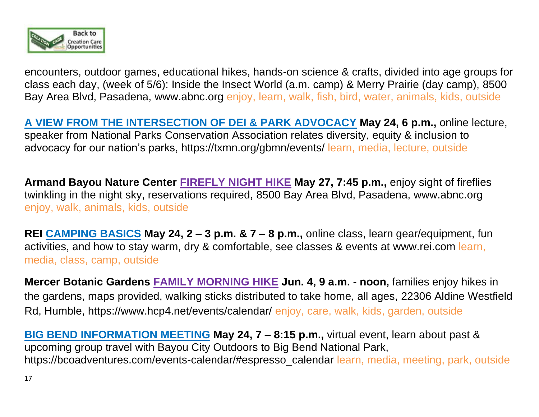

encounters, outdoor games, educational hikes, hands-on science & crafts, divided into age groups for class each day, (week of 5/6): Inside the Insect World (a.m. camp) & Merry Prairie (day camp), 8500 Bay Area Blvd, Pasadena, [www.abnc.org](http://www.abnc.org/) enjoy, learn, walk, fish, bird, water, animals, kids, outside

**A VIEW FROM THE INTERSECTION OF DEI & PARK ADVOCACY May 24, 6 p.m.,** online lecture, speaker from National Parks Conservation Association relates diversity, equity & inclusion to advocacy for our nation's parks,<https://txmn.org/gbmn/events/> learn, media, lecture, outside

**Armand Bayou Nature Center FIREFLY NIGHT HIKE May 27, 7:45 p.m.,** enjoy sight of fireflies twinkling in the night sky, reservations required, 8500 Bay Area Blvd, Pasadena, [www.abnc.org](http://www.abnc.org/) enjoy, walk, animals, kids, outside

**REI CAMPING BASICS May 24, 2 – 3 p.m. & 7 – 8 p.m.,** online class, learn gear/equipment, fun activities, and how to stay warm, dry & comfortable, see classes & events at [www.rei.com](http://www.rei.com/) learn, media, class, camp, outside

**Mercer Botanic Gardens FAMILY MORNING HIKE Jun. 4, 9 a.m. - noon,** families enjoy hikes in the gardens, maps provided, walking sticks distributed to take home, all ages, 22306 Aldine Westfield Rd, Humble, https://www.hcp4.net/events/calendar/ enjoy, care, walk, kids, garden, outside

**BIG BEND INFORMATION MEETING May 24, 7 – 8:15 p.m.,** virtual event, learn about past & upcoming group travel with Bayou City Outdoors to Big Bend National Park, https://bcoadventures.com/events-calendar/#espresso\_calendar learn, media, meeting, park, outside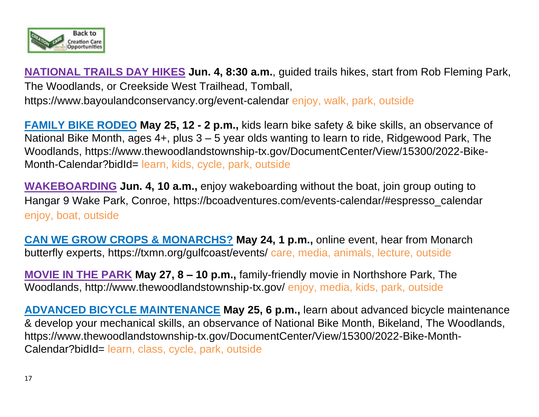

**NATIONAL TRAILS DAY HIKES Jun. 4, 8:30 a.m.**, guided trails hikes, start from Rob Fleming Park, The Woodlands, or Creekside West Trailhead, Tomball,

[https://www.bayoulandconservancy.org/event-calendar e](https://www.bayoulandconservancy.org/event-calendar)njoy, walk, park, outside

**FAMILY BIKE RODEO May 25, 12 - 2 p.m.,** kids learn bike safety & bike skills, an observance of National Bike Month, ages 4+, plus 3 – 5 year olds wanting to learn to ride, Ridgewood Park, The Woodlands, [https://www.thewoodlandstownship-tx.gov/DocumentCenter/View/15300/2022-Bike-](https://www.thewoodlandstownship-tx.gov/DocumentCenter/View/15300/2022-Bike-Month-Calendar?bidId=)[Month-Calendar?bidId=](https://www.thewoodlandstownship-tx.gov/DocumentCenter/View/15300/2022-Bike-Month-Calendar?bidId=) learn, kids, cycle, park, outside

**WAKEBOARDING Jun. 4, 10 a.m.,** enjoy wakeboarding without the boat, join group outing to Hangar 9 Wake Park, Conroe, https://bcoadventures.com/events-calendar/#espresso\_calendar enjoy, boat, outside

**CAN WE GROW CROPS & MONARCHS? May 24, 1 p.m.,** online event, hear from Monarch butterfly experts, https://txmn.org/gulfcoast/events/ care, media, animals, lecture, outside

**MOVIE IN THE PARK May 27, 8 – 10 p.m.,** family-friendly movie in Northshore Park, The Woodlands,<http://www.thewoodlandstownship-tx.gov/> enjoy, media, kids, park, outside

**ADVANCED BICYCLE MAINTENANCE May 25, 6 p.m.,** learn about advanced bicycle maintenance & develop your mechanical skills, an observance of National Bike Month, Bikeland, The Woodlands, [https://www.thewoodlandstownship-tx.gov/DocumentCenter/View/15300/2022-Bike-Month-](https://www.thewoodlandstownship-tx.gov/DocumentCenter/View/15300/2022-Bike-Month-Calendar?bidId=)[Calendar?bidId=](https://www.thewoodlandstownship-tx.gov/DocumentCenter/View/15300/2022-Bike-Month-Calendar?bidId=) learn, class, cycle, park, outside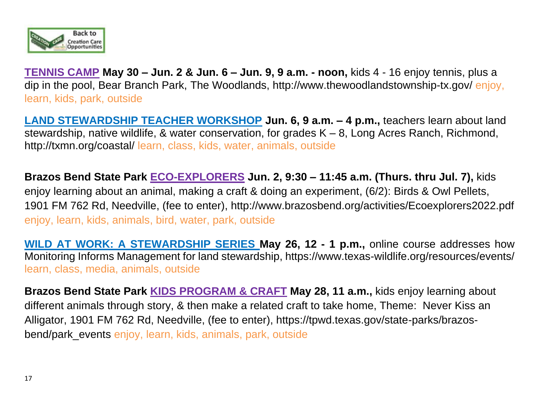

**TENNIS CAMP May 30 – Jun. 2 & Jun. 6 – Jun. 9, 9 a.m. - noon,** kids 4 - 16 enjoy tennis, plus a dip in the pool, Bear Branch Park, The Woodlands,<http://www.thewoodlandstownship-tx.gov/> enjoy, learn, kids, park, outside

**LAND STEWARDSHIP TEACHER WORKSHOP Jun. 6, 9 a.m. – 4 p.m.,** teachers learn about land stewardship, native wildlife, & water conservation, for grades K – 8, Long Acres Ranch, Richmond, <http://txmn.org/coastal/> learn, class, kids, water, animals, outside

**Brazos Bend State Park ECO-EXPLORERS Jun. 2, 9:30 – 11:45 a.m. (Thurs. thru Jul. 7),** kids enjoy learning about an animal, making a craft & doing an experiment, (6/2): Birds & Owl Pellets, 1901 FM 762 Rd, Needville, (fee to enter), http://www.brazosbend.org/activities/Ecoexplorers2022.pdf enjoy, learn, kids, animals, bird, water, park, outside

**WILD AT WORK: A STEWARDSHIP SERIES May 26, 12 - 1 p.m.,** online course addresses how Monitoring Informs Management for land stewardship,<https://www.texas-wildlife.org/resources/events/> learn, class, media, animals, outside

**Brazos Bend State Park KIDS PROGRAM & CRAFT May 28, 11 a.m.,** kids enjoy learning about different animals through story, & then make a related craft to take home, Theme: Never Kiss an Alligator, 1901 FM 762 Rd, Needville, (fee to enter), https://tpwd.texas.gov/state-parks/brazosbend/park\_events enjoy, learn, kids, animals, park, outside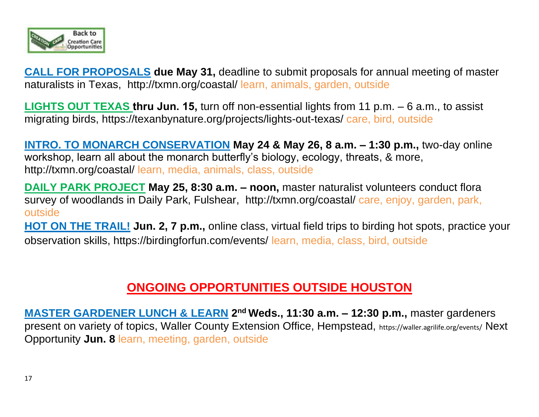

**CALL FOR PROPOSALS due May 31, deadline to submit proposals for annual meeting of master** naturalists in Texas, <http://txmn.org/coastal/> learn, animals, garden, outside

**LIGHTS OUT TEXAS thru Jun. 15,** turn off non-essential lights from 11 p.m. – 6 a.m., to assist migrating birds,<https://texanbynature.org/projects/lights-out-texas/> care, bird, outside

**INTRO. TO MONARCH CONSERVATION May 24 & May 26, 8 a.m. – 1:30 p.m.,** two-day online workshop, learn all about the monarch butterfly's biology, ecology, threats, & more, <http://txmn.org/coastal/> learn, media, animals, class, outside

**DAILY PARK PROJECT May 25, 8:30 a.m. – noon,** master naturalist volunteers conduct flora survey of woodlands in Daily Park, Fulshear, <http://txmn.org/coastal/> care, enjoy, garden, park, outside

**HOT ON THE TRAIL! Jun. 2, 7 p.m.,** online class, virtual field trips to birding hot spots, practice your observation skills, https://birdingforfun.com/events/ learn, media, class, bird, outside

# **ONGOING OPPORTUNITIES OUTSIDE HOUSTON**

**MASTER GARDENER LUNCH & LEARN 2<sup>nd</sup> Weds., 11:30 a.m. - 12:30 p.m., master gardeners** present on variety of topics, Waller County Extension Office, Hempstead, https://waller.agrilife.org/events/ Next Opportunity **Jun. 8** learn, meeting, garden, outside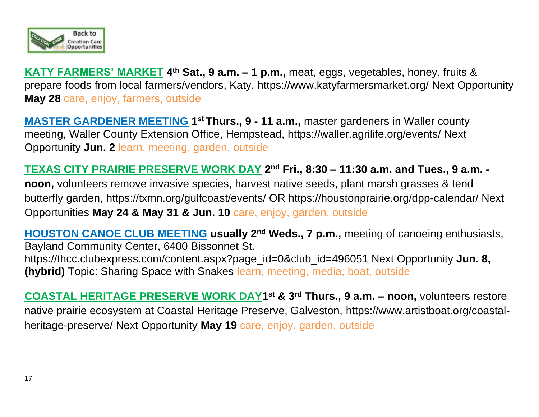

**KATY FARMERS' MARKET 4 th Sat., 9 a.m. – 1 p.m.,** meat, eggs, vegetables, honey, fruits & prepare foods from local farmers/vendors, Katy,<https://www.katyfarmersmarket.org/> Next Opportunity **May 28** care, enjoy, farmers, outside

**MASTER GARDENER MEETING** 1<sup>st</sup> Thurs., 9 - 11 a.m., master gardeners in Waller county meeting, Waller County Extension Office, Hempstead, https://waller.agrilife.org/events/ Next Opportunity **Jun. 2** learn, meeting, garden, outside

**TEXAS CITY PRAIRIE PRESERVE WORK DAY 2 nd Fri., 8:30 – 11:30 a.m. and Tues., 9 a.m. noon,** volunteers remove invasive species, harvest native seeds, plant marsh grasses & tend butterfly garden, https://txmn.org/gulfcoast/events/ OR<https://houstonprairie.org/dpp-calendar/> Next Opportunities **May 24 & May 31 & Jun. 10** care, enjoy, garden, outside

**HOUSTON CANOE CLUB MEETING usually 2nd Weds., 7 p.m.,** meeting of canoeing enthusiasts, Bayland Community Center, 6400 Bissonnet St. https://thcc.clubexpress.com/content.aspx?page\_id=0&club\_id=496051 Next Opportunity **Jun. 8, (hybrid)** Topic: Sharing Space with Snakes learn, meeting, media, boat, outside

**COASTAL HERITAGE PRESERVE WORK DAY1 st & 3rd Thurs., 9 a.m. – noon,** volunteers restore native prairie ecosystem at Coastal Heritage Preserve, Galveston, [https://www.artistboat.org/coastal](https://www.artistboat.org/coastal-heritage-preserve/)[heritage-preserve/](https://www.artistboat.org/coastal-heritage-preserve/) Next Opportunity **May 19** care, enjoy, garden, outside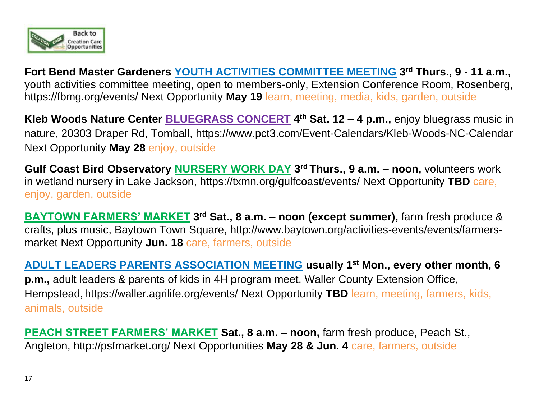

**Fort Bend Master Gardeners YOUTH ACTIVITIES COMMITTEE MEETING 3 rd Thurs., 9 - 11 a.m.,**  youth activities committee meeting, open to members-only, Extension Conference Room, Rosenberg, https://fbmg.org/events/ Next Opportunity **May 19** learn, meeting, media, kids, garden, outside

**Kleb Woods Nature Center BLUEGRASS CONCERT 4 th Sat. 12 – 4 p.m.,** enjoy bluegrass music in nature, 20303 Draper Rd, Tomball, https://www.pct3.com/Event-Calendars/Kleb-Woods-NC-Calendar Next Opportunity **May 28** enjoy, outside

**Gulf Coast Bird Observatory NURSERY WORK DAY 3 rd Thurs., 9 a.m. – noon,** volunteers work in wetland nursery in Lake Jackson, https://txmn.org/gulfcoast/events/ Next Opportunity **TBD** care, enjoy, garden, outside

**BAYTOWN FARMERS' MARKET 3 rd Sat., 8 a.m. – noon (except summer),** farm fresh produce & crafts, plus music, Baytown Town Square, [http://www.baytown.org/activities-events/events/farmers](http://www.baytown.org/activities-events/events/farmers-market)[market](http://www.baytown.org/activities-events/events/farmers-market) Next Opportunity **Jun. 18** care, farmers, outside

**ADULT LEADERS PARENTS ASSOCIATION MEETING usually 1st Mon., every other month, 6 p.m.,** adult leaders & parents of kids in 4H program meet, Waller County Extension Office, Hempstead, https://waller.agrilife.org/events/ Next Opportunity **TBD** learn, meeting, farmers, kids, animals, outside

**PEACH STREET FARMERS' MARKET Sat., 8 a.m. – noon,** farm fresh produce, Peach St., Angleton, http://psfmarket.org/ Next Opportunities **May 28 & Jun. 4** care, farmers, outside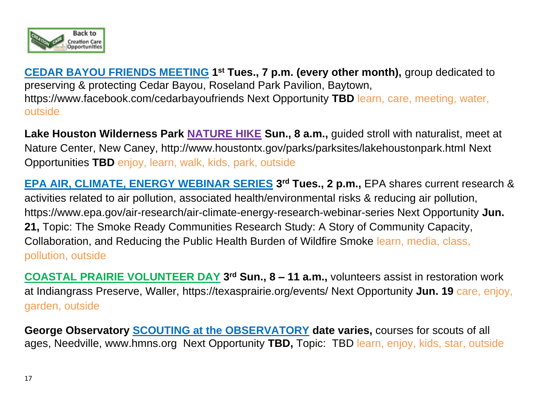

**CEDAR BAYOU FRIENDS MEETING 1<sup>st</sup> Tues., 7 p.m. (every other month), group dedicated to** preserving & protecting Cedar Bayou, Roseland Park Pavilion, Baytown, https://www.facebook.com/cedarbayoufriends Next Opportunity **TBD** learn, care, meeting, water, outside

**Lake Houston Wilderness Park NATURE HIKE Sun., 8 a.m.,** guided stroll with naturalist, meet at Nature Center, New Caney,<http://www.houstontx.gov/parks/parksites/lakehoustonpark.html> Next Opportunities **TBD** enjoy, learn, walk, kids, park, outside

**EPA AIR, CLIMATE, ENERGY WEBINAR SERIES** 3<sup>rd</sup> Tues., 2 p.m., EPA shares current research & activities related to air pollution, associated health/environmental risks & reducing air pollution, https://www.epa.gov/air-research/air-climate-energy-research-webinar-series Next Opportunity **Jun. 21,** Topic: The Smoke Ready Communities Research Study: A Story of Community Capacity, Collaboration, and Reducing the Public Health Burden of Wildfire Smoke learn, media, class, pollution, outside

**COASTAL PRAIRIE VOLUNTEER DAY 3 rd Sun., 8 – 11 a.m.,** volunteers assist in restoration work at Indiangrass Preserve, Waller, https://texasprairie.org/events/ Next Opportunity **Jun. 19** care, enjoy, garden, outside

**George Observatory SCOUTING at the OBSERVATORY date varies,** courses for scouts of all ages, Needville, [www.hmns.org](http://www.hmns.org/) Next Opportunity **TBD,** Topic: TBD learn, enjoy, kids, star, outside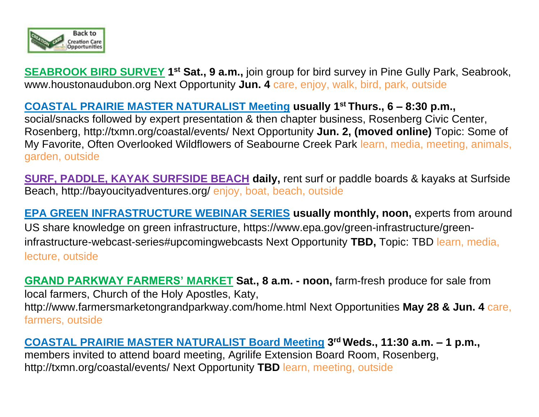

**SEABROOK BIRD SURVEY 1<sup>st</sup> Sat., 9 a.m.,** join group for bird survey in Pine Gully Park, Seabrook, [www.houstonaudubon.org](http://www.houstonaudubon.org/) Next Opportunity **Jun. 4** care, enjoy, walk, bird, park, outside

### **COASTAL PRAIRIE MASTER NATURALIST Meeting usually 1st Thurs., 6 – 8:30 p.m.,**

social/snacks followed by expert presentation & then chapter business, Rosenberg Civic Center, Rosenberg,<http://txmn.org/coastal/events/> Next Opportunity **Jun. 2, (moved online)** Topic: Some of My Favorite, Often Overlooked Wildflowers of Seabourne Creek Park learn, media, meeting, animals, garden, outside

**SURF, PADDLE, KAYAK SURFSIDE BEACH daily,** rent surf or paddle boards & kayaks at Surfside Beach,<http://bayoucityadventures.org/> enjoy, boat, beach, outside

**EPA GREEN INFRASTRUCTURE WEBINAR SERIES usually monthly, noon,** experts from around US share knowledge on green infrastructure, https://www.epa.gov/green-infrastructure/greeninfrastructure-webcast-series#upcomingwebcasts Next Opportunity **TBD,** Topic: TBD learn, media, lecture, outside

**GRAND PARKWAY FARMERS' MARKET Sat., 8 a.m. - noon,** farm-fresh produce for sale from local farmers, Church of the Holy Apostles, Katy, http://www.farmersmarketongrandparkway.com/home.html Next Opportunities **May 28 & Jun. 4** care, farmers, outside

**COASTAL PRAIRIE MASTER NATURALIST Board Meeting 3 rd Weds., 11:30 a.m. – 1 p.m.,**  members invited to attend board meeting, Agrilife Extension Board Room, Rosenberg, <http://txmn.org/coastal/events/> Next Opportunity **TBD** learn, meeting, outside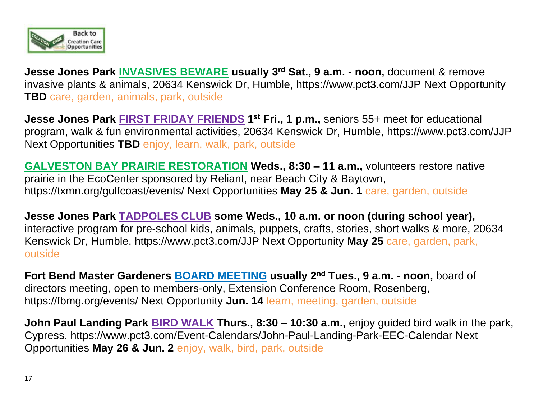

**Jesse Jones Park INVASIVES BEWARE usually 3rd Sat., 9 a.m. - noon,** document & remove invasive plants & animals, 20634 Kenswick Dr, Humble, https://www.pct3.com/JJP Next Opportunity **TBD** care, garden, animals, park, outside

**Jesse Jones Park FIRST FRIDAY FRIENDS 1 st Fri., 1 p.m.,** seniors 55+ meet for educational program, walk & fun environmental activities, 20634 Kenswick Dr, Humble, https://www.pct3.com/JJP Next Opportunities **TBD** enjoy, learn, walk, park, outside

**GALVESTON BAY PRAIRIE RESTORATION Weds., 8:30 – 11 a.m.,** volunteers restore native prairie in the EcoCenter sponsored by Reliant, near Beach City & Baytown, <https://txmn.org/gulfcoast/events/> Next Opportunities **May 25 & Jun. 1** care, garden, outside

**Jesse Jones Park TADPOLES CLUB some Weds., 10 a.m. or noon (during school year),**  interactive program for pre-school kids, animals, puppets, crafts, stories, short walks & more, 20634 Kenswick Dr, Humble, https://www.pct3.com/JJP Next Opportunity **May 25** care, garden, park, outside

**Fort Bend Master Gardeners BOARD MEETING usually 2nd Tues., 9 a.m. - noon,** board of directors meeting, open to members-only, Extension Conference Room, Rosenberg, https://fbmg.org/events/ Next Opportunity **Jun. 14** learn, meeting, garden, outside

**John Paul Landing Park BIRD WALK Thurs., 8:30 – 10:30 a.m.,** enjoy guided bird walk in the park, Cypress,<https://www.pct3.com/Event-Calendars/John-Paul-Landing-Park-EEC-Calendar> Next Opportunities **May 26 & Jun. 2** enjoy, walk, bird, park, outside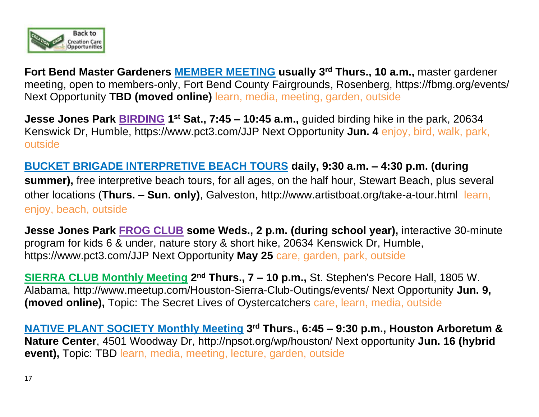

**Fort Bend Master Gardeners MEMBER MEETING usually 3rd Thurs., 10 a.m.,** master gardener meeting, open to members-only, Fort Bend County Fairgrounds, Rosenberg, https://fbmg.org/events/ Next Opportunity **TBD (moved online)** learn, media, meeting, garden, outside

**Jesse Jones Park <b>BIRDING** 1<sup>st</sup> Sat., 7:45 – 10:45 a.m., guided birding hike in the park, 20634 Kenswick Dr, Humble, https://www.pct3.com/JJP Next Opportunity **Jun. 4** enjoy, bird, walk, park, outside

**BUCKET BRIGADE INTERPRETIVE BEACH TOURS daily, 9:30 a.m. – 4:30 p.m. (during summer),** free interpretive beach tours, for all ages, on the half hour, Stewart Beach, plus several other locations (**Thurs. – Sun. only)**, Galveston,<http://www.artistboat.org/take-a-tour.html> learn, enjoy, beach, outside

**Jesse Jones Park FROG CLUB some Weds., 2 p.m. (during school year),** interactive 30-minute program for kids 6 & under, nature story & short hike, 20634 Kenswick Dr, Humble, https://www.pct3.com/JJP Next Opportunity **May 25** care, garden, park, outside

**SIERRA CLUB Monthly Meeting 2<sup>nd</sup> Thurs., 7 – 10 p.m.,** St. Stephen's Pecore Hall, 1805 W. Alabama,<http://www.meetup.com/Houston-Sierra-Club-Outings/events/> Next Opportunity **Jun. 9, (moved online),** Topic: The Secret Lives of Oystercatchers care, learn, media, outside

**NATIVE PLANT SOCIETY Monthly Meeting 3 rd Thurs., 6:45 – 9:30 p.m., Houston Arboretum & Nature Center**, 4501 Woodway Dr,<http://npsot.org/wp/houston/> Next opportunity **Jun. 16 (hybrid event),** Topic: TBD learn, media, meeting, lecture, garden, outside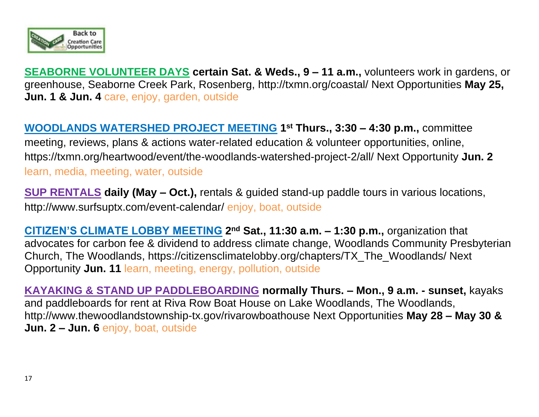

**SEABORNE VOLUNTEER DAYS certain Sat. & Weds., 9 – 11 a.m.,** volunteers work in gardens, or greenhouse, Seaborne Creek Park, Rosenberg,<http://txmn.org/coastal/> Next Opportunities **May 25, Jun. 1 & Jun. 4** care, enjoy, garden, outside

**WOODLANDS WATERSHED PROJECT MEETING 1 st Thurs., 3:30 – 4:30 p.m.,** committee meeting, reviews, plans & actions water-related education & volunteer opportunities, online, <https://txmn.org/heartwood/event/the-woodlands-watershed-project-2/all/> Next Opportunity **Jun. 2** learn, media, meeting, water, outside

**SUP RENTALS daily (May – Oct.),** rentals & guided stand-up paddle tours in various locations, <http://www.surfsuptx.com/event-calendar/> enjoy, boat, outside

**CITIZEN'S CLIMATE LOBBY MEETING 2<sup>nd</sup> Sat., 11:30 a.m. – 1:30 p.m., organization that** advocates for carbon fee & dividend to address climate change, Woodlands Community Presbyterian Church, The Woodlands, [https://citizensclimatelobby.org/chapters/TX\\_The\\_Woodlands/](https://citizensclimatelobby.org/chapters/TX_The_Woodlands/) Next Opportunity **Jun. 11** learn, meeting, energy, pollution, outside

**KAYAKING & STAND UP PADDLEBOARDING normally Thurs. – Mon., 9 a.m. - sunset,** kayaks and paddleboards for rent at Riva Row Boat House on Lake Woodlands, The Woodlands, <http://www.thewoodlandstownship-tx.gov/rivarowboathouse> Next Opportunities **May 28 – May 30 & Jun. 2 – Jun. 6** enjoy, boat, outside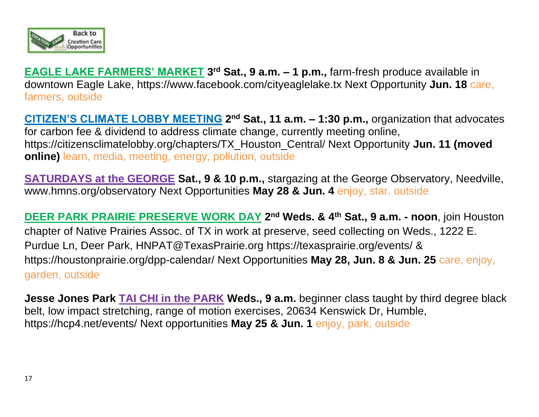

**EAGLE LAKE FARMERS' MARKET 3 rd Sat., 9 a.m. – 1 p.m.,** farm-fresh produce available in downtown Eagle Lake,<https://www.facebook.com/cityeaglelake.tx> Next Opportunity **Jun. 18** care, farmers, outside

**CITIZEN'S CLIMATE LOBBY MEETING 2<sup>nd</sup> Sat., 11 a.m. – 1:30 p.m., organization that advocates** for carbon fee & dividend to address climate change, currently meeting online, https://citizensclimatelobby.org/chapters/TX\_Houston\_Central/ Next Opportunity **Jun. 11 (moved online) learn**, media, meeting, energy, pollution, outside

**SATURDAYS at the GEORGE Sat., 9 & 10 p.m.,** stargazing at the George Observatory, Needville, [www.hmns.org/observatory](http://www.hmns.org/observatory) Next Opportunities **May 28 & Jun. 4** enjoy, star. outside

**DEER PARK PRAIRIE PRESERVE WORK DAY** 2<sup>nd</sup> Weds. & 4<sup>th</sup> Sat., 9 a.m. - noon, join Houston chapter of Native Prairies Assoc. of TX in work at preserve, seed collecting on Weds., 1222 E. Purdue Ln, Deer Park, HNPAT@TexasPrairie.org https://texasprairie.org/events/ & <https://houstonprairie.org/dpp-calendar/> Next Opportunities **May 28, Jun. 8 & Jun. 25** care, enjoy, garden, outside

**Jesse Jones Park TAI CHI in the PARK Weds., 9 a.m.** beginner class taught by third degree black belt, low impact stretching, range of motion exercises, 20634 Kenswick Dr, Humble, https://hcp4.net/events/ Next opportunities **May 25 & Jun. 1** enjoy, park, outside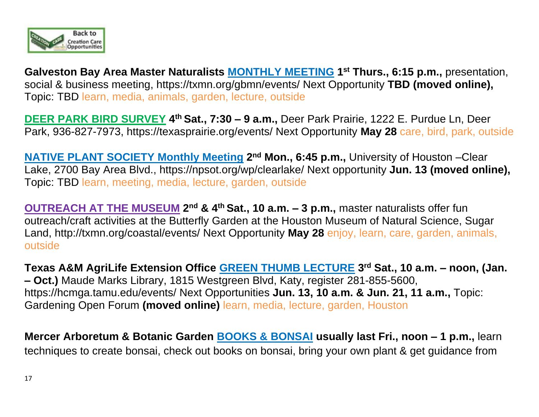

**Galveston Bay Area Master Naturalists MONTHLY MEETING 1 st Thurs., 6:15 p.m.,** presentation, social & business meeting,<https://txmn.org/gbmn/events/> Next Opportunity **TBD (moved online),**  Topic: TBD learn, media, animals, garden, lecture, outside

**DEER PARK BIRD SURVEY 4 th Sat., 7:30 – 9 a.m.,** Deer Park Prairie, 1222 E. Purdue Ln, Deer Park, 936-827-7973, https://texasprairie.org/events/ Next Opportunity **May 28** care, bird, park, outside

**NATIVE PLANT SOCIETY Monthly Meeting 2<sup>nd</sup> Mon., 6:45 p.m., University of Houston – Clear** Lake, 2700 Bay Area Blvd., https://npsot.org/wp/clearlake/ Next opportunity **Jun. 13 (moved online),**  Topic: TBD learn, meeting, media, lecture, garden, outside

**OUTREACH AT THE MUSEUM** 2<sup>nd</sup> & 4<sup>th</sup> Sat., 10 a.m. – 3 p.m., master naturalists offer fun outreach/craft activities at the Butterfly Garden at the Houston Museum of Natural Science, Sugar Land,<http://txmn.org/coastal/events/> Next Opportunity **May 28** enjoy, learn, care, garden, animals, outside

**Texas A&M AgriLife Extension Office GREEN THUMB LECTURE 3 rd Sat., 10 a.m. – noon, (Jan. – Oct.)** Maude Marks Library, 1815 Westgreen Blvd, Katy, register 281-855-5600, https://hcmga.tamu.edu/events/ Next Opportunities **Jun. 13, 10 a.m. & Jun. 21, 11 a.m.,** Topic: Gardening Open Forum **(moved online)** learn, media, lecture, garden, Houston

**Mercer Arboretum & Botanic Garden BOOKS & BONSAI usually last Fri., noon – 1 p.m.,** learn techniques to create bonsai, check out books on bonsai, bring your own plant & get guidance from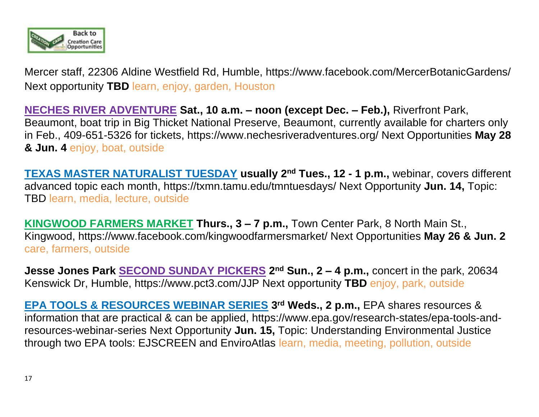

Mercer staff, 22306 Aldine Westfield Rd, Humble, https://www.facebook.com/MercerBotanicGardens/ Next opportunity **TBD** learn, enjoy, garden, Houston

**NECHES RIVER ADVENTURE Sat., 10 a.m. – noon (except Dec. – Feb.),** Riverfront Park, Beaumont, boat trip in Big Thicket National Preserve, Beaumont, currently available for charters only in Feb., 409-651-5326 for tickets, <https://www.nechesriveradventures.org/> Next Opportunities **May 28 & Jun. 4** enjoy, boat, outside

**TEXAS MASTER NATURALIST TUESDAY usually 2nd Tues., 12 - 1 p.m.,** webinar, covers different advanced topic each month,<https://txmn.tamu.edu/tmntuesdays/> Next Opportunity **Jun. 14,** Topic: TBD learn, media, lecture, outside

**KINGWOOD FARMERS MARKET Thurs., 3 – 7 p.m.,** Town Center Park, 8 North Main St., Kingwood, https://www.facebook.com/kingwoodfarmersmarket/ Next Opportunities **May 26 & Jun. 2** care, farmers, outside

**Jesse Jones Park SECOND SUNDAY PICKERS 2 nd Sun., 2 – 4 p.m.,** concert in the park, 20634 Kenswick Dr, Humble, https://www.pct3.com/JJP Next opportunity **TBD** enjoy, park, outside

**EPA TOOLS & RESOURCES WEBINAR SERIES 3 rd Weds., 2 p.m.,** EPA shares resources & information that are practical & can be applied, [https://www.epa.gov/research-states/epa-tools-and](https://www.epa.gov/research-states/epa-tools-and-resources-webinar-series)[resources-webinar-series](https://www.epa.gov/research-states/epa-tools-and-resources-webinar-series) Next Opportunity **Jun. 15,** Topic: Understanding Environmental Justice through two EPA tools: EJSCREEN and EnviroAtlas learn, media, meeting, pollution, outside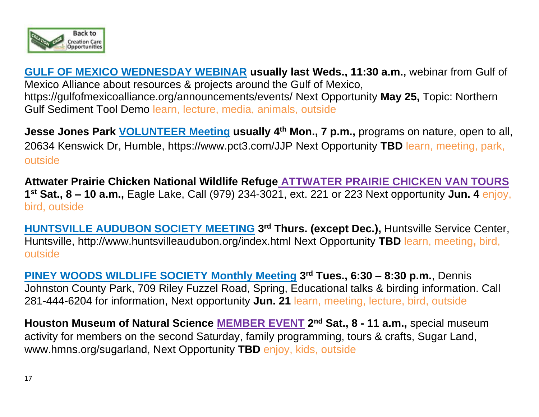

**GULF OF MEXICO WEDNESDAY WEBINAR usually last Weds., 11:30 a.m.,** webinar from Gulf of Mexico Alliance about resources & projects around the Gulf of Mexico, <https://gulfofmexicoalliance.org/announcements/events/> Next Opportunity **May 25,** Topic: Northern Gulf Sediment Tool Demo learn, lecture, media, animals, outside

**Jesse Jones Park VOLUNTEER Meeting usually 4th Mon., 7 p.m.,** programs on nature, open to all, 20634 Kenswick Dr, Humble, https://www.pct3.com/JJP Next Opportunity **TBD** learn, meeting, park, outside

**Attwater Prairie Chicken National Wildlife Refuge ATTWATER PRAIRIE CHICKEN VAN TOURS 1 st Sat., 8 – 10 a.m.,** Eagle Lake, Call (979) 234-3021, ext. 221 or 223 Next opportunity **Jun. 4** enjoy, bird, outside

**HUNTSVILLE AUDUBON SOCIETY MEETING 3 rd Thurs. (except Dec.),** Huntsville Service Center, Huntsville,<http://www.huntsvilleaudubon.org/index.html> Next Opportunity **TBD** learn, meeting**,** bird, outside

**PINEY WOODS WILDLIFE SOCIETY Monthly Meeting 3 rd Tues., 6:30 – 8:30 p.m.**, Dennis Johnston County Park, 709 Riley Fuzzel Road, Spring, Educational talks & birding information. Call 281-444-6204 for information, Next opportunity **Jun. 21** learn, meeting, lecture, bird, outside

**Houston Museum of Natural Science MEMBER EVENT 2 nd Sat., 8 - 11 a.m.,** special museum activity for members on the second Saturday, family programming, tours & crafts, Sugar Land, [www.hmns.org/](http://www.hmns.org/)sugarland, Next Opportunity **TBD** enjoy, kids, outside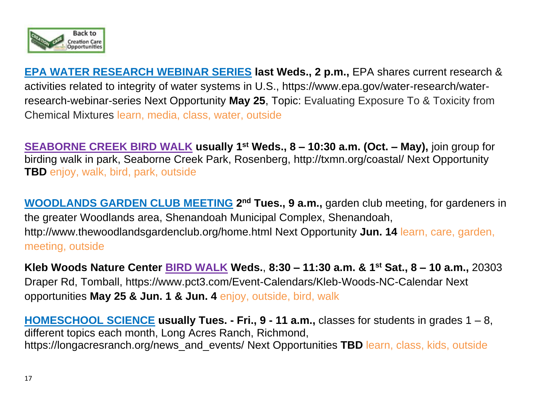

**EPA WATER RESEARCH WEBINAR SERIES last Weds., 2 p.m.,** EPA shares current research & activities related to integrity of water systems in U.S., https://www.epa.gov/water-research/waterresearch-webinar-series Next Opportunity **May 25**, Topic: Evaluating Exposure To & Toxicity from Chemical Mixtures learn, media, class, water, outside

**SEABORNE CREEK BIRD WALK usually 1st Weds., 8 – 10:30 a.m. (Oct. – May),** join group for birding walk in park, Seaborne Creek Park, Rosenberg,<http://txmn.org/coastal/> Next Opportunity **TBD** enjoy, walk, bird, park, outside

**WOODLANDS GARDEN CLUB MEETING 2<sup>nd</sup> Tues., 9 a.m., garden club meeting, for gardeners in** the greater Woodlands area, Shenandoah Municipal Complex, Shenandoah, <http://www.thewoodlandsgardenclub.org/home.html> Next Opportunity **Jun. 14** learn, care, garden, meeting, outside

**Kleb Woods Nature Center BIRD WALK Weds.**, **8:30 – 11:30 a.m. & 1st Sat., 8 – 10 a.m.,** 20303 Draper Rd, Tomball, https://www.pct3.com/Event-Calendars/Kleb-Woods-NC-Calendar Next opportunities **May 25 & Jun. 1 & Jun. 4** enjoy, outside, bird, walk

**HOMESCHOOL SCIENCE usually Tues. - Fri., 9 - 11 a.m.,** classes for students in grades 1 – 8, different topics each month, Long Acres Ranch, Richmond, https://longacresranch.org/news\_and\_events/ Next Opportunities **TBD** learn, class, kids, outside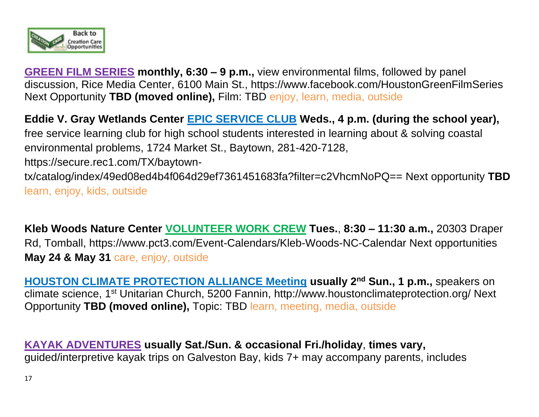

**GREEN FILM SERIES monthly, 6:30 – 9 p.m.,** view environmental films, followed by panel discussion, Rice Media Center, 6100 Main St.,<https://www.facebook.com/HoustonGreenFilmSeries> Next Opportunity **TBD (moved online),** Film: TBD enjoy, learn, media, outside

**Eddie V. Gray Wetlands Center EPIC SERVICE CLUB Weds., 4 p.m. (during the school year),** free service learning club for high school students interested in learning about & solving coastal environmental problems, 1724 Market St., Baytown, 281-420-7128, https://secure.rec1.com/TX/baytowntx/catalog/index/49ed08ed4b4f064d29ef7361451683fa?filter=c2VhcmNoPQ== Next opportunity **TBD** learn, enjoy, kids, outside

**Kleb Woods Nature Center VOLUNTEER WORK CREW Tues.**, **8:30 – 11:30 a.m.,** 20303 Draper Rd, Tomball, https://www.pct3.com/Event-Calendars/Kleb-Woods-NC-Calendar Next opportunities **May 24 & May 31** care, enjoy, outside

**HOUSTON CLIMATE PROTECTION ALLIANCE Meeting usually 2nd Sun., 1 p.m.,** speakers on climate science, 1st Unitarian Church, 5200 Fannin,<http://www.houstonclimateprotection.org/> Next Opportunity **TBD (moved online),** Topic: TBD learn, meeting, media, outside

**KAYAK ADVENTURES usually Sat./Sun. & occasional Fri./holiday**, **times vary,** guided/interpretive kayak trips on Galveston Bay, kids 7+ may accompany parents, includes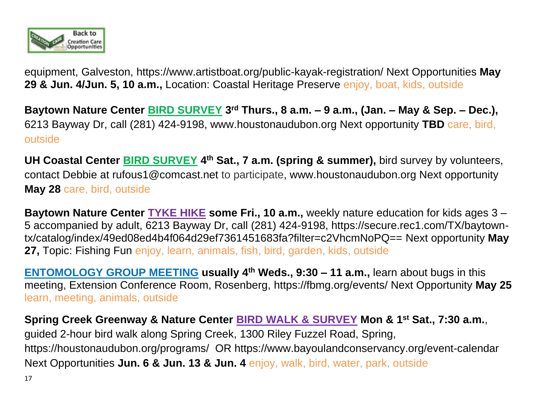

equipment, Galveston, https://www.artistboat.org/public-kayak-registration/ Next Opportunities **May 29 & Jun. 4/Jun. 5, 10 a.m.,** Location: Coastal Heritage Preserve enjoy, boat, kids, outside

**Baytown Nature Center BIRD SURVEY 3 rd Thurs., 8 a.m. – 9 a.m., (Jan. – May & Sep. – Dec.),**  6213 Bayway Dr, call (281) 424-9198, www.houstonaudubon.org Next opportunity **TBD** care, bird, outside

**UH Coastal Center BIRD SURVEY 4 th Sat., 7 a.m. (spring & summer),** bird survey by volunteers, contact Debbie at [rufous1@comcast.net](mailto:rufous1@comcast.net) to participate, www.houstonaudubon.org Next opportunity **May 28** care, bird, outside

**Baytown Nature Center TYKE HIKE some Fri., 10 a.m.,** weekly nature education for kids ages 3 – 5 accompanied by adult, 6213 Bayway Dr, call (281) 424-9198, https://secure.rec1.com/TX/baytowntx/catalog/index/49ed08ed4b4f064d29ef7361451683fa?filter=c2VhcmNoPQ== Next opportunity **May 27,** Topic: Fishing Fun enjoy, learn, animals, fish, bird, garden, kids, outside

**ENTOMOLOGY GROUP MEETING usually 4th Weds., 9:30 – 11 a.m.,** learn about bugs in this meeting, Extension Conference Room, Rosenberg, https://fbmg.org/events/ Next Opportunity **May 25** learn, meeting, animals, outside

**Spring Creek Greenway & Nature Center BIRD WALK & SURVEY Mon & 1st Sat., 7:30 a.m.**, guided 2-hour bird walk along Spring Creek, 1300 Riley Fuzzel Road, Spring, <https://houstonaudubon.org/programs/>OR [https://www.bayoulandconservancy.org/event-calendar](https://www.bayoulandconservancy.org/event-calendar%20Next%20Opportunities)  [Next Opportunities](https://www.bayoulandconservancy.org/event-calendar%20Next%20Opportunities) **Jun. 6 & Jun. 13 & Jun. 4** enjoy, walk, bird, water, park, outside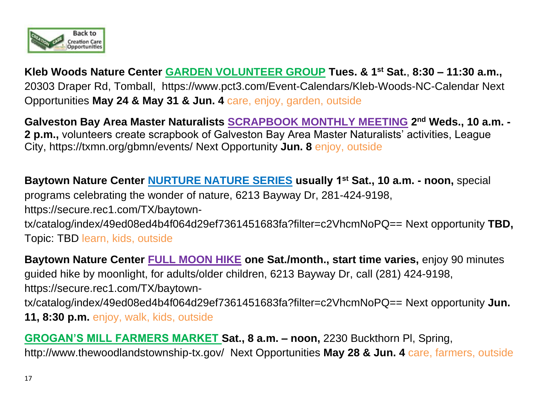

**Kleb Woods Nature Center GARDEN VOLUNTEER GROUP Tues. & 1st Sat.**, **8:30 – 11:30 a.m.,**  20303 Draper Rd, Tomball, [https://www.pct3.com/Event-Calendars/Kleb-Woods-NC-Calendar](http://cal.pct3.com/About/Calendars/Kleb-Woods-Calendar%20Next%20Opportunity) Next [Opportunities](http://cal.pct3.com/About/Calendars/Kleb-Woods-Calendar%20Next%20Opportunity) **May 24 & May 31 & Jun. 4** care, enjoy, garden, outside

**Galveston Bay Area Master Naturalists SCRAPBOOK MONTHLY MEETING 2 nd Weds., 10 a.m. - 2 p.m.,** volunteers create scrapbook of Galveston Bay Area Master Naturalists' activities, League City,<https://txmn.org/gbmn/events/> Next Opportunity **Jun. 8** enjoy, outside

**Baytown Nature Center NURTURE NATURE SERIES usually 1st Sat., 10 a.m. - noon,** special programs celebrating the wonder of nature, 6213 Bayway Dr, 281-424-9198, https://secure.rec1.com/TX/baytowntx/catalog/index/49ed08ed4b4f064d29ef7361451683fa?filter=c2VhcmNoPQ== Next opportunity **TBD,**  Topic: TBD learn, kids, outside

**Baytown Nature Center FULL MOON HIKE one Sat./month., start time varies,** enjoy 90 minutes guided hike by moonlight, for adults/older children, 6213 Bayway Dr, call (281) 424-9198, [https://secure.rec1.com/TX/baytown](https://secure.rec1.com/TX/baytown-tx/catalog/index/49ed08ed4b4f064d29ef7361451683fa?filter=c2VhcmNoPQ==%20Next%20opportunity%20Jun.)[tx/catalog/index/49ed08ed4b4f064d29ef7361451683fa?filter=c2VhcmNoPQ==](https://secure.rec1.com/TX/baytown-tx/catalog/index/49ed08ed4b4f064d29ef7361451683fa?filter=c2VhcmNoPQ==%20Next%20opportunity%20Jun.) Next opportunity **Jun. 11, 8:30 p.m.** enjoy, walk, kids, outside

**GROGAN'S MILL FARMERS MARKET Sat., 8 a.m. – noon,** 2230 Buckthorn Pl, Spring, <http://www.thewoodlandstownship-tx.gov/> Next Opportunities **May 28 & Jun. 4** care, farmers, outside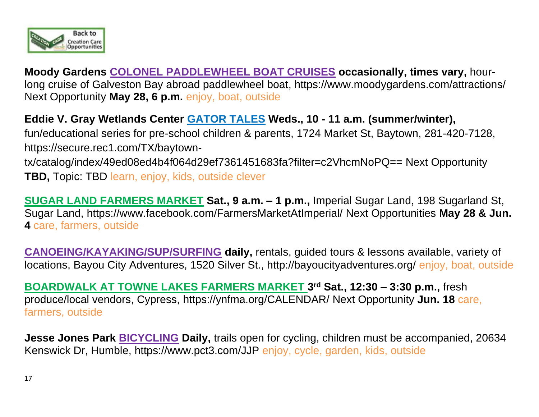

**Moody Gardens COLONEL PADDLEWHEEL BOAT CRUISES occasionally, times vary,** hourlong cruise of Galveston Bay abroad paddlewheel boat,<https://www.moodygardens.com/attractions/> Next Opportunity **May 28, 6 p.m.** enjoy, boat, outside

**Eddie V. Gray Wetlands Center GATOR TALES Weds., 10 - 11 a.m. (summer/winter),** fun/educational series for pre-school children & parents, 1724 Market St, Baytown, 281-420-7128, https://secure.rec1.com/TX/baytowntx/catalog/index/49ed08ed4b4f064d29ef7361451683fa?filter=c2VhcmNoPQ== Next Opportunity **TBD,** Topic: TBD learn, enjoy, kids, outside clever

**SUGAR LAND FARMERS MARKET Sat., 9 a.m. – 1 p.m.,** Imperial Sugar Land, 198 Sugarland St, Sugar Land,<https://www.facebook.com/FarmersMarketAtImperial/> Next Opportunities **May 28 & Jun. 4** care, farmers, outside

**CANOEING/KAYAKING/SUP/SURFING daily,** rentals, guided tours & lessons available, variety of locations, Bayou City Adventures, 1520 Silver St., http://bayoucityadventures.org/ enjoy, boat, outside

**BOARDWALK AT TOWNE LAKES FARMERS MARKET 3rd Sat., 12:30 – 3:30 p.m., fresh** produce/local vendors, Cypress, https://ynfma.org/CALENDAR/ Next Opportunity **Jun. 18** care, farmers, outside

**Jesse Jones Park BICYCLING Daily,** trails open for cycling, children must be accompanied, 20634 Kenswick Dr, Humble, https://www.pct3.com/JJP enjoy, cycle, garden, kids, outside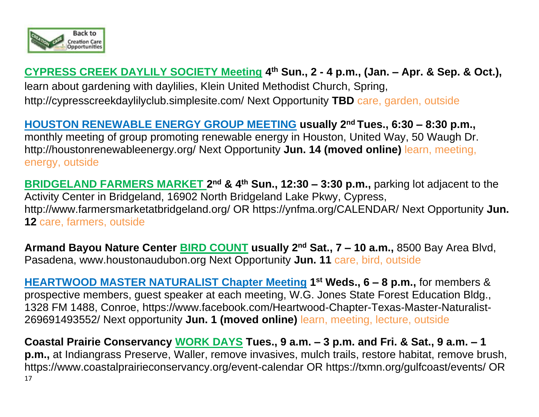

# **CYPRESS CREEK DAYLILY SOCIETY Meeting 4 th Sun., 2 - 4 p.m., (Jan. – Apr. & Sep. & Oct.),**  learn about gardening with daylilies, Klein United Methodist Church, Spring, <http://cypresscreekdaylilyclub.simplesite.com/> Next Opportunity **TBD** care, garden, outside

**HOUSTON RENEWABLE ENERGY GROUP MEETING usually 2 nd Tues., 6:30 – 8:30 p.m.,**  monthly meeting of group promoting renewable energy in Houston, United Way, 50 Waugh Dr. <http://houstonrenewableenergy.org/> Next Opportunity **Jun. 14 (moved online)** learn, meeting, energy, outside

**BRIDGELAND FARMERS MARKET 2<sup>nd</sup> & 4<sup>th</sup> Sun., 12:30 – 3:30 p.m., parking lot adjacent to the** Activity Center in Bridgeland, 16902 North Bridgeland Lake Pkwy, Cypress, <http://www.farmersmarketatbridgeland.org/> OR https://ynfma.org/CALENDAR/ Next Opportunity **Jun. 12** care, farmers, outside

**Armand Bayou Nature Center BIRD COUNT usually 2nd Sat., 7 – 10 a.m.,** 8500 Bay Area Blvd, Pasadena, [www.houstonaudubon.org](http://www.houstonaudubon.org/) Next Opportunity **Jun. 11** care, bird, outside

**HEARTWOOD MASTER NATURALIST Chapter Meeting 1 st Weds., 6 – 8 p.m.,** for members & prospective members, guest speaker at each meeting, W.G. Jones State Forest Education Bldg., 1328 FM 1488, Conroe, [https://www.facebook.com/Heartwood-Chapter-Texas-Master-Naturalist-](https://www.facebook.com/Heartwood-Chapter-Texas-Master-Naturalist-269691493552/)[269691493552/](https://www.facebook.com/Heartwood-Chapter-Texas-Master-Naturalist-269691493552/) Next opportunity **Jun. 1 (moved online)** learn, meeting, lecture, outside

17 **Coastal Prairie Conservancy WORK DAYS Tues., 9 a.m. – 3 p.m. and Fri. & Sat., 9 a.m. – 1 p.m.,** at Indiangrass Preserve, Waller, remove invasives, mulch trails, restore habitat, remove brush, https://www.coastalprairieconservancy.org/event-calendar OR<https://txmn.org/gulfcoast/events/> OR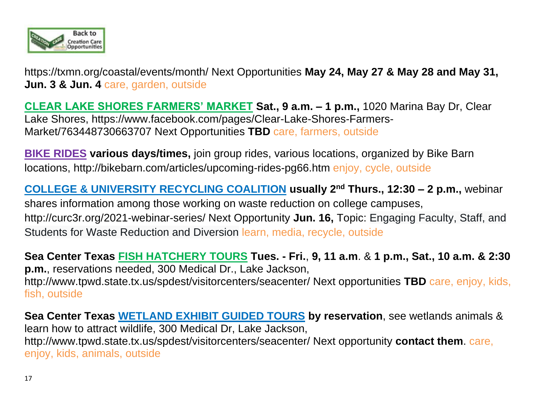

<https://txmn.org/coastal/events/month/> Next Opportunities **May 24, May 27 & May 28 and May 31, Jun. 3 & Jun. 4** care, garden, outside

**CLEAR LAKE SHORES FARMERS' MARKET Sat., 9 a.m. – 1 p.m.,** 1020 Marina Bay Dr, Clear Lake Shores, [https://www.facebook.com/pages/Clear-Lake-Shores-Farmers-](https://www.facebook.com/pages/Clear-Lake-Shores-Farmers-Market/763448730663707)[Market/763448730663707](https://www.facebook.com/pages/Clear-Lake-Shores-Farmers-Market/763448730663707) Next Opportunities **TBD** care, farmers, outside

**BIKE RIDES various days/times,** join group rides, various locations, organized by Bike Barn locations, <http://bikebarn.com/articles/upcoming-rides-pg66.htm> enjoy, cycle, outside

**COLLEGE & UNIVERSITY RECYCLING COALITION usually 2nd Thurs., 12:30 – 2 p.m.,** webinar shares information among those working on waste reduction on college campuses, http://curc3r.org/2021-webinar-series/ Next Opportunity **Jun. 16,** Topic: Engaging Faculty, Staff, and Students for Waste Reduction and Diversion learn, media, recycle, outside

**Sea Center Texas FISH HATCHERY TOURS Tues. - Fri.**, **9, 11 a.m**. & **1 p.m., Sat., 10 a.m. & 2:30 p.m.**, reservations needed, 300 Medical Dr., Lake Jackson, <http://www.tpwd.state.tx.us/spdest/visitorcenters/seacenter/> Next opportunities **TBD** care, enjoy, kids, fish, outside

**Sea Center Texas WETLAND EXHIBIT GUIDED TOURS by reservation**, see wetlands animals & learn how to attract wildlife, 300 Medical Dr, Lake Jackson, <http://www.tpwd.state.tx.us/spdest/visitorcenters/seacenter/> Next opportunity **contact them**. care, enjoy, kids, animals, outside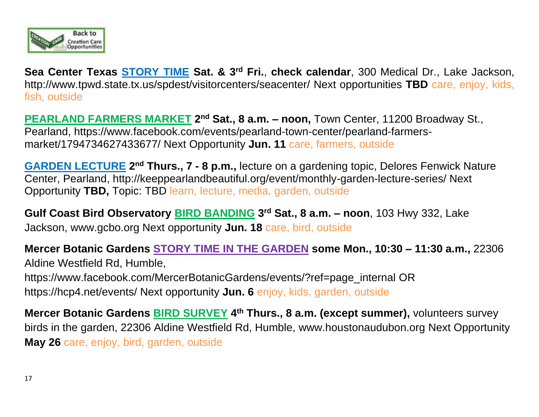

**Sea Center Texas STORY TIME Sat. & 3rd Fri.**, **check calendar**, 300 Medical Dr., Lake Jackson, <http://www.tpwd.state.tx.us/spdest/visitorcenters/seacenter/> Next opportunities **TBD** care, enjoy, kids, fish, outside

**PEARLAND FARMERS MARKET 2<sup>nd</sup> Sat., 8 a.m. - noon, Town Center, 11200 Broadway St.,** Pearland, [https://www.facebook.com/events/pearland-town-center/pearland-farmers](https://www.facebook.com/events/pearland-town-center/pearland-farmers-market/1794734627433677/)[market/1794734627433677/](https://www.facebook.com/events/pearland-town-center/pearland-farmers-market/1794734627433677/) Next Opportunity **Jun. 11** care, farmers, outside

**GARDEN LECTURE** 2<sup>nd</sup> Thurs., 7 - 8 p.m., lecture on a gardening topic, Delores Fenwick Nature Center, Pearland, http://keeppearlandbeautiful.org/event/monthly-garden-lecture-series/ Next Opportunity **TBD,** Topic: TBD learn, lecture, media, garden, outside

**Gulf Coast Bird Observatory BIRD BANDING 3 rd Sat., 8 a.m. – noon**, 103 Hwy 332, Lake Jackson, [www.gcbo.org](http://www.gcbo.org/) Next opportunity **Jun. 18** care, bird, outside

**Mercer Botanic Gardens STORY TIME IN THE GARDEN some Mon., 10:30 – 11:30 a.m.,** 22306 Aldine Westfield Rd, Humble, https://www.facebook.com/MercerBotanicGardens/events/?ref=page\_internal OR https://hcp4.net/events/ Next opportunity **Jun. 6** enjoy, kids, garden, outside

**Mercer Botanic Gardens BIRD SURVEY 4 th Thurs., 8 a.m. (except summer),** volunteers survey birds in the garden, 22306 Aldine Westfield Rd, Humble, [www.houstonaudubon.org](http://www.houstonaudubon.org/) Next Opportunity **May 26** care, enjoy, bird, garden, outside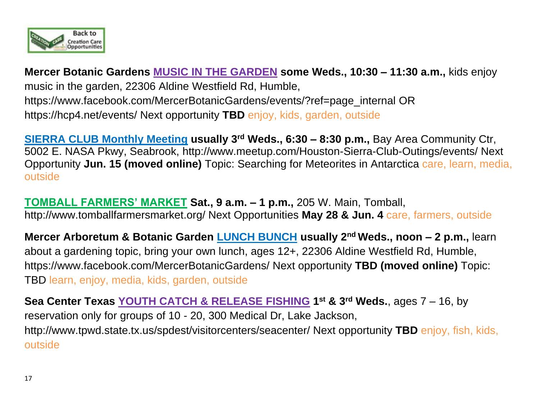

**Mercer Botanic Gardens MUSIC IN THE GARDEN some Weds., 10:30 – 11:30 a.m.,** kids enjoy music in the garden, 22306 Aldine Westfield Rd, Humble, [https://www.facebook.com/MercerBotanicGardens/events/?ref=page\\_internal](https://www.facebook.com/MercerBotanicGardens/events/?ref=page_internal) OR https://hcp4.net/events/ Next opportunity **TBD** enjoy, kids, garden, outside

**SIERRA CLUB Monthly Meeting usually 3rd Weds., 6:30 – 8:30 p.m.,** Bay Area Community Ctr, 5002 E. NASA Pkwy, Seabrook,<http://www.meetup.com/Houston-Sierra-Club-Outings/events/> Next Opportunity **Jun. 15 (moved online)** Topic: Searching for Meteorites in Antarctica care, learn, media, outside

**TOMBALL FARMERS' MARKET Sat., 9 a.m. – 1 p.m.,** 205 W. Main, Tomball, http://www.tomballfarmersmarket.org/ Next Opportunities **May 28 & Jun. 4** care, farmers, outside

**Mercer Arboretum & Botanic Garden LUNCH BUNCH usually 2nd Weds., noon – 2 p.m.,** learn about a gardening topic, bring your own lunch, ages 12+, 22306 Aldine Westfield Rd, Humble, https://www.facebook.com/MercerBotanicGardens/ Next opportunity **TBD (moved online)** Topic: TBD learn, enjoy, media, kids, garden, outside

**Sea Center Texas YOUTH CATCH & RELEASE FISHING 1 st & 3rd Weds.**, ages 7 – 16, by reservation only for groups of 10 - 20, 300 Medical Dr, Lake Jackson, <http://www.tpwd.state.tx.us/spdest/visitorcenters/seacenter/> Next opportunity **TBD** enjoy, fish, kids, outside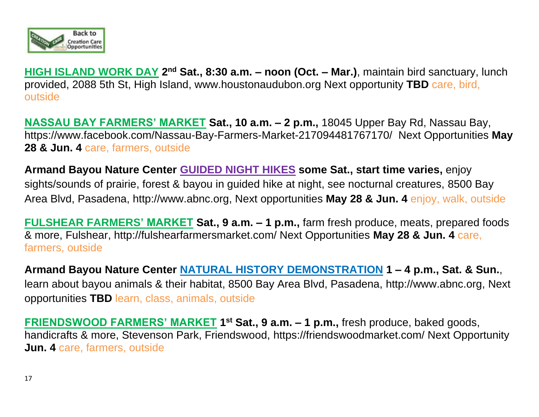

**HIGH ISLAND WORK DAY 2 nd Sat., 8:30 a.m. – noon (Oct. – Mar.)**, maintain bird sanctuary, lunch provided, 2088 5th St, High Island, [www.houstonaudubon.org](http://www.houstonaudubon.org/) Next opportunity **TBD** care, bird, outside

**NASSAU BAY FARMERS' MARKET Sat., 10 a.m. – 2 p.m.,** 18045 Upper Bay Rd, Nassau Bay, <https://www.facebook.com/Nassau-Bay-Farmers-Market-217094481767170/>Next Opportunities **May 28 & Jun. 4** care, farmers, outside

**Armand Bayou Nature Center GUIDED NIGHT HIKES some Sat., start time varies,** enjoy sights/sounds of prairie, forest & bayou in guided hike at night, see nocturnal creatures, 8500 Bay Area Blvd, Pasadena, [http://www.abnc.org,](http://www.abnc.org/) Next opportunities **May 28 & Jun. 4** enjoy, walk, outside

**FULSHEAR FARMERS' MARKET Sat., 9 a.m. – 1 p.m.,** farm fresh produce, meats, prepared foods & more, Fulshear, http://fulshearfarmersmarket.com/ Next Opportunities **May 28 & Jun. 4** care, farmers, outside

**Armand Bayou Nature Center NATURAL HISTORY DEMONSTRATION 1 – 4 p.m., Sat. & Sun.**, learn about bayou animals & their habitat, 8500 Bay Area Blvd, Pasadena, [http://www.abnc.org,](http://www.abnc.org/) Next opportunities **TBD** learn, class, animals, outside

**FRIENDSWOOD FARMERS' MARKET 1<sup>st</sup> Sat., 9 a.m. – 1 p.m.,** fresh produce, baked goods, handicrafts & more, Stevenson Park, Friendswood, https://friendswoodmarket.com/ Next Opportunity **Jun. 4** care, farmers, outside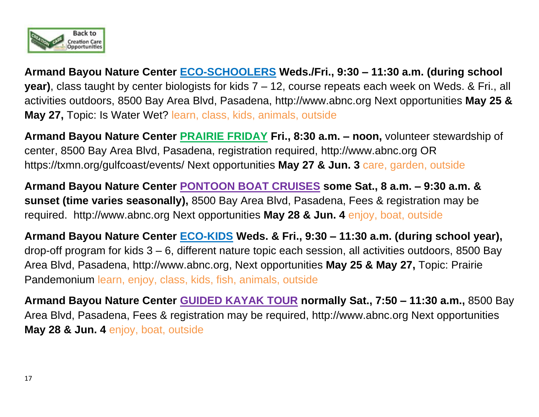

**Armand Bayou Nature Center ECO-SCHOOLERS Weds./Fri., 9:30 – 11:30 a.m. (during school year)**, class taught by center biologists for kids 7 – 12, course repeats each week on Weds. & Fri., all activities outdoors, 8500 Bay Area Blvd, Pasadena, [http://www.abnc.org](http://www.abnc.org/) Next opportunities **May 25 & May 27,** Topic: Is Water Wet? learn, class, kids, animals, outside

**Armand Bayou Nature Center PRAIRIE FRIDAY Fri., 8:30 a.m. – noon,** volunteer stewardship of center, 8500 Bay Area Blvd, Pasadena, registration required, [http://www.abnc.org](http://www.abnc.org/) OR <https://txmn.org/gulfcoast/events/> Next opportunities **May 27 & Jun. 3** care, garden, outside

**Armand Bayou Nature Center PONTOON BOAT CRUISES some Sat., 8 a.m. – 9:30 a.m. & sunset (time varies seasonally),** 8500 Bay Area Blvd, Pasadena, Fees & registration may be required. [http://www.abnc.org](http://www.abnc.org/) Next opportunities **May 28 & Jun. 4** enjoy, boat, outside

**Armand Bayou Nature Center ECO-KIDS Weds. & Fri., 9:30 – 11:30 a.m. (during school year),**  drop-off program for kids 3 – 6, different nature topic each session, all activities outdoors, 8500 Bay Area Blvd, Pasadena, [http://www.abnc.org,](http://www.abnc.org/) Next opportunities **May 25 & May 27,** Topic: Prairie Pandemonium learn, enjoy, class, kids, fish, animals, outside

**Armand Bayou Nature Center GUIDED KAYAK TOUR normally Sat., 7:50 – 11:30 a.m.,** 8500 Bay Area Blvd, Pasadena, Fees & registration may be required, [http://www.abnc.org](http://www.abnc.org/) Next opportunities **May 28 & Jun. 4** enjoy, boat, outside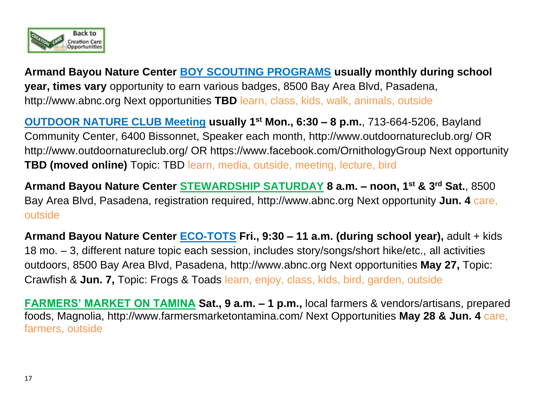

**Armand Bayou Nature Center BOY SCOUTING PROGRAMS usually monthly during school year, times vary** opportunity to earn various badges, 8500 Bay Area Blvd, Pasadena, [http://www.abnc.org](http://www.abnc.org/) Next opportunities **TBD** learn, class, kids, walk, animals, outside

**OUTDOOR NATURE CLUB Meeting usually 1st Mon., 6:30 – 8 p.m.**, 713-664-5206, Bayland Community Center, 6400 Bissonnet, Speaker each month,<http://www.outdoornatureclub.org/> OR http://www.outdoornatureclub.org/ OR https://www.facebook.com/OrnithologyGroup Next opportunity **TBD (moved online)** Topic: TBD learn, media, outside, meeting, lecture, bird

**Armand Bayou Nature Center STEWARDSHIP SATURDAY 8 a.m. – noon, 1st & 3rd Sat.**, 8500 Bay Area Blvd, Pasadena, registration required, [http://www.abnc.org](http://www.abnc.org/) Next opportunity **Jun. 4** care, outside

**Armand Bayou Nature Center ECO-TOTS Fri., 9:30 – 11 a.m. (during school year),** adult + kids 18 mo. – 3, different nature topic each session, includes story/songs/short hike/etc., all activities outdoors, 8500 Bay Area Blvd, Pasadena, [http://www.abnc.org](http://www.abnc.org/) Next opportunities **May 27,** Topic: Crawfish & **Jun. 7,** Topic: Frogs & Toads learn, enjoy, class, kids, bird, garden, outside

**FARMERS' MARKET ON TAMINA Sat., 9 a.m. – 1 p.m.,** local farmers & vendors/artisans, prepared foods, Magnolia, http://www.farmersmarketontamina.com/ Next Opportunities **May 28 & Jun. 4** care, farmers, outside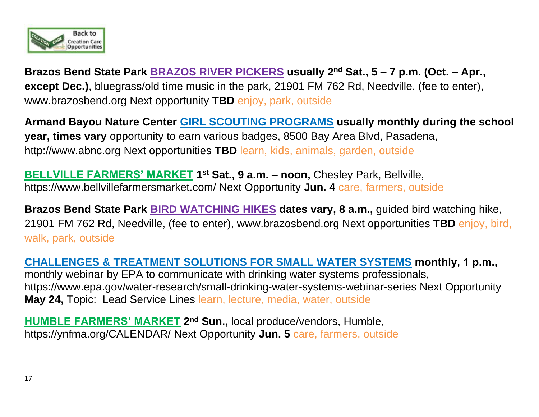

**Brazos Bend State Park BRAZOS RIVER PICKERS usually 2nd Sat., 5 – 7 p.m. (Oct. – Apr., except Dec.)**, bluegrass/old time music in the park, 21901 FM 762 Rd, Needville, (fee to enter), [www.brazosbend.org](http://www.tpwd.state.tx.us/state-parks/brazos-bend) Next opportunity **TBD** enjoy, park, outside

**Armand Bayou Nature Center GIRL SCOUTING PROGRAMS usually monthly during the school year, times vary** opportunity to earn various badges, 8500 Bay Area Blvd, Pasadena, [http://www.abnc.org](http://www.abnc.org/) Next opportunities **TBD** learn, kids, animals, garden, outside

**BELLVILLE FARMERS' MARKET 1 st Sat., 9 a.m. – noon,** Chesley Park, Bellville, https://www.bellvillefarmersmarket.com/ Next Opportunity **Jun. 4** care, farmers, outside

**Brazos Bend State Park BIRD WATCHING HIKES dates vary, 8 a.m.,** guided bird watching hike, 21901 FM 762 Rd, Needville, (fee to enter), [www.brazosbend.org](http://www.tpwd.state.tx.us/state-parks/brazos-bend) Next opportunities **TBD** enjoy, bird, walk, park, outside

**CHALLENGES & TREATMENT SOLUTIONS FOR SMALL WATER SYSTEMS monthly, 1 p.m.,**  monthly webinar by EPA to communicate with drinking water systems professionals, https://www.epa.gov/water-research/small-drinking-water-systems-webinar-series Next Opportunity

**May 24,** Topic: Lead Service Lines learn, lecture, media, water, outside

**HUMBLE FARMERS' MARKET 2 nd Sun.,** local produce/vendors, Humble, <https://ynfma.org/CALENDAR/> Next Opportunity **Jun. 5** care, farmers, outside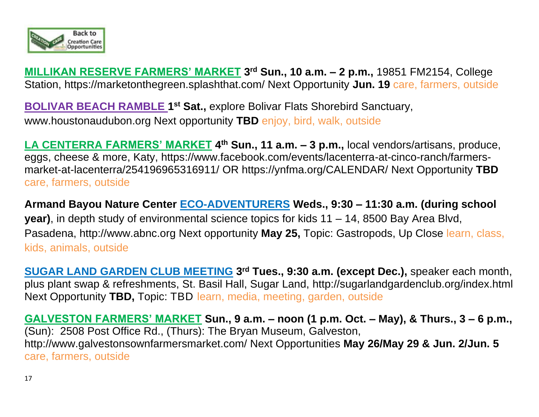

**MILLIKAN RESERVE FARMERS' MARKET 3 rd Sun., 10 a.m. – 2 p.m.,** 19851 FM2154, College Station, https://marketonthegreen.splashthat.com/ Next Opportunity **Jun. 19** care, farmers, outside

**BOLIVAR BEACH RAMBLE 1<sup>st</sup> Sat.,** explore Bolivar Flats Shorebird Sanctuary, www.houstonaudubon.org Next opportunity **TBD** enjoy, bird, walk, outside

**LA CENTERRA FARMERS' MARKET 4 th Sun., 11 a.m. – 3 p.m.,** local vendors/artisans, produce, eggs, cheese & more, Katy, https://www.facebook.com/events/lacenterra-at-cinco-ranch/farmersmarket-at-lacenterra/254196965316911/ OR<https://ynfma.org/CALENDAR/> Next Opportunity **TBD** care, farmers, outside

**Armand Bayou Nature Center ECO-ADVENTURERS Weds., 9:30 – 11:30 a.m. (during school year)**, in depth study of environmental science topics for kids 11 – 14, 8500 Bay Area Blvd, Pasadena, [http://www.abnc.org](http://www.abnc.org/) Next opportunity **May 25,** Topic: Gastropods, Up Close learn, class, kids, animals, outside

**SUGAR LAND GARDEN CLUB MEETING 3 rd Tues., 9:30 a.m. (except Dec.),** speaker each month, plus plant swap & refreshments, St. Basil Hall, Sugar Land,<http://sugarlandgardenclub.org/index.html> Next Opportunity **TBD,** Topic: TBD learn, media, meeting, garden, outside

**GALVESTON FARMERS' MARKET Sun., 9 a.m. – noon (1 p.m. Oct. – May), & Thurs., 3 – 6 p.m.,**  (Sun): 2508 Post Office Rd., (Thurs): The Bryan Museum, Galveston, <http://www.galvestonsownfarmersmarket.com/> Next Opportunities **May 26/May 29 & Jun. 2/Jun. 5** care, farmers, outside